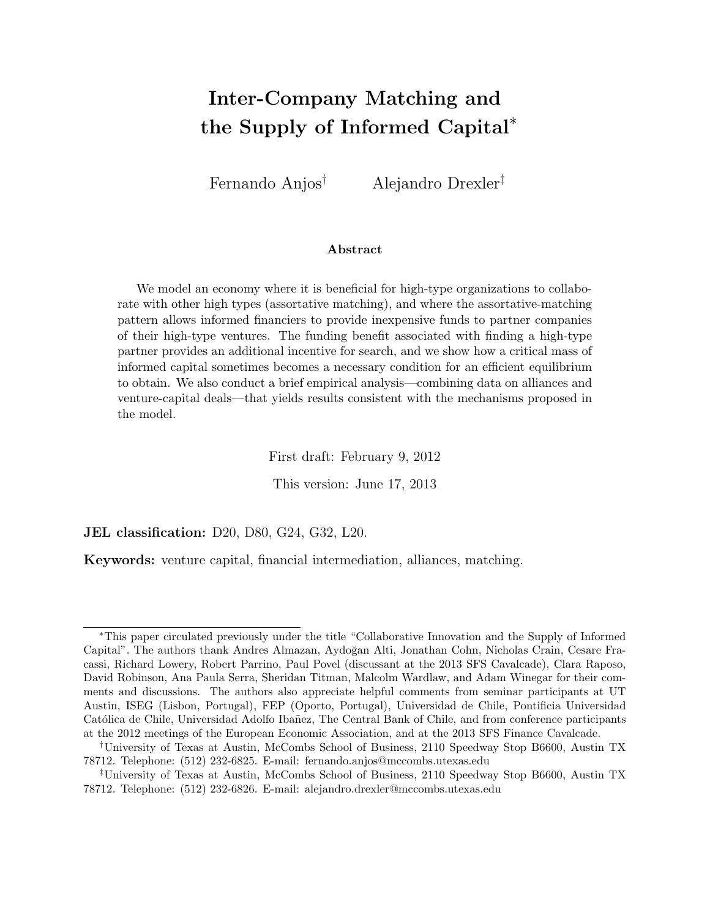# Inter-Company Matching and the Supply of Informed Capital<sup>∗</sup>

Fernando Anjos† Alejandro Drexler‡

#### Abstract

We model an economy where it is beneficial for high-type organizations to collaborate with other high types (assortative matching), and where the assortative-matching pattern allows informed financiers to provide inexpensive funds to partner companies of their high-type ventures. The funding benefit associated with finding a high-type partner provides an additional incentive for search, and we show how a critical mass of informed capital sometimes becomes a necessary condition for an efficient equilibrium to obtain. We also conduct a brief empirical analysis—combining data on alliances and venture-capital deals—that yields results consistent with the mechanisms proposed in the model.

First draft: February 9, 2012

This version: June 17, 2013

JEL classification: D20, D80, G24, G32, L20.

Keywords: venture capital, financial intermediation, alliances, matching.

<sup>∗</sup>This paper circulated previously under the title "Collaborative Innovation and the Supply of Informed Capital". The authors thank Andres Almazan, Aydoğan Alti, Jonathan Cohn, Nicholas Crain, Cesare Fracassi, Richard Lowery, Robert Parrino, Paul Povel (discussant at the 2013 SFS Cavalcade), Clara Raposo, David Robinson, Ana Paula Serra, Sheridan Titman, Malcolm Wardlaw, and Adam Winegar for their comments and discussions. The authors also appreciate helpful comments from seminar participants at UT Austin, ISEG (Lisbon, Portugal), FEP (Oporto, Portugal), Universidad de Chile, Pontificia Universidad Católica de Chile, Universidad Adolfo Ibañez, The Central Bank of Chile, and from conference participants at the 2012 meetings of the European Economic Association, and at the 2013 SFS Finance Cavalcade.

<sup>†</sup>University of Texas at Austin, McCombs School of Business, 2110 Speedway Stop B6600, Austin TX 78712. Telephone: (512) 232-6825. E-mail: fernando.anjos@mccombs.utexas.edu

<sup>‡</sup>University of Texas at Austin, McCombs School of Business, 2110 Speedway Stop B6600, Austin TX 78712. Telephone: (512) 232-6826. E-mail: alejandro.drexler@mccombs.utexas.edu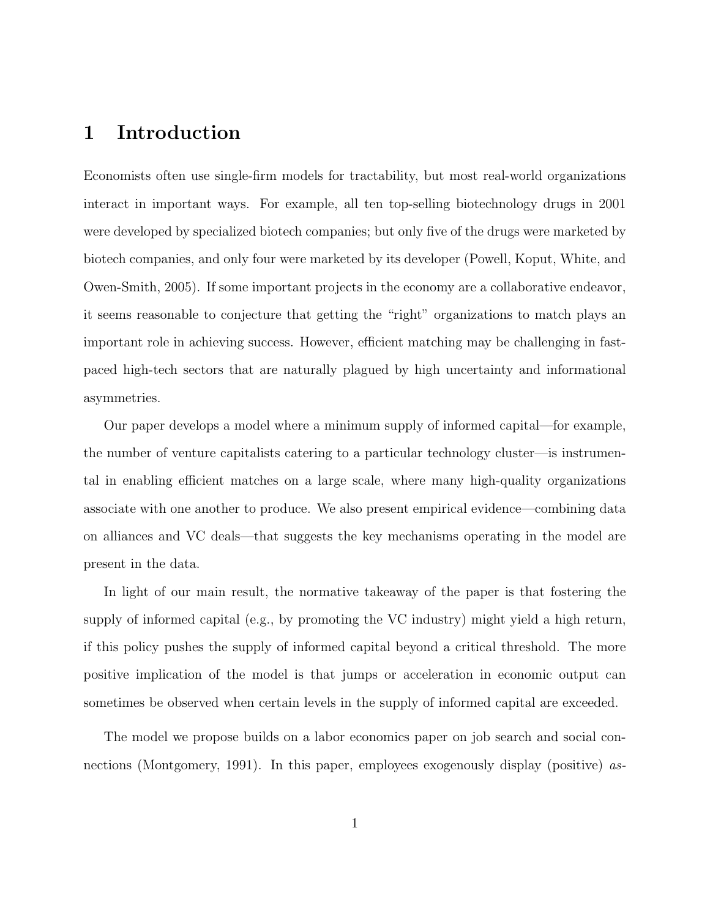## 1 Introduction

Economists often use single-firm models for tractability, but most real-world organizations interact in important ways. For example, all ten top-selling biotechnology drugs in 2001 were developed by specialized biotech companies; but only five of the drugs were marketed by biotech companies, and only four were marketed by its developer (Powell, Koput, White, and Owen-Smith, 2005). If some important projects in the economy are a collaborative endeavor, it seems reasonable to conjecture that getting the "right" organizations to match plays an important role in achieving success. However, efficient matching may be challenging in fastpaced high-tech sectors that are naturally plagued by high uncertainty and informational asymmetries.

Our paper develops a model where a minimum supply of informed capital—for example, the number of venture capitalists catering to a particular technology cluster—is instrumental in enabling efficient matches on a large scale, where many high-quality organizations associate with one another to produce. We also present empirical evidence—combining data on alliances and VC deals—that suggests the key mechanisms operating in the model are present in the data.

In light of our main result, the normative takeaway of the paper is that fostering the supply of informed capital (e.g., by promoting the VC industry) might yield a high return, if this policy pushes the supply of informed capital beyond a critical threshold. The more positive implication of the model is that jumps or acceleration in economic output can sometimes be observed when certain levels in the supply of informed capital are exceeded.

The model we propose builds on a labor economics paper on job search and social connections (Montgomery, 1991). In this paper, employees exogenously display (positive) as-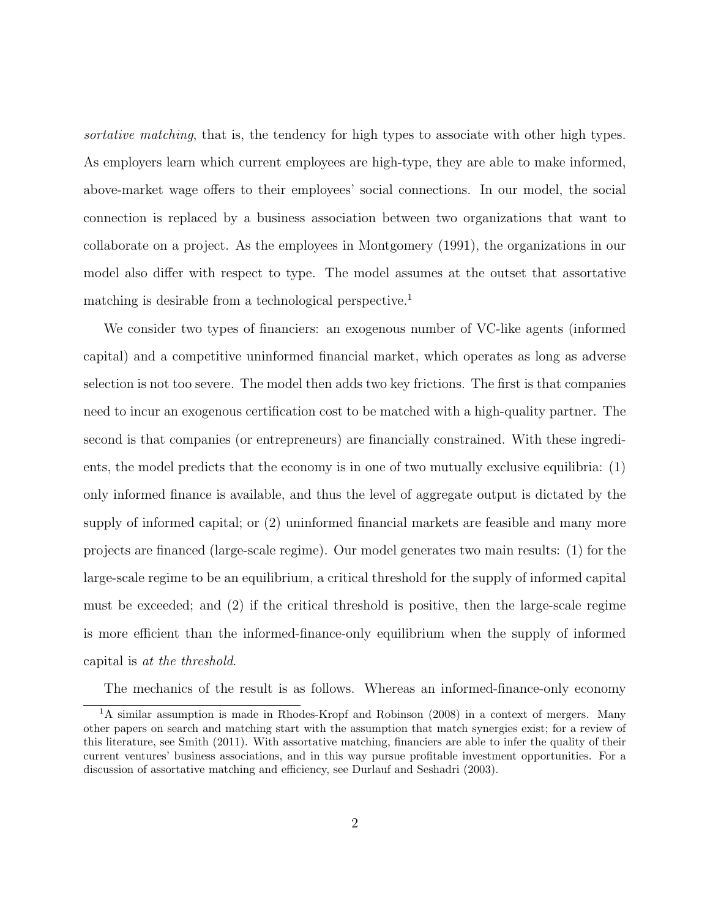sortative matching, that is, the tendency for high types to associate with other high types. As employers learn which current employees are high-type, they are able to make informed, above-market wage offers to their employees' social connections. In our model, the social connection is replaced by a business association between two organizations that want to collaborate on a project. As the employees in Montgomery (1991), the organizations in our model also differ with respect to type. The model assumes at the outset that assortative matching is desirable from a technological perspective.<sup>1</sup>

We consider two types of financiers: an exogenous number of VC-like agents (informed capital) and a competitive uninformed financial market, which operates as long as adverse selection is not too severe. The model then adds two key frictions. The first is that companies need to incur an exogenous certification cost to be matched with a high-quality partner. The second is that companies (or entrepreneurs) are financially constrained. With these ingredients, the model predicts that the economy is in one of two mutually exclusive equilibria: (1) only informed finance is available, and thus the level of aggregate output is dictated by the supply of informed capital; or (2) uninformed financial markets are feasible and many more projects are financed (large-scale regime). Our model generates two main results: (1) for the large-scale regime to be an equilibrium, a critical threshold for the supply of informed capital must be exceeded; and (2) if the critical threshold is positive, then the large-scale regime is more efficient than the informed-finance-only equilibrium when the supply of informed capital is at the threshold.

The mechanics of the result is as follows. Whereas an informed-finance-only economy

<sup>&</sup>lt;sup>1</sup>A similar assumption is made in Rhodes-Kropf and Robinson (2008) in a context of mergers. Many other papers on search and matching start with the assumption that match synergies exist; for a review of this literature, see Smith (2011). With assortative matching, financiers are able to infer the quality of their current ventures' business associations, and in this way pursue profitable investment opportunities. For a discussion of assortative matching and efficiency, see Durlauf and Seshadri (2003).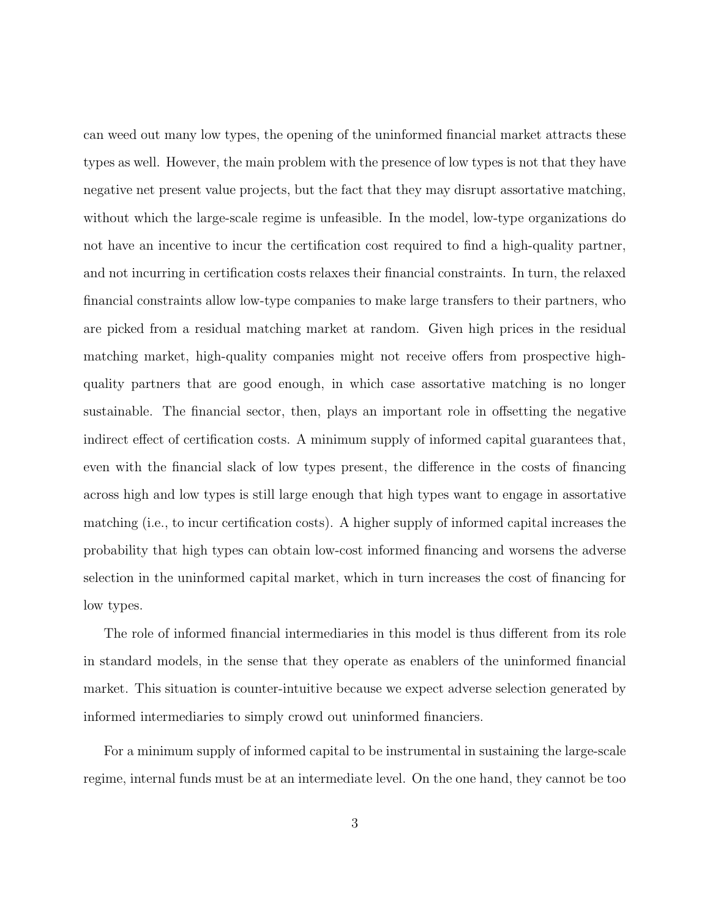can weed out many low types, the opening of the uninformed financial market attracts these types as well. However, the main problem with the presence of low types is not that they have negative net present value projects, but the fact that they may disrupt assortative matching, without which the large-scale regime is unfeasible. In the model, low-type organizations do not have an incentive to incur the certification cost required to find a high-quality partner, and not incurring in certification costs relaxes their financial constraints. In turn, the relaxed financial constraints allow low-type companies to make large transfers to their partners, who are picked from a residual matching market at random. Given high prices in the residual matching market, high-quality companies might not receive offers from prospective highquality partners that are good enough, in which case assortative matching is no longer sustainable. The financial sector, then, plays an important role in offsetting the negative indirect effect of certification costs. A minimum supply of informed capital guarantees that, even with the financial slack of low types present, the difference in the costs of financing across high and low types is still large enough that high types want to engage in assortative matching (i.e., to incur certification costs). A higher supply of informed capital increases the probability that high types can obtain low-cost informed financing and worsens the adverse selection in the uninformed capital market, which in turn increases the cost of financing for low types.

The role of informed financial intermediaries in this model is thus different from its role in standard models, in the sense that they operate as enablers of the uninformed financial market. This situation is counter-intuitive because we expect adverse selection generated by informed intermediaries to simply crowd out uninformed financiers.

For a minimum supply of informed capital to be instrumental in sustaining the large-scale regime, internal funds must be at an intermediate level. On the one hand, they cannot be too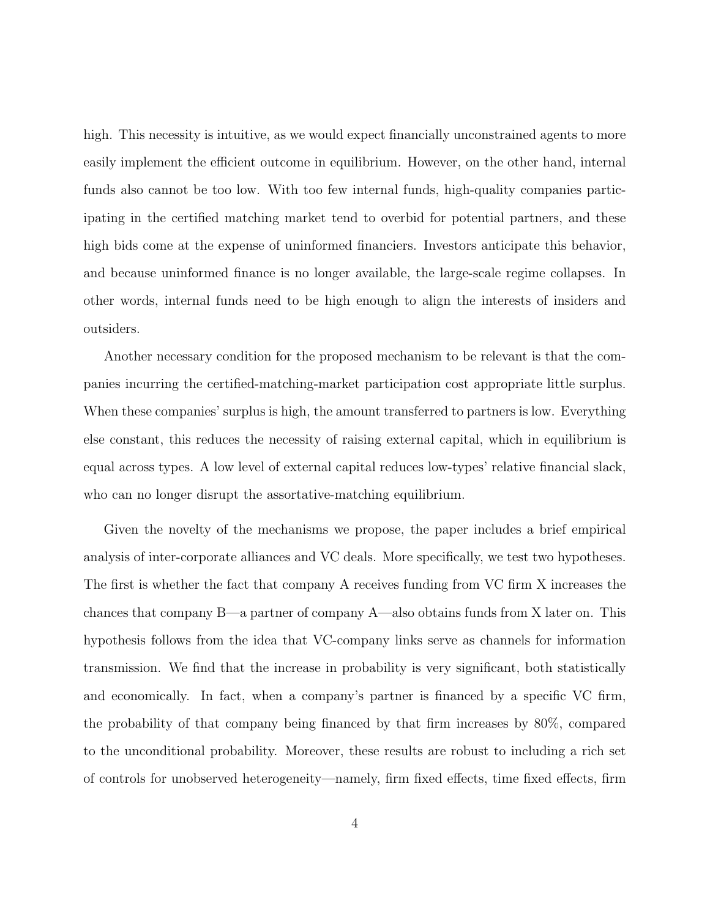high. This necessity is intuitive, as we would expect financially unconstrained agents to more easily implement the efficient outcome in equilibrium. However, on the other hand, internal funds also cannot be too low. With too few internal funds, high-quality companies participating in the certified matching market tend to overbid for potential partners, and these high bids come at the expense of uninformed financiers. Investors anticipate this behavior, and because uninformed finance is no longer available, the large-scale regime collapses. In other words, internal funds need to be high enough to align the interests of insiders and outsiders.

Another necessary condition for the proposed mechanism to be relevant is that the companies incurring the certified-matching-market participation cost appropriate little surplus. When these companies' surplus is high, the amount transferred to partners is low. Everything else constant, this reduces the necessity of raising external capital, which in equilibrium is equal across types. A low level of external capital reduces low-types' relative financial slack, who can no longer disrupt the assortative-matching equilibrium.

Given the novelty of the mechanisms we propose, the paper includes a brief empirical analysis of inter-corporate alliances and VC deals. More specifically, we test two hypotheses. The first is whether the fact that company A receives funding from VC firm X increases the chances that company B—a partner of company A—also obtains funds from X later on. This hypothesis follows from the idea that VC-company links serve as channels for information transmission. We find that the increase in probability is very significant, both statistically and economically. In fact, when a company's partner is financed by a specific VC firm, the probability of that company being financed by that firm increases by 80%, compared to the unconditional probability. Moreover, these results are robust to including a rich set of controls for unobserved heterogeneity—namely, firm fixed effects, time fixed effects, firm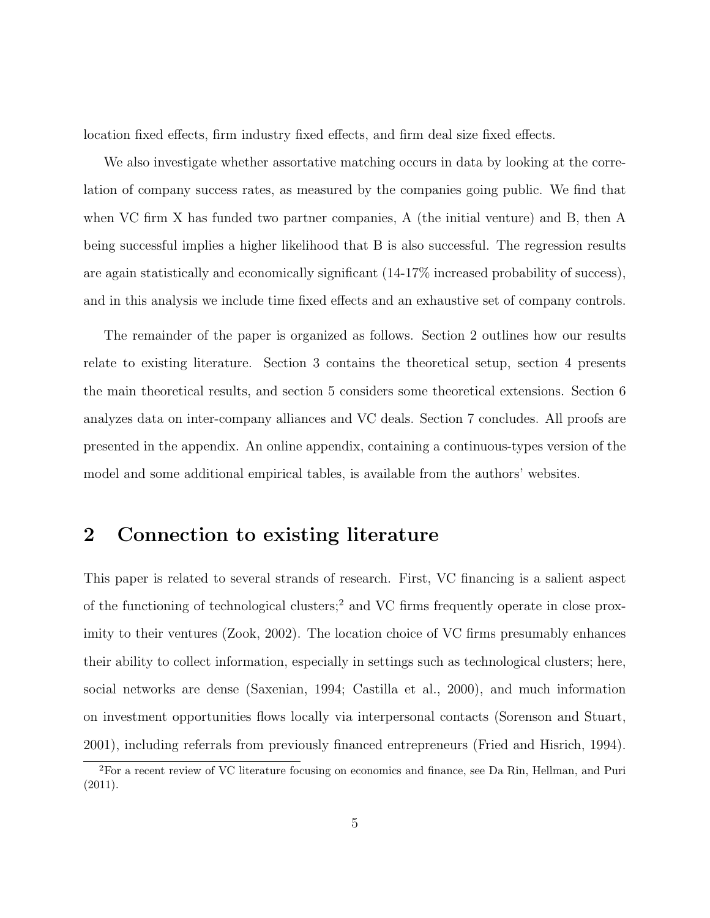location fixed effects, firm industry fixed effects, and firm deal size fixed effects.

We also investigate whether assortative matching occurs in data by looking at the correlation of company success rates, as measured by the companies going public. We find that when VC firm X has funded two partner companies, A (the initial venture) and B, then A being successful implies a higher likelihood that B is also successful. The regression results are again statistically and economically significant (14-17% increased probability of success), and in this analysis we include time fixed effects and an exhaustive set of company controls.

The remainder of the paper is organized as follows. Section 2 outlines how our results relate to existing literature. Section 3 contains the theoretical setup, section 4 presents the main theoretical results, and section 5 considers some theoretical extensions. Section 6 analyzes data on inter-company alliances and VC deals. Section 7 concludes. All proofs are presented in the appendix. An online appendix, containing a continuous-types version of the model and some additional empirical tables, is available from the authors' websites.

### 2 Connection to existing literature

This paper is related to several strands of research. First, VC financing is a salient aspect of the functioning of technological clusters;<sup>2</sup> and VC firms frequently operate in close proximity to their ventures (Zook, 2002). The location choice of VC firms presumably enhances their ability to collect information, especially in settings such as technological clusters; here, social networks are dense (Saxenian, 1994; Castilla et al., 2000), and much information on investment opportunities flows locally via interpersonal contacts (Sorenson and Stuart, 2001), including referrals from previously financed entrepreneurs (Fried and Hisrich, 1994).

<sup>2</sup>For a recent review of VC literature focusing on economics and finance, see Da Rin, Hellman, and Puri (2011).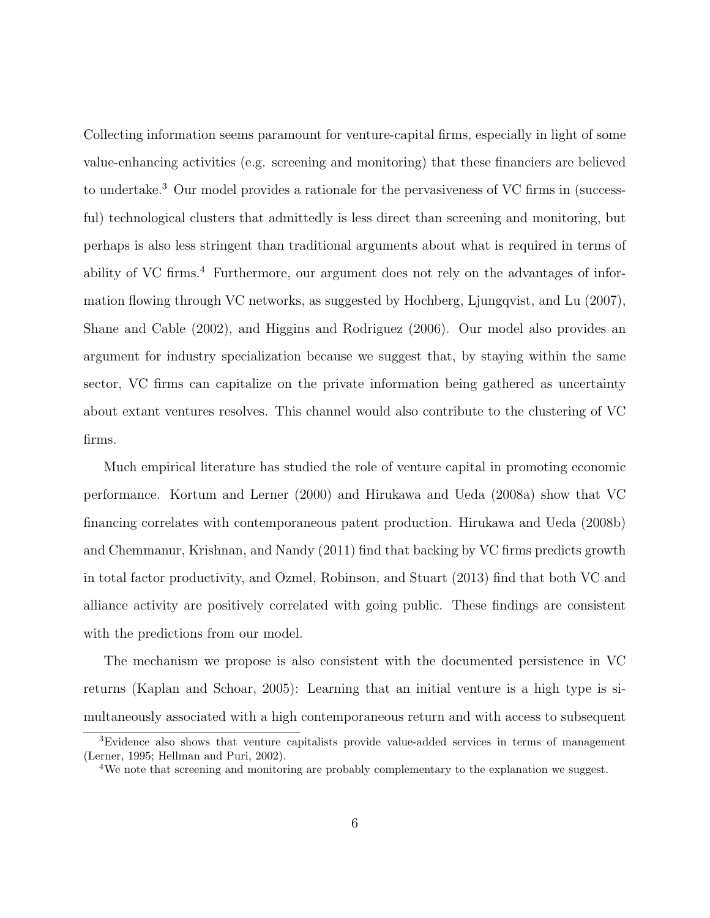Collecting information seems paramount for venture-capital firms, especially in light of some value-enhancing activities (e.g. screening and monitoring) that these financiers are believed to undertake.<sup>3</sup> Our model provides a rationale for the pervasiveness of VC firms in (successful) technological clusters that admittedly is less direct than screening and monitoring, but perhaps is also less stringent than traditional arguments about what is required in terms of ability of VC firms.<sup>4</sup> Furthermore, our argument does not rely on the advantages of information flowing through VC networks, as suggested by Hochberg, Ljungqvist, and Lu (2007), Shane and Cable (2002), and Higgins and Rodriguez (2006). Our model also provides an argument for industry specialization because we suggest that, by staying within the same sector, VC firms can capitalize on the private information being gathered as uncertainty about extant ventures resolves. This channel would also contribute to the clustering of VC firms.

Much empirical literature has studied the role of venture capital in promoting economic performance. Kortum and Lerner (2000) and Hirukawa and Ueda (2008a) show that VC financing correlates with contemporaneous patent production. Hirukawa and Ueda (2008b) and Chemmanur, Krishnan, and Nandy (2011) find that backing by VC firms predicts growth in total factor productivity, and Ozmel, Robinson, and Stuart (2013) find that both VC and alliance activity are positively correlated with going public. These findings are consistent with the predictions from our model.

The mechanism we propose is also consistent with the documented persistence in VC returns (Kaplan and Schoar, 2005): Learning that an initial venture is a high type is simultaneously associated with a high contemporaneous return and with access to subsequent

<sup>3</sup>Evidence also shows that venture capitalists provide value-added services in terms of management (Lerner, 1995; Hellman and Puri, 2002).

<sup>&</sup>lt;sup>4</sup>We note that screening and monitoring are probably complementary to the explanation we suggest.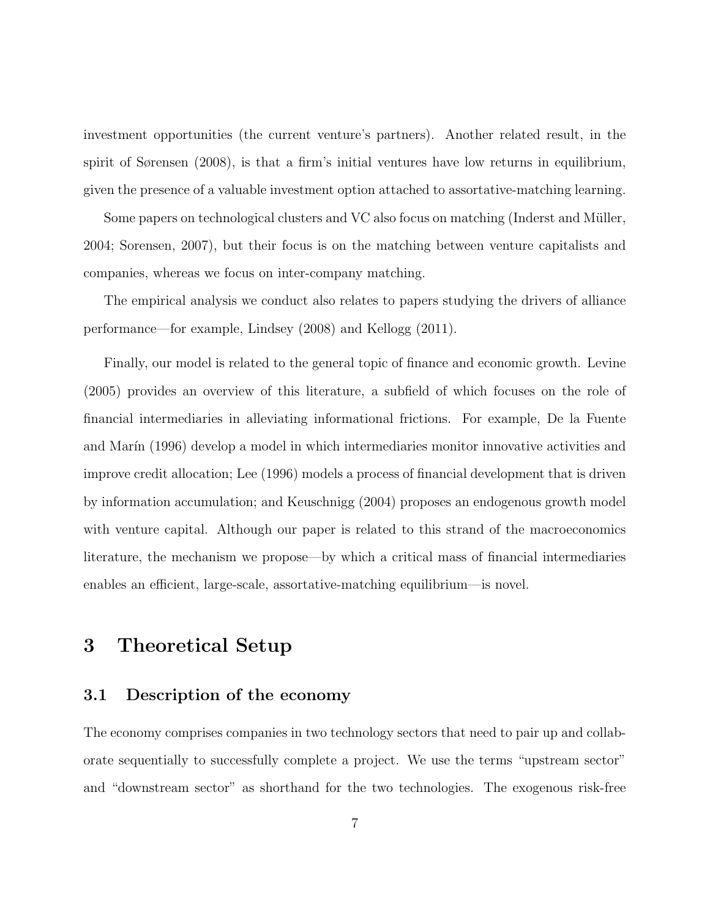investment opportunities (the current venture's partners). Another related result, in the spirit of Sørensen (2008), is that a firm's initial ventures have low returns in equilibrium, given the presence of a valuable investment option attached to assortative-matching learning.

Some papers on technological clusters and VC also focus on matching (Inderst and Müller, 2004; Sorensen, 2007), but their focus is on the matching between venture capitalists and companies, whereas we focus on inter-company matching.

The empirical analysis we conduct also relates to papers studying the drivers of alliance performance—for example, Lindsey (2008) and Kellogg (2011).

Finally, our model is related to the general topic of finance and economic growth. Levine (2005) provides an overview of this literature, a subfield of which focuses on the role of financial intermediaries in alleviating informational frictions. For example, De la Fuente and Marín (1996) develop a model in which intermediaries monitor innovative activities and improve credit allocation; Lee (1996) models a process of financial development that is driven by information accumulation; and Keuschnigg (2004) proposes an endogenous growth model with venture capital. Although our paper is related to this strand of the macroeconomics literature, the mechanism we propose—by which a critical mass of financial intermediaries enables an efficient, large-scale, assortative-matching equilibrium—is novel.

## 3 Theoretical Setup

#### 3.1 Description of the economy

The economy comprises companies in two technology sectors that need to pair up and collaborate sequentially to successfully complete a project. We use the terms "upstream sector" and "downstream sector" as shorthand for the two technologies. The exogenous risk-free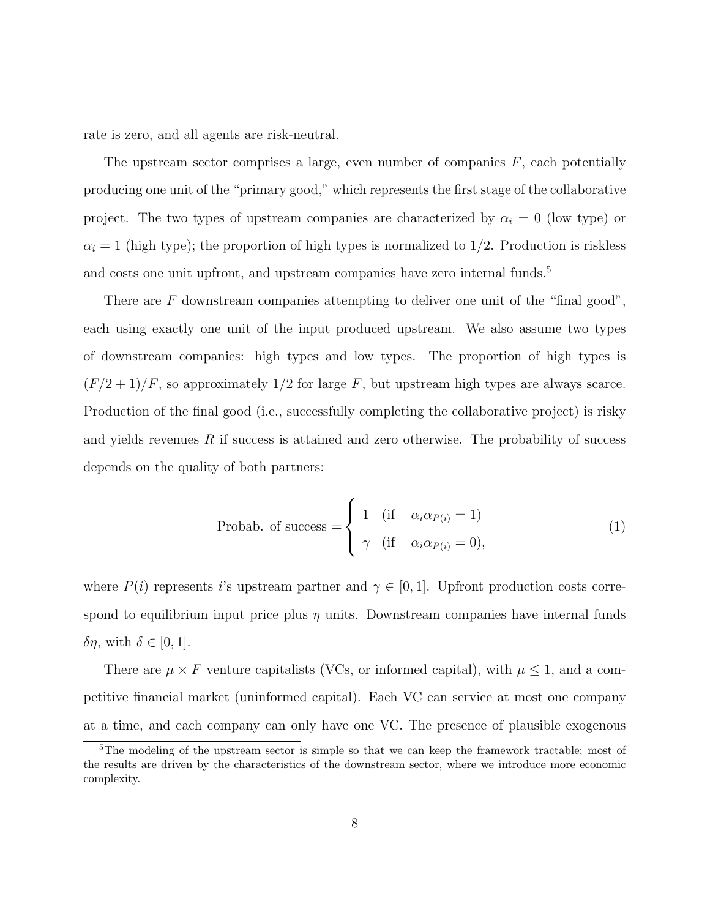rate is zero, and all agents are risk-neutral.

The upstream sector comprises a large, even number of companies  $F$ , each potentially producing one unit of the "primary good," which represents the first stage of the collaborative project. The two types of upstream companies are characterized by  $\alpha_i = 0$  (low type) or  $\alpha_i = 1$  (high type); the proportion of high types is normalized to 1/2. Production is riskless and costs one unit upfront, and upstream companies have zero internal funds.<sup>5</sup>

There are  $F$  downstream companies attempting to deliver one unit of the "final good", each using exactly one unit of the input produced upstream. We also assume two types of downstream companies: high types and low types. The proportion of high types is  $(F/2+1)/F$ , so approximately 1/2 for large F, but upstream high types are always scarce. Production of the final good (i.e., successfully completing the collaborative project) is risky and yields revenues  $R$  if success is attained and zero otherwise. The probability of success depends on the quality of both partners:

$$
\text{Probab. of success} = \begin{cases} 1 & \text{(if } \alpha_i \alpha_{P(i)} = 1) \\ \gamma & \text{(if } \alpha_i \alpha_{P(i)} = 0), \end{cases} \tag{1}
$$

where  $P(i)$  represents i's upstream partner and  $\gamma \in [0,1]$ . Upfront production costs correspond to equilibrium input price plus  $\eta$  units. Downstream companies have internal funds δη, with  $\delta \in [0, 1]$ .

There are  $\mu \times F$  venture capitalists (VCs, or informed capital), with  $\mu \leq 1$ , and a competitive financial market (uninformed capital). Each VC can service at most one company at a time, and each company can only have one VC. The presence of plausible exogenous

<sup>&</sup>lt;sup>5</sup>The modeling of the upstream sector is simple so that we can keep the framework tractable; most of the results are driven by the characteristics of the downstream sector, where we introduce more economic complexity.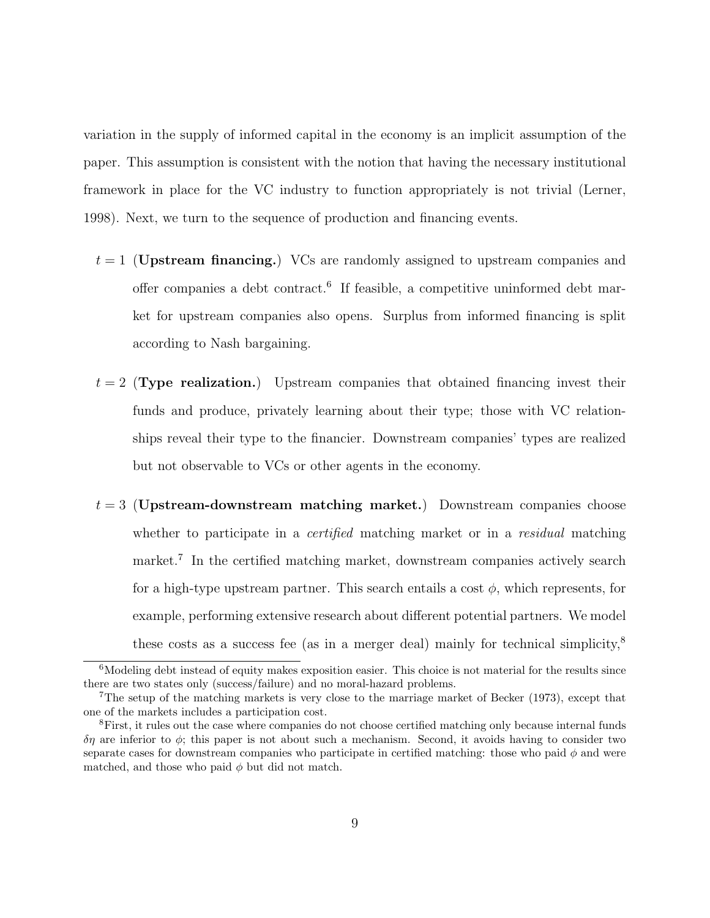variation in the supply of informed capital in the economy is an implicit assumption of the paper. This assumption is consistent with the notion that having the necessary institutional framework in place for the VC industry to function appropriately is not trivial (Lerner, 1998). Next, we turn to the sequence of production and financing events.

- $t = 1$  (Upstream financing.) VCs are randomly assigned to upstream companies and offer companies a debt contract.<sup>6</sup> If feasible, a competitive uninformed debt market for upstream companies also opens. Surplus from informed financing is split according to Nash bargaining.
- $t = 2$  (Type realization.) Upstream companies that obtained financing invest their funds and produce, privately learning about their type; those with VC relationships reveal their type to the financier. Downstream companies' types are realized but not observable to VCs or other agents in the economy.
- $t = 3$  (Upstream-downstream matching market.) Downstream companies choose whether to participate in a *certified* matching market or in a *residual* matching market.<sup>7</sup> In the certified matching market, downstream companies actively search for a high-type upstream partner. This search entails a cost  $\phi$ , which represents, for example, performing extensive research about different potential partners. We model these costs as a success fee (as in a merger deal) mainly for technical simplicity,<sup>8</sup>

<sup>&</sup>lt;sup>6</sup>Modeling debt instead of equity makes exposition easier. This choice is not material for the results since there are two states only (success/failure) and no moral-hazard problems.

<sup>7</sup>The setup of the matching markets is very close to the marriage market of Becker (1973), except that one of the markets includes a participation cost.

<sup>&</sup>lt;sup>8</sup>First, it rules out the case where companies do not choose certified matching only because internal funds  $\delta\eta$  are inferior to  $\phi$ ; this paper is not about such a mechanism. Second, it avoids having to consider two separate cases for downstream companies who participate in certified matching: those who paid  $\phi$  and were matched, and those who paid  $\phi$  but did not match.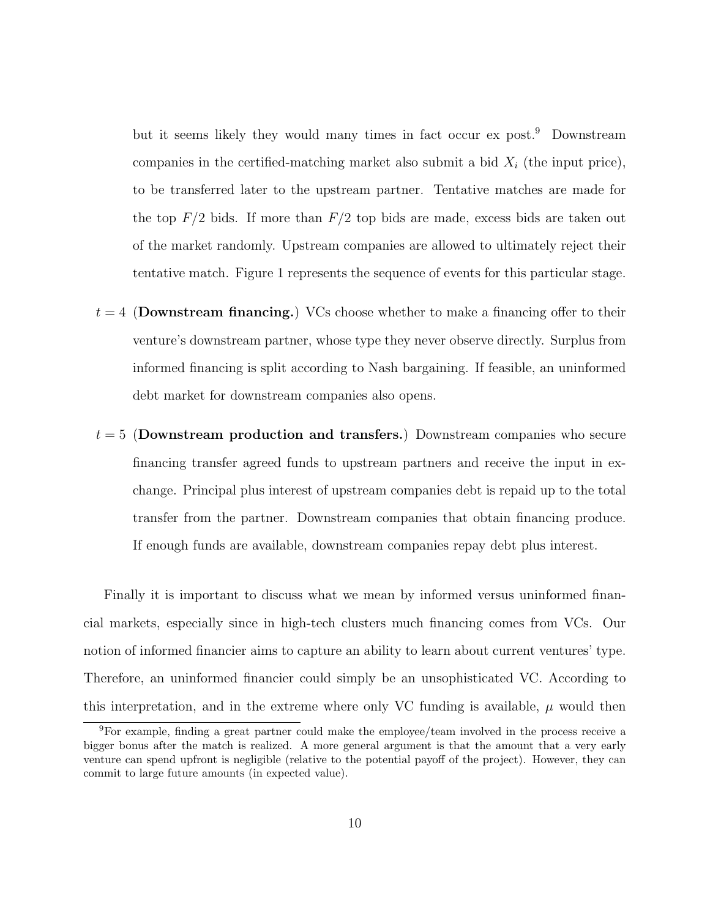but it seems likely they would many times in fact occur ex post.<sup>9</sup> Downstream companies in the certified-matching market also submit a bid  $X_i$  (the input price), to be transferred later to the upstream partner. Tentative matches are made for the top  $F/2$  bids. If more than  $F/2$  top bids are made, excess bids are taken out of the market randomly. Upstream companies are allowed to ultimately reject their tentative match. Figure 1 represents the sequence of events for this particular stage.

- $t = 4$  (Downstream financing.) VCs choose whether to make a financing offer to their venture's downstream partner, whose type they never observe directly. Surplus from informed financing is split according to Nash bargaining. If feasible, an uninformed debt market for downstream companies also opens.
- $t = 5$  (Downstream production and transfers.) Downstream companies who secure financing transfer agreed funds to upstream partners and receive the input in exchange. Principal plus interest of upstream companies debt is repaid up to the total transfer from the partner. Downstream companies that obtain financing produce. If enough funds are available, downstream companies repay debt plus interest.

Finally it is important to discuss what we mean by informed versus uninformed financial markets, especially since in high-tech clusters much financing comes from VCs. Our notion of informed financier aims to capture an ability to learn about current ventures' type. Therefore, an uninformed financier could simply be an unsophisticated VC. According to this interpretation, and in the extreme where only VC funding is available,  $\mu$  would then

<sup>9</sup>For example, finding a great partner could make the employee/team involved in the process receive a bigger bonus after the match is realized. A more general argument is that the amount that a very early venture can spend upfront is negligible (relative to the potential payoff of the project). However, they can commit to large future amounts (in expected value).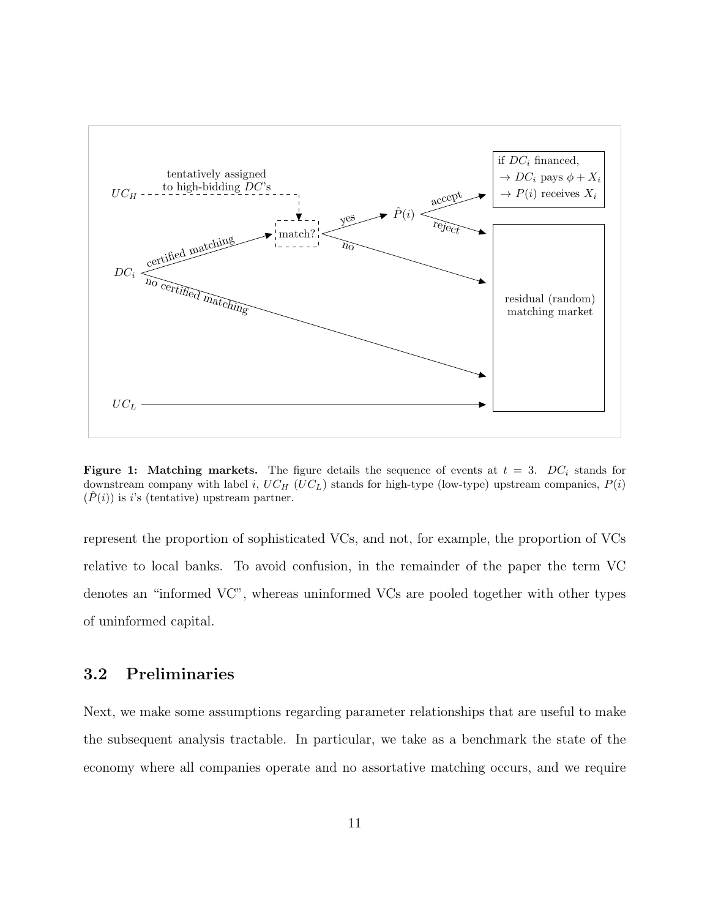

**Figure 1:** Matching markets. The figure details the sequence of events at  $t = 3$ . DC<sub>i</sub> stands for downstream company with label i,  $UC_H$  (UC<sub>L</sub>) stands for high-type (low-type) upstream companies,  $P(i)$  $(\hat{P}(i))$  is i's (tentative) upstream partner.

represent the proportion of sophisticated VCs, and not, for example, the proportion of VCs relative to local banks. To avoid confusion, in the remainder of the paper the term VC denotes an "informed VC", whereas uninformed VCs are pooled together with other types of uninformed capital.

### 3.2 Preliminaries

Next, we make some assumptions regarding parameter relationships that are useful to make the subsequent analysis tractable. In particular, we take as a benchmark the state of the economy where all companies operate and no assortative matching occurs, and we require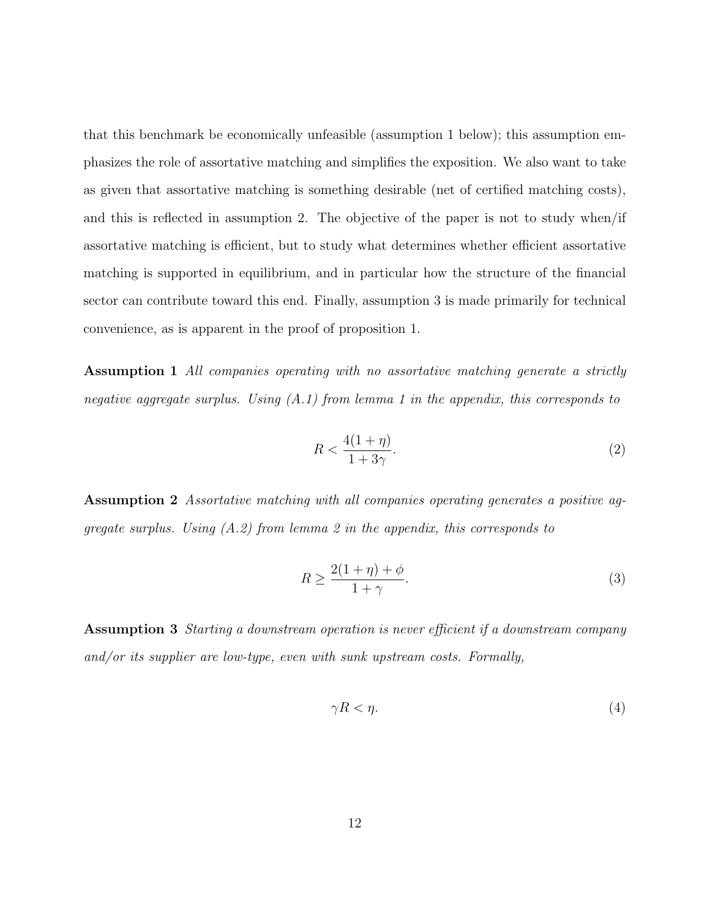that this benchmark be economically unfeasible (assumption 1 below); this assumption emphasizes the role of assortative matching and simplifies the exposition. We also want to take as given that assortative matching is something desirable (net of certified matching costs), and this is reflected in assumption 2. The objective of the paper is not to study when/if assortative matching is efficient, but to study what determines whether efficient assortative matching is supported in equilibrium, and in particular how the structure of the financial sector can contribute toward this end. Finally, assumption 3 is made primarily for technical convenience, as is apparent in the proof of proposition 1.

Assumption 1 All companies operating with no assortative matching generate a strictly negative aggregate surplus. Using  $(A.1)$  from lemma 1 in the appendix, this corresponds to

$$
R < \frac{4(1+\eta)}{1+3\gamma}.\tag{2}
$$

Assumption 2 Assortative matching with all companies operating generates a positive aggregate surplus. Using  $(A.2)$  from lemma 2 in the appendix, this corresponds to

$$
R \ge \frac{2(1+\eta)+\phi}{1+\gamma}.\tag{3}
$$

Assumption 3 Starting a downstream operation is never efficient if a downstream company and/or its supplier are low-type, even with sunk upstream costs. Formally,

$$
\gamma R < \eta. \tag{4}
$$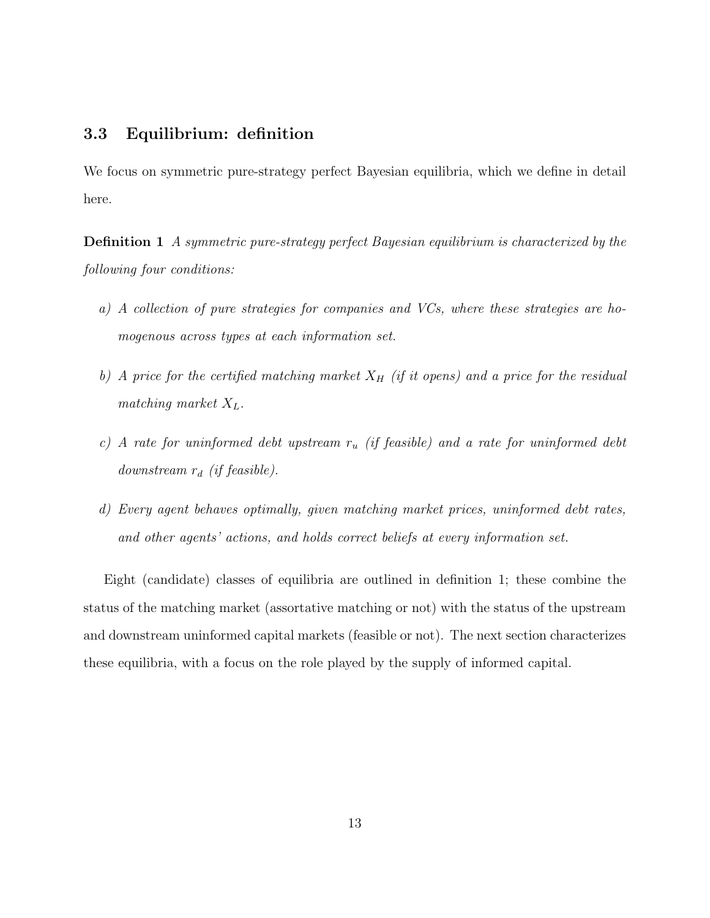### 3.3 Equilibrium: definition

We focus on symmetric pure-strategy perfect Bayesian equilibria, which we define in detail here.

Definition 1 A symmetric pure-strategy perfect Bayesian equilibrium is characterized by the following four conditions:

- a) A collection of pure strategies for companies and VCs, where these strategies are homogenous across types at each information set.
- b) A price for the certified matching market  $X_H$  (if it opens) and a price for the residual matching market  $X_L$ .
- c) A rate for uninformed debt upstream  $r_u$  (if feasible) and a rate for uninformed debt downstream  $r_d$  (if feasible).
- d) Every agent behaves optimally, given matching market prices, uninformed debt rates, and other agents' actions, and holds correct beliefs at every information set.

Eight (candidate) classes of equilibria are outlined in definition 1; these combine the status of the matching market (assortative matching or not) with the status of the upstream and downstream uninformed capital markets (feasible or not). The next section characterizes these equilibria, with a focus on the role played by the supply of informed capital.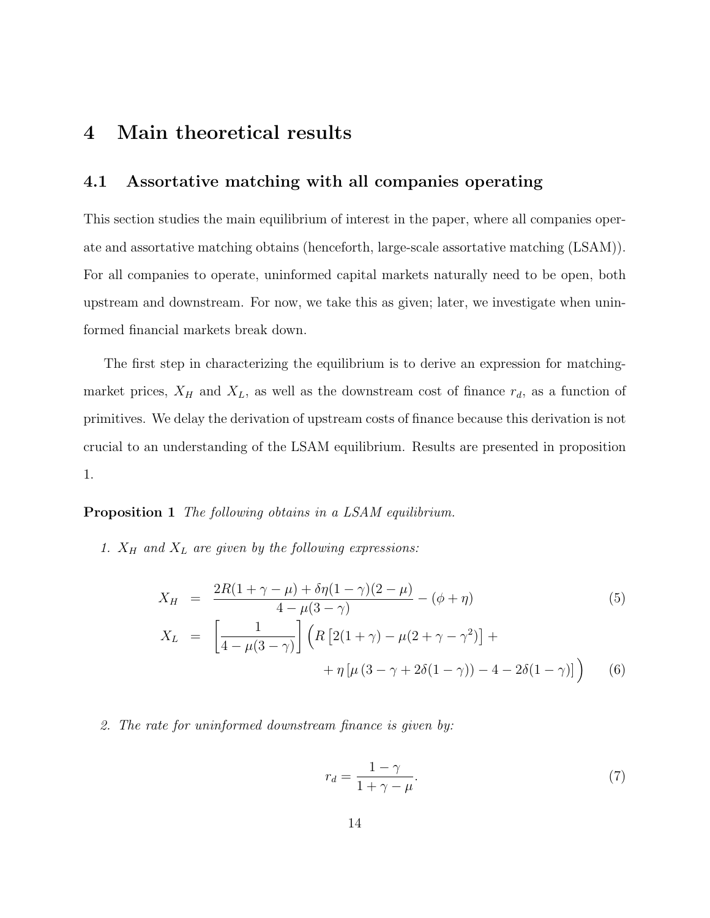## 4 Main theoretical results

#### 4.1 Assortative matching with all companies operating

This section studies the main equilibrium of interest in the paper, where all companies operate and assortative matching obtains (henceforth, large-scale assortative matching (LSAM)). For all companies to operate, uninformed capital markets naturally need to be open, both upstream and downstream. For now, we take this as given; later, we investigate when uninformed financial markets break down.

The first step in characterizing the equilibrium is to derive an expression for matchingmarket prices,  $X_H$  and  $X_L$ , as well as the downstream cost of finance  $r_d$ , as a function of primitives. We delay the derivation of upstream costs of finance because this derivation is not crucial to an understanding of the LSAM equilibrium. Results are presented in proposition 1.

#### Proposition 1 The following obtains in a LSAM equilibrium.

1.  $X_H$  and  $X_L$  are given by the following expressions:

$$
X_H = \frac{2R(1+\gamma-\mu)+\delta\eta(1-\gamma)(2-\mu)}{4-\mu(3-\gamma)} - (\phi+\eta)
$$
(5)  

$$
X_L = \left[\frac{1}{4-\mu(3-\gamma)}\right] \left(R\left[2(1+\gamma)-\mu(2+\gamma-\gamma^2)\right] + \frac{1}{\eta\left[\mu(3-\gamma+2\delta(1-\gamma))-4-2\delta(1-\gamma)\right]}\right)
$$
(6)

2. The rate for uninformed downstream finance is given by:\n
$$
x^2 + y^2 = 0
$$

$$
r_d = \frac{1 - \gamma}{1 + \gamma - \mu}.\tag{7}
$$

(6)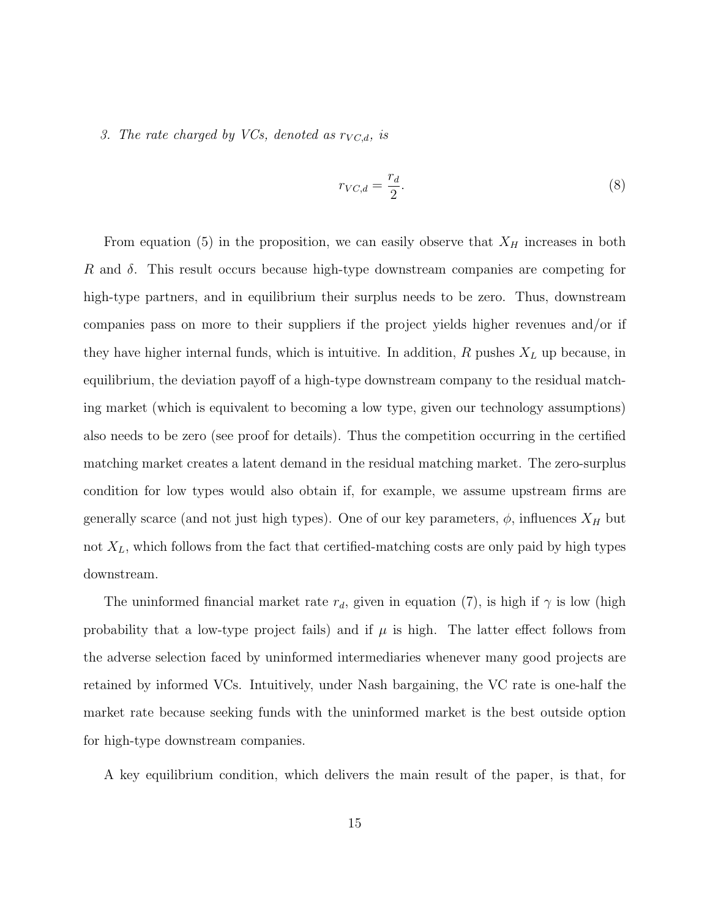#### 3. The rate charged by VCs, denoted as  $r_{VC,d}$ , is

$$
r_{VC,d} = \frac{r_d}{2}.\tag{8}
$$

From equation (5) in the proposition, we can easily observe that  $X_H$  increases in both R and  $\delta$ . This result occurs because high-type downstream companies are competing for high-type partners, and in equilibrium their surplus needs to be zero. Thus, downstream companies pass on more to their suppliers if the project yields higher revenues and/or if they have higher internal funds, which is intuitive. In addition,  $R$  pushes  $X_L$  up because, in equilibrium, the deviation payoff of a high-type downstream company to the residual matching market (which is equivalent to becoming a low type, given our technology assumptions) also needs to be zero (see proof for details). Thus the competition occurring in the certified matching market creates a latent demand in the residual matching market. The zero-surplus condition for low types would also obtain if, for example, we assume upstream firms are generally scarce (and not just high types). One of our key parameters,  $\phi$ , influences  $X_H$  but not  $X_L$ , which follows from the fact that certified-matching costs are only paid by high types downstream.

The uninformed financial market rate  $r_d$ , given in equation (7), is high if  $\gamma$  is low (high probability that a low-type project fails) and if  $\mu$  is high. The latter effect follows from the adverse selection faced by uninformed intermediaries whenever many good projects are retained by informed VCs. Intuitively, under Nash bargaining, the VC rate is one-half the market rate because seeking funds with the uninformed market is the best outside option for high-type downstream companies.

A key equilibrium condition, which delivers the main result of the paper, is that, for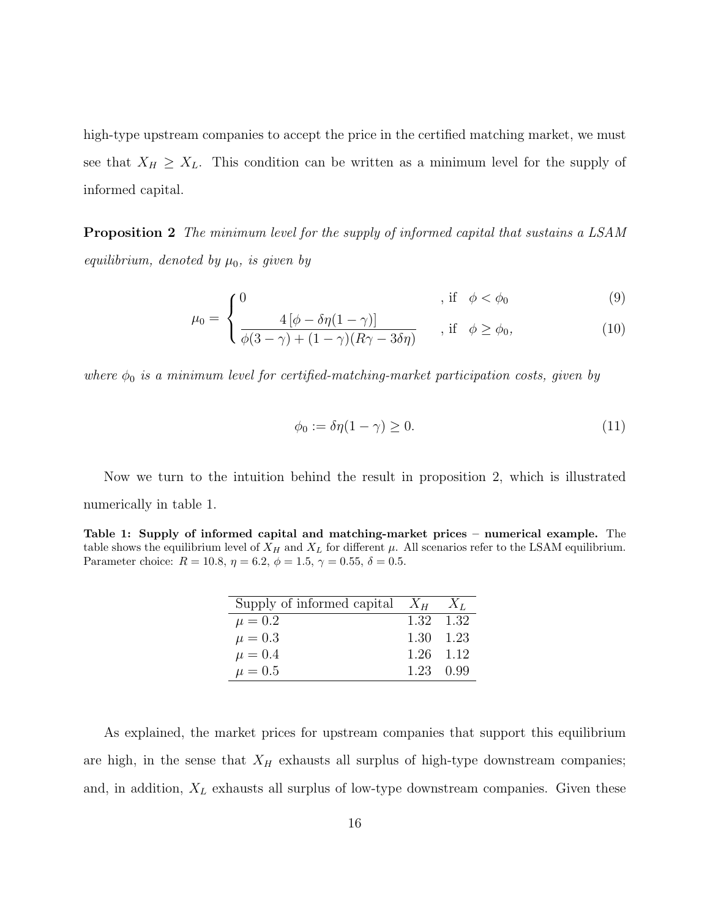high-type upstream companies to accept the price in the certified matching market, we must see that  $X_H \geq X_L$ . This condition can be written as a minimum level for the supply of informed capital.

**Proposition 2** The minimum level for the supply of informed capital that sustains a LSAM equilibrium, denoted by  $\mu_0$ , is given by

$$
\int_{\alpha}^{0} \int_{A[\phi - \delta r(1 - \alpha)]}^{0} , \text{ if } \phi < \phi_{0} \tag{9}
$$

$$
\mu_0 = \begin{cases} \frac{4\left[\phi - \delta\eta(1-\gamma)\right]}{\phi(3-\gamma) + (1-\gamma)(R\gamma - 3\delta\eta)} & , \text{if } \phi \ge \phi_0, \end{cases}
$$
(10)

where  $\phi_0$  is a minimum level for certified-matching-market participation costs, given by

$$
\phi_0 := \delta \eta (1 - \gamma) \ge 0. \tag{11}
$$

Now we turn to the intuition behind the result in proposition 2, which is illustrated numerically in table 1.

Table 1: Supply of informed capital and matching-market prices – numerical example. The table shows the equilibrium level of  $X_H$  and  $X_L$  for different  $\mu$ . All scenarios refer to the LSAM equilibrium. Parameter choice:  $R = 10.8$ ,  $\eta = 6.2$ ,  $\phi = 1.5$ ,  $\gamma = 0.55$ ,  $\delta = 0.5$ .

| Supply of informed capital $X_H$ $X_L$ |           |  |
|----------------------------------------|-----------|--|
| $\mu = 0.2$                            | 1.32 1.32 |  |
| $\mu = 0.3$                            | 1.30 1.23 |  |
| $\mu = 0.4$                            | 1.26 1.12 |  |
| $\mu = 0.5$                            | 1.23 0.99 |  |

As explained, the market prices for upstream companies that support this equilibrium are high, in the sense that  $X_H$  exhausts all surplus of high-type downstream companies; and, in addition,  $X_L$  exhausts all surplus of low-type downstream companies. Given these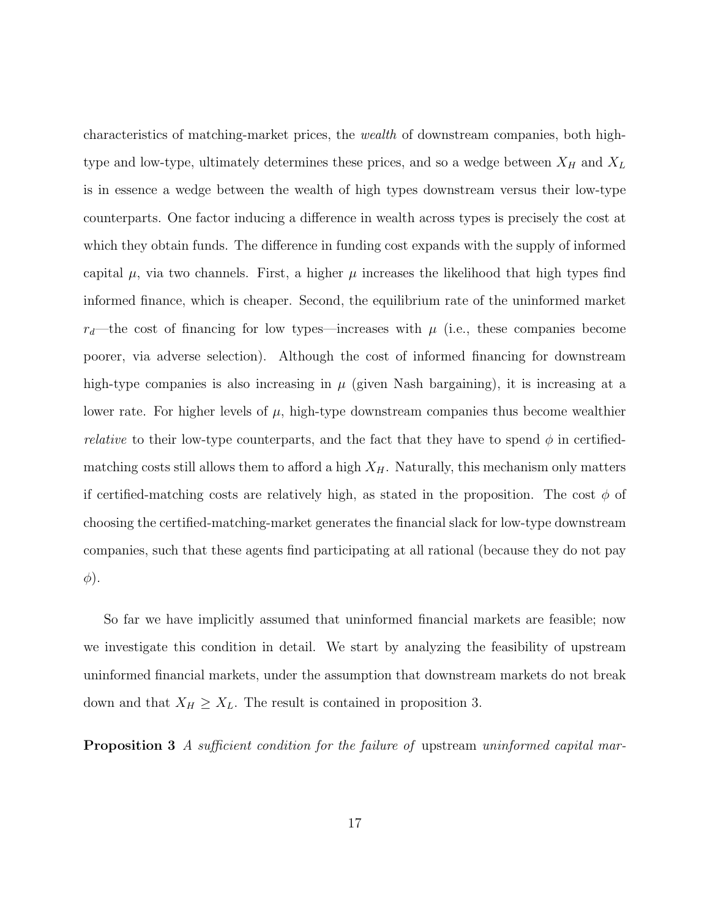characteristics of matching-market prices, the wealth of downstream companies, both hightype and low-type, ultimately determines these prices, and so a wedge between  $X_H$  and  $X_L$ is in essence a wedge between the wealth of high types downstream versus their low-type counterparts. One factor inducing a difference in wealth across types is precisely the cost at which they obtain funds. The difference in funding cost expands with the supply of informed capital  $\mu$ , via two channels. First, a higher  $\mu$  increases the likelihood that high types find informed finance, which is cheaper. Second, the equilibrium rate of the uninformed market  $r_d$ —the cost of financing for low types—increases with  $\mu$  (i.e., these companies become poorer, via adverse selection). Although the cost of informed financing for downstream high-type companies is also increasing in  $\mu$  (given Nash bargaining), it is increasing at a lower rate. For higher levels of  $\mu$ , high-type downstream companies thus become wealthier *relative* to their low-type counterparts, and the fact that they have to spend  $\phi$  in certifiedmatching costs still allows them to afford a high  $X_H$ . Naturally, this mechanism only matters if certified-matching costs are relatively high, as stated in the proposition. The cost  $\phi$  of choosing the certified-matching-market generates the financial slack for low-type downstream companies, such that these agents find participating at all rational (because they do not pay  $\phi$ ).

So far we have implicitly assumed that uninformed financial markets are feasible; now we investigate this condition in detail. We start by analyzing the feasibility of upstream uninformed financial markets, under the assumption that downstream markets do not break down and that  $X_H \geq X_L$ . The result is contained in proposition 3.

**Proposition 3** A sufficient condition for the failure of upstream uninformed capital mar-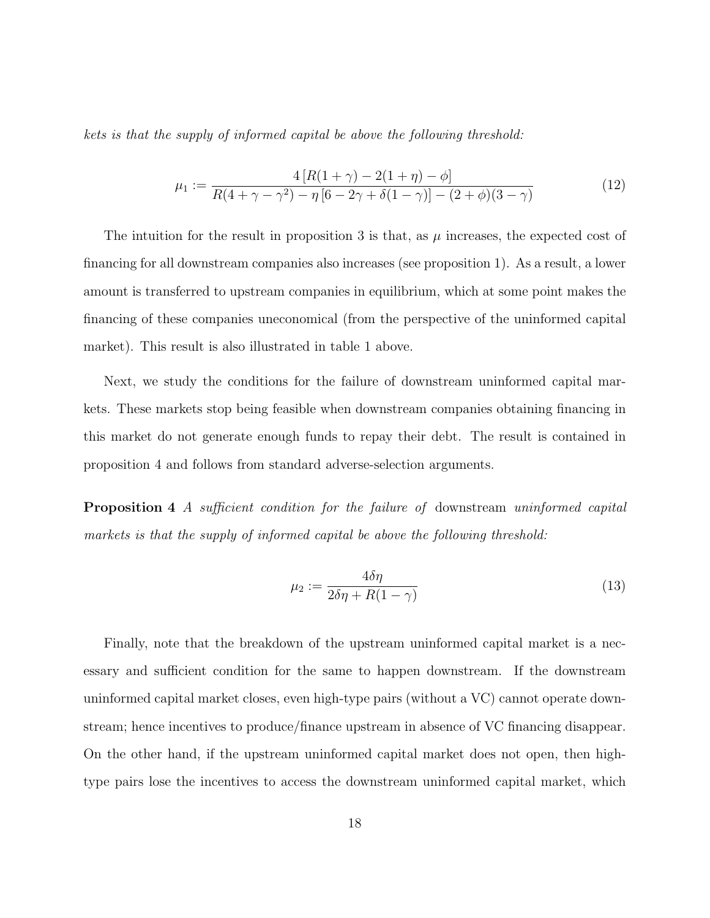kets is that the supply of informed capital be above the following threshold:

$$
\mu_1 := \frac{4\left[R(1+\gamma) - 2(1+\eta) - \phi\right]}{R(4+\gamma-\gamma^2) - \eta\left[6 - 2\gamma + \delta(1-\gamma)\right] - (2+\phi)(3-\gamma)}\tag{12}
$$

The intuition for the result in proposition 3 is that, as  $\mu$  increases, the expected cost of financing for all downstream companies also increases (see proposition 1). As a result, a lower amount is transferred to upstream companies in equilibrium, which at some point makes the financing of these companies uneconomical (from the perspective of the uninformed capital market). This result is also illustrated in table 1 above.

Next, we study the conditions for the failure of downstream uninformed capital markets. These markets stop being feasible when downstream companies obtaining financing in this market do not generate enough funds to repay their debt. The result is contained in proposition 4 and follows from standard adverse-selection arguments.

**Proposition 4** A sufficient condition for the failure of downstream uninformed capital markets is that the supply of informed capital be above the following threshold:

$$
\mu_2 := \frac{4\delta\eta}{2\delta\eta + R(1-\gamma)}\tag{13}
$$

Finally, note that the breakdown of the upstream uninformed capital market is a necessary and sufficient condition for the same to happen downstream. If the downstream uninformed capital market closes, even high-type pairs (without a VC) cannot operate downstream; hence incentives to produce/finance upstream in absence of VC financing disappear. On the other hand, if the upstream uninformed capital market does not open, then hightype pairs lose the incentives to access the downstream uninformed capital market, which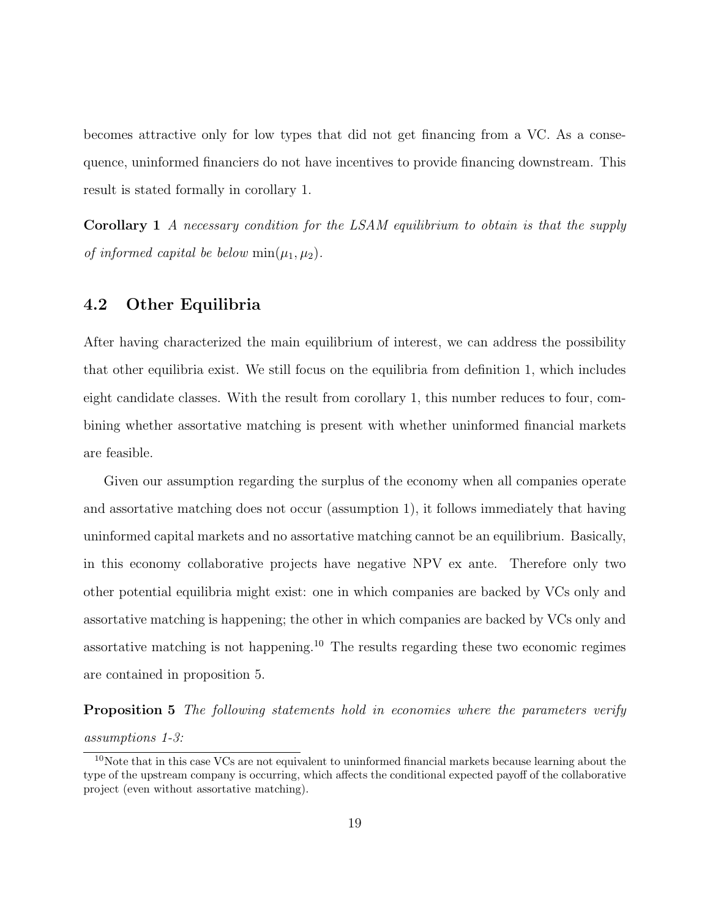becomes attractive only for low types that did not get financing from a VC. As a consequence, uninformed financiers do not have incentives to provide financing downstream. This result is stated formally in corollary 1.

Corollary 1 A necessary condition for the LSAM equilibrium to obtain is that the supply of informed capital be below  $min(\mu_1, \mu_2)$ .

#### 4.2 Other Equilibria

After having characterized the main equilibrium of interest, we can address the possibility that other equilibria exist. We still focus on the equilibria from definition 1, which includes eight candidate classes. With the result from corollary 1, this number reduces to four, combining whether assortative matching is present with whether uninformed financial markets are feasible.

Given our assumption regarding the surplus of the economy when all companies operate and assortative matching does not occur (assumption 1), it follows immediately that having uninformed capital markets and no assortative matching cannot be an equilibrium. Basically, in this economy collaborative projects have negative NPV ex ante. Therefore only two other potential equilibria might exist: one in which companies are backed by VCs only and assortative matching is happening; the other in which companies are backed by VCs only and assortative matching is not happening.<sup>10</sup> The results regarding these two economic regimes are contained in proposition 5.

Proposition 5 The following statements hold in economies where the parameters verify assumptions 1-3:

<sup>&</sup>lt;sup>10</sup>Note that in this case VCs are not equivalent to uninformed financial markets because learning about the type of the upstream company is occurring, which affects the conditional expected payoff of the collaborative project (even without assortative matching).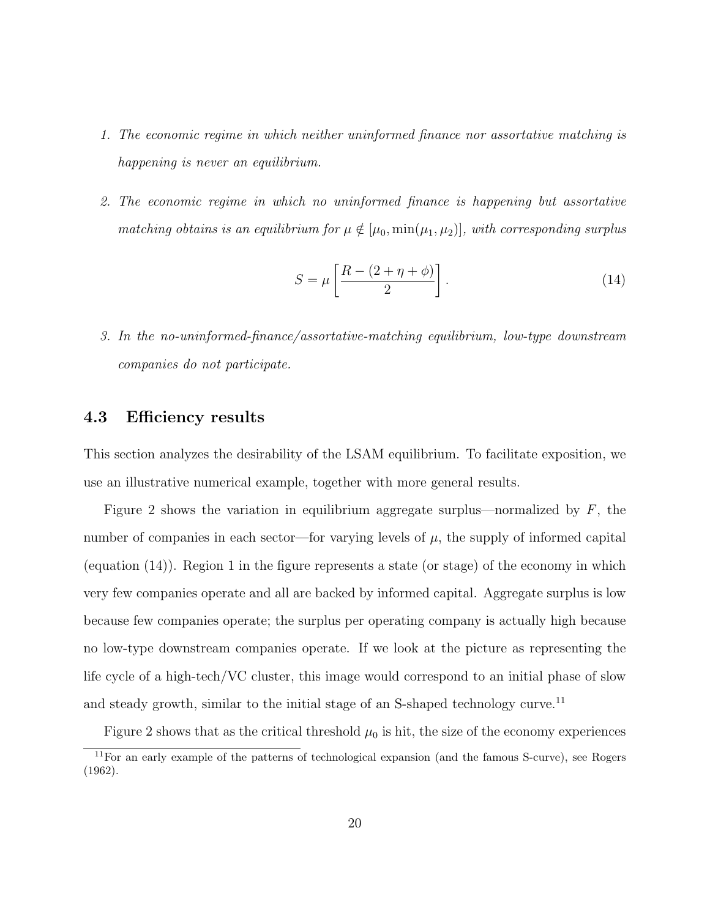- 1. The economic regime in which neither uninformed finance nor assortative matching is happening is never an equilibrium.
- 2. The economic regime in which no uninformed finance is happening but assortative matching obtains is an equilibrium for  $\mu \notin [\mu_0, \min(\mu_1, \mu_2)]$ , with corresponding surplus

$$
S = \mu \left[ \frac{R - (2 + \eta + \phi)}{2} \right].
$$
 (14)

3. In the no-uninformed-finance/assortative-matching equilibrium, low-type downstream companies do not participate.

#### 4.3 Efficiency results

This section analyzes the desirability of the LSAM equilibrium. To facilitate exposition, we use an illustrative numerical example, together with more general results.

Figure 2 shows the variation in equilibrium aggregate surplus—normalized by  $F$ , the number of companies in each sector—for varying levels of  $\mu$ , the supply of informed capital (equation  $(14)$ ). Region 1 in the figure represents a state (or stage) of the economy in which very few companies operate and all are backed by informed capital. Aggregate surplus is low because few companies operate; the surplus per operating company is actually high because no low-type downstream companies operate. If we look at the picture as representing the life cycle of a high-tech/VC cluster, this image would correspond to an initial phase of slow and steady growth, similar to the initial stage of an S-shaped technology curve.<sup>11</sup>

Figure 2 shows that as the critical threshold  $\mu_0$  is hit, the size of the economy experiences

<sup>11</sup>For an early example of the patterns of technological expansion (and the famous S-curve), see Rogers (1962).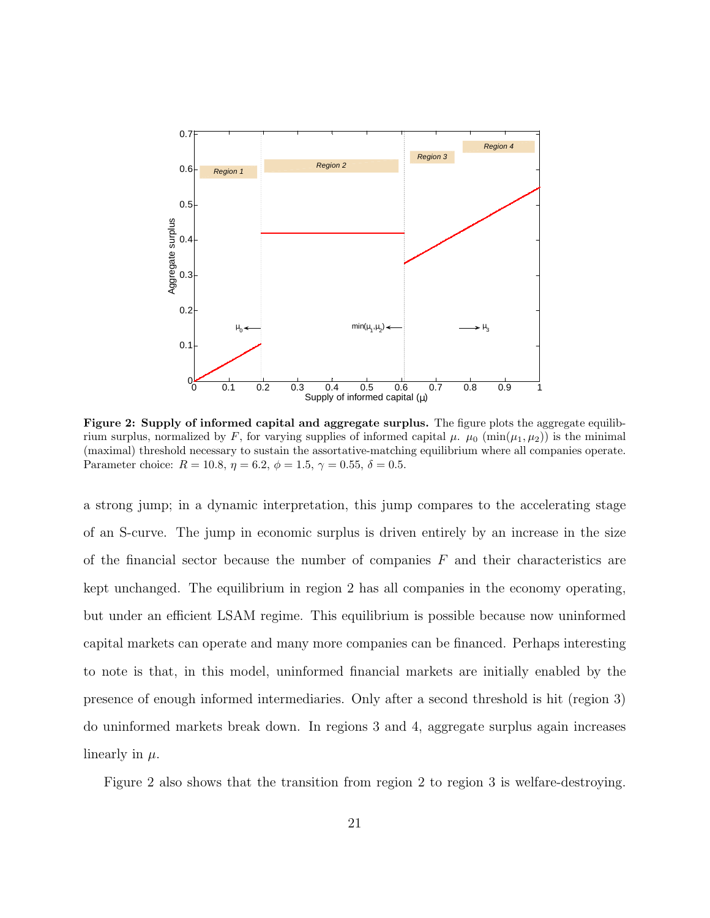

Figure 2: Supply of informed capital and aggregate surplus. The figure plots the aggregate equilibrium surplus, normalized by F, for varying supplies of informed capital  $\mu$ .  $\mu_0$  (min( $\mu_1, \mu_2$ )) is the minimal (maximal) threshold necessary to sustain the assortative-matching equilibrium where all companies operate. Parameter choice:  $R = 10.8$ ,  $\eta = 6.2$ ,  $\phi = 1.5$ ,  $\gamma = 0.55$ ,  $\delta = 0.5$ .

a strong jump; in a dynamic interpretation, this jump compares to the accelerating stage of an S-curve. The jump in economic surplus is driven entirely by an increase in the size of the financial sector because the number of companies  $F$  and their characteristics are kept unchanged. The equilibrium in region 2 has all companies in the economy operating, but under an efficient LSAM regime. This equilibrium is possible because now uninformed capital markets can operate and many more companies can be financed. Perhaps interesting to note is that, in this model, uninformed financial markets are initially enabled by the presence of enough informed intermediaries. Only after a second threshold is hit (region 3) do uninformed markets break down. In regions 3 and 4, aggregate surplus again increases linearly in  $\mu$ .

Figure 2 also shows that the transition from region 2 to region 3 is welfare-destroying.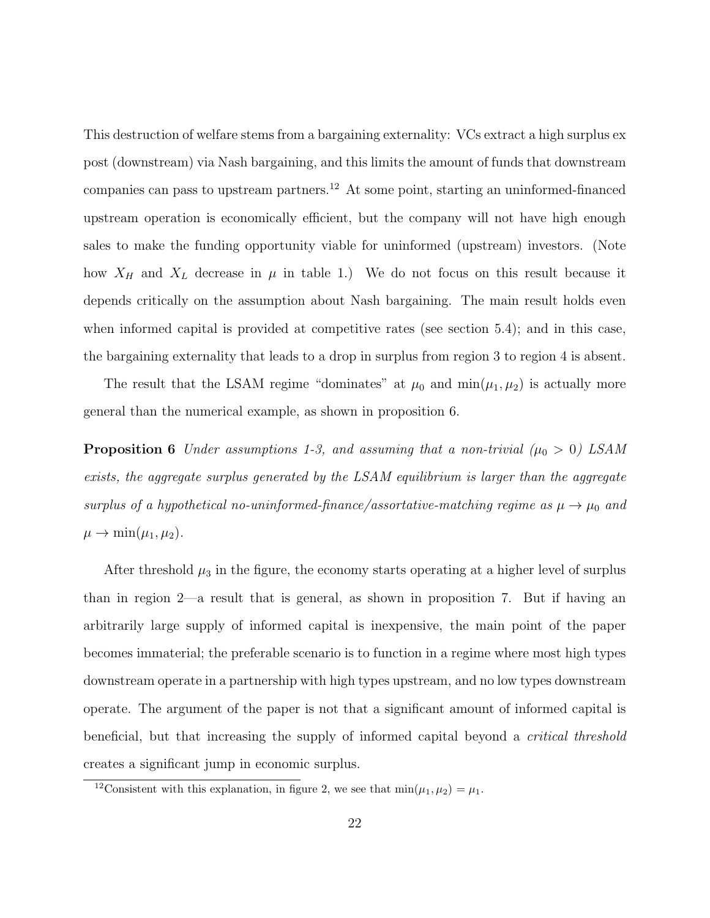This destruction of welfare stems from a bargaining externality: VCs extract a high surplus ex post (downstream) via Nash bargaining, and this limits the amount of funds that downstream companies can pass to upstream partners.<sup>12</sup> At some point, starting an uninformed-financed upstream operation is economically efficient, but the company will not have high enough sales to make the funding opportunity viable for uninformed (upstream) investors. (Note how  $X_H$  and  $X_L$  decrease in  $\mu$  in table 1.) We do not focus on this result because it depends critically on the assumption about Nash bargaining. The main result holds even when informed capital is provided at competitive rates (see section 5.4); and in this case, the bargaining externality that leads to a drop in surplus from region 3 to region 4 is absent.

The result that the LSAM regime "dominates" at  $\mu_0$  and  $\min(\mu_1, \mu_2)$  is actually more general than the numerical example, as shown in proposition 6.

**Proposition 6** Under assumptions 1-3, and assuming that a non-trivial ( $\mu_0 > 0$ ) LSAM exists, the aggregate surplus generated by the LSAM equilibrium is larger than the aggregate surplus of a hypothetical no-uninformed-finance/assortative-matching regime as  $\mu \to \mu_0$  and  $\mu \to \min(\mu_1, \mu_2).$ 

After threshold  $\mu_3$  in the figure, the economy starts operating at a higher level of surplus than in region 2—a result that is general, as shown in proposition 7. But if having an arbitrarily large supply of informed capital is inexpensive, the main point of the paper becomes immaterial; the preferable scenario is to function in a regime where most high types downstream operate in a partnership with high types upstream, and no low types downstream operate. The argument of the paper is not that a significant amount of informed capital is beneficial, but that increasing the supply of informed capital beyond a critical threshold creates a significant jump in economic surplus.

<sup>&</sup>lt;sup>12</sup>Consistent with this explanation, in figure 2, we see that  $min(\mu_1, \mu_2) = \mu_1$ .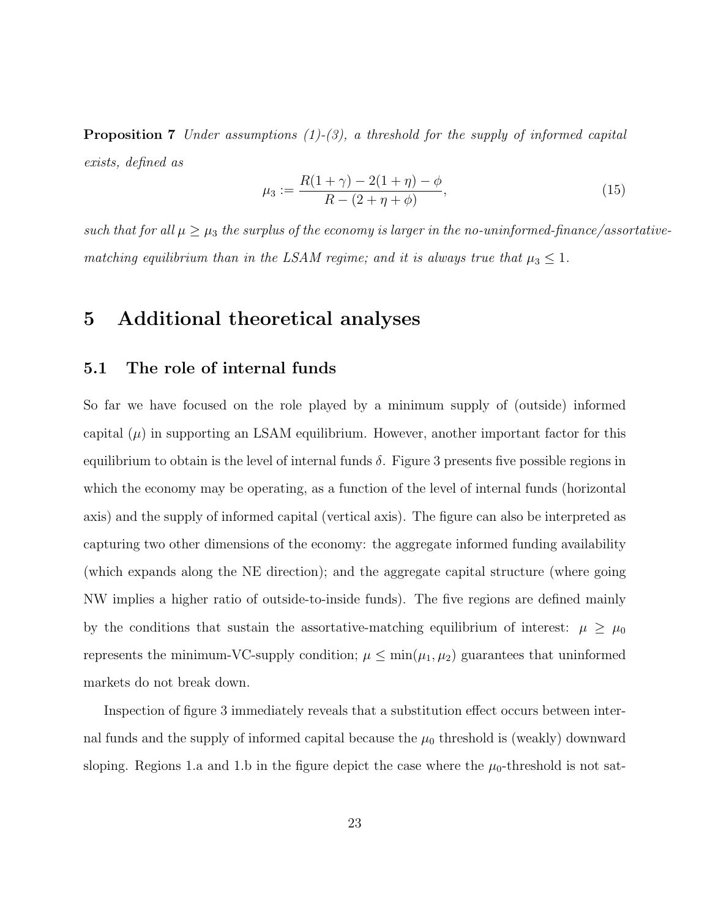**Proposition 7** Under assumptions  $(1)-(3)$ , a threshold for the supply of informed capital exists, defined as

$$
\mu_3 := \frac{R(1+\gamma) - 2(1+\eta) - \phi}{R - (2+\eta+\phi)},\tag{15}
$$

such that for all  $\mu \geq \mu_3$  the surplus of the economy is larger in the no-uninformed-finance/assortativematching equilibrium than in the LSAM regime; and it is always true that  $\mu_3 \leq 1$ .

### 5 Additional theoretical analyses

#### 5.1 The role of internal funds

So far we have focused on the role played by a minimum supply of (outside) informed capital  $(\mu)$  in supporting an LSAM equilibrium. However, another important factor for this equilibrium to obtain is the level of internal funds  $\delta$ . Figure 3 presents five possible regions in which the economy may be operating, as a function of the level of internal funds (horizontal axis) and the supply of informed capital (vertical axis). The figure can also be interpreted as capturing two other dimensions of the economy: the aggregate informed funding availability (which expands along the NE direction); and the aggregate capital structure (where going NW implies a higher ratio of outside-to-inside funds). The five regions are defined mainly by the conditions that sustain the assortative-matching equilibrium of interest:  $\mu \geq \mu_0$ represents the minimum-VC-supply condition;  $\mu \leq \min(\mu_1, \mu_2)$  guarantees that uninformed markets do not break down.

Inspection of figure 3 immediately reveals that a substitution effect occurs between internal funds and the supply of informed capital because the  $\mu_0$  threshold is (weakly) downward sloping. Regions 1.a and 1.b in the figure depict the case where the  $\mu_0$ -threshold is not sat-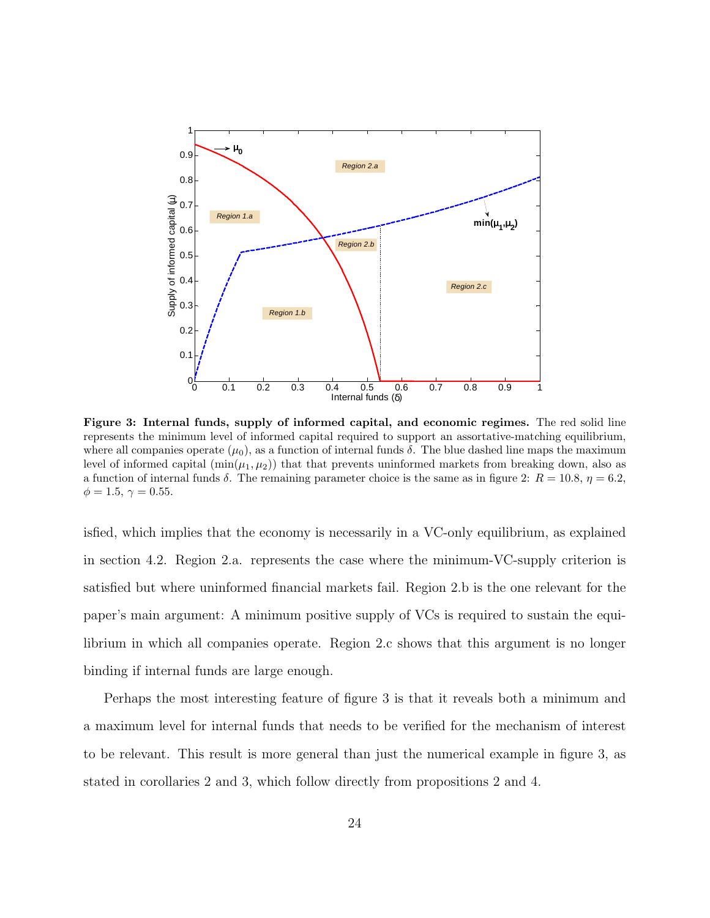

Figure 3: Internal funds, supply of informed capital, and economic regimes. The red solid line represents the minimum level of informed capital required to support an assortative-matching equilibrium, where all companies operate  $(\mu_0)$ , as a function of internal funds  $\delta$ . The blue dashed line maps the maximum level of informed capital  $(\min(\mu_1, \mu_2))$  that that prevents uninformed markets from breaking down, also as a function of internal funds  $\delta$ . The remaining parameter choice is the same as in figure 2:  $R = 10.8$ ,  $\eta = 6.2$ ,  $\phi = 1.5, \gamma = 0.55.$ 

isfied, which implies that the economy is necessarily in a VC-only equilibrium, as explained in section 4.2. Region 2.a. represents the case where the minimum-VC-supply criterion is satisfied but where uninformed financial markets fail. Region 2.b is the one relevant for the paper's main argument: A minimum positive supply of VCs is required to sustain the equilibrium in which all companies operate. Region 2.c shows that this argument is no longer binding if internal funds are large enough.

Perhaps the most interesting feature of figure 3 is that it reveals both a minimum and a maximum level for internal funds that needs to be verified for the mechanism of interest to be relevant. This result is more general than just the numerical example in figure 3, as stated in corollaries 2 and 3, which follow directly from propositions 2 and 4.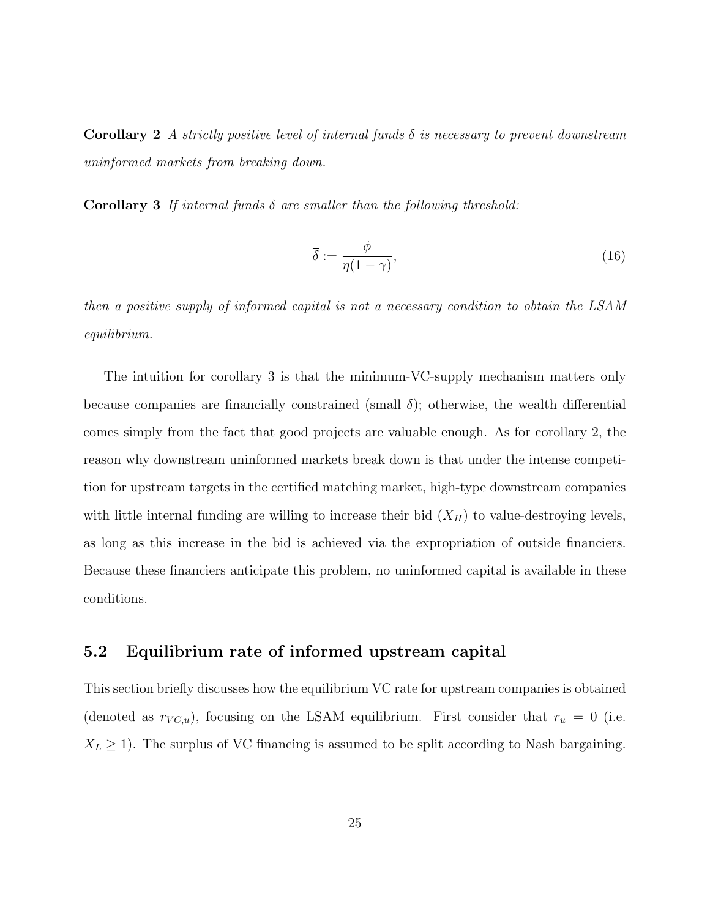Corollary 2 A strictly positive level of internal funds  $\delta$  is necessary to prevent downstream uninformed markets from breaking down.

Corollary 3 If internal funds  $\delta$  are smaller than the following threshold:

$$
\overline{\delta} := \frac{\phi}{\eta(1-\gamma)},\tag{16}
$$

then a positive supply of informed capital is not a necessary condition to obtain the LSAM equilibrium.

The intuition for corollary 3 is that the minimum-VC-supply mechanism matters only because companies are financially constrained (small  $\delta$ ); otherwise, the wealth differential comes simply from the fact that good projects are valuable enough. As for corollary 2, the reason why downstream uninformed markets break down is that under the intense competition for upstream targets in the certified matching market, high-type downstream companies with little internal funding are willing to increase their bid  $(X_H)$  to value-destroying levels, as long as this increase in the bid is achieved via the expropriation of outside financiers. Because these financiers anticipate this problem, no uninformed capital is available in these conditions.

#### 5.2 Equilibrium rate of informed upstream capital

This section briefly discusses how the equilibrium VC rate for upstream companies is obtained (denoted as  $r_{VC,u}$ ), focusing on the LSAM equilibrium. First consider that  $r_u = 0$  (i.e.  $X_L \geq 1$ ). The surplus of VC financing is assumed to be split according to Nash bargaining.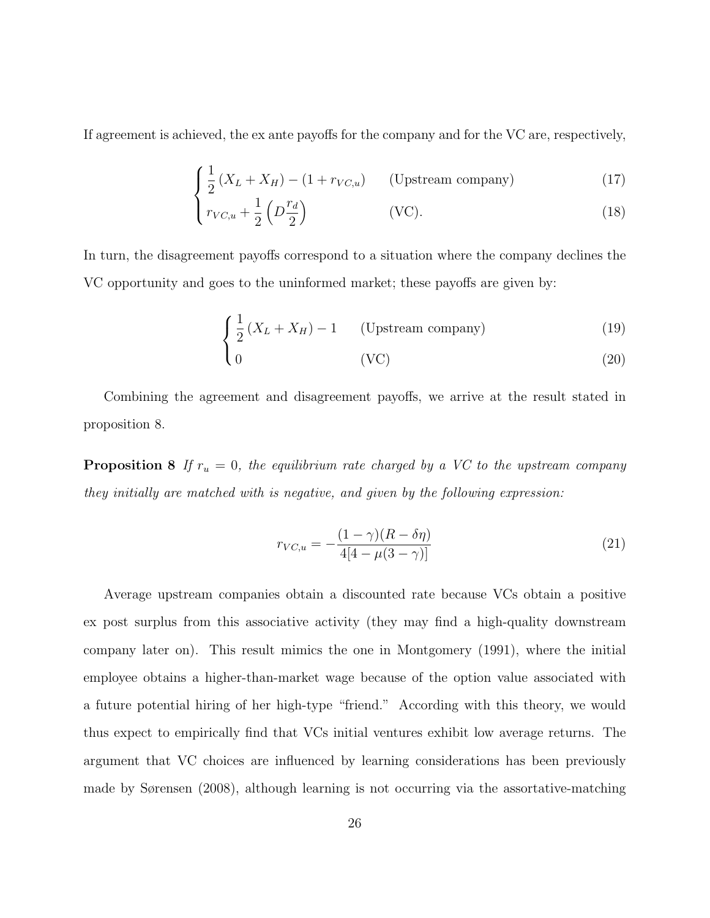If agreement is achieved, the ex ante payoffs for the company and for the VC are, respectively,

$$
\int \frac{1}{2} \left( X_L + X_H \right) - (1 + r_{VC,u}) \qquad \text{(Upstream company)} \tag{17}
$$

$$
\left( r_{VC,u} + \frac{1}{2} \left( D \frac{r_d}{2} \right) \right) \quad \text{(VC)}.
$$

In turn, the disagreement payoffs correspond to a situation where the company declines the VC opportunity and goes to the uninformed market; these payoffs are given by:

$$
\begin{cases} \frac{1}{2} \left( X_L + X_H \right) - 1 & \text{(Upstream company)} \end{cases} \tag{19}
$$

$$
\begin{pmatrix} 0 & (VC) \end{pmatrix} \tag{20}
$$

Combining the agreement and disagreement payoffs, we arrive at the result stated in proposition 8.

**Proposition 8** If  $r_u = 0$ , the equilibrium rate charged by a VC to the upstream company they initially are matched with is negative, and given by the following expression:

$$
r_{VC,u} = -\frac{(1-\gamma)(R-\delta\eta)}{4[4-\mu(3-\gamma)]}
$$
\n(21)

Average upstream companies obtain a discounted rate because VCs obtain a positive ex post surplus from this associative activity (they may find a high-quality downstream company later on). This result mimics the one in Montgomery (1991), where the initial employee obtains a higher-than-market wage because of the option value associated with a future potential hiring of her high-type "friend." According with this theory, we would thus expect to empirically find that VCs initial ventures exhibit low average returns. The argument that VC choices are influenced by learning considerations has been previously made by Sørensen (2008), although learning is not occurring via the assortative-matching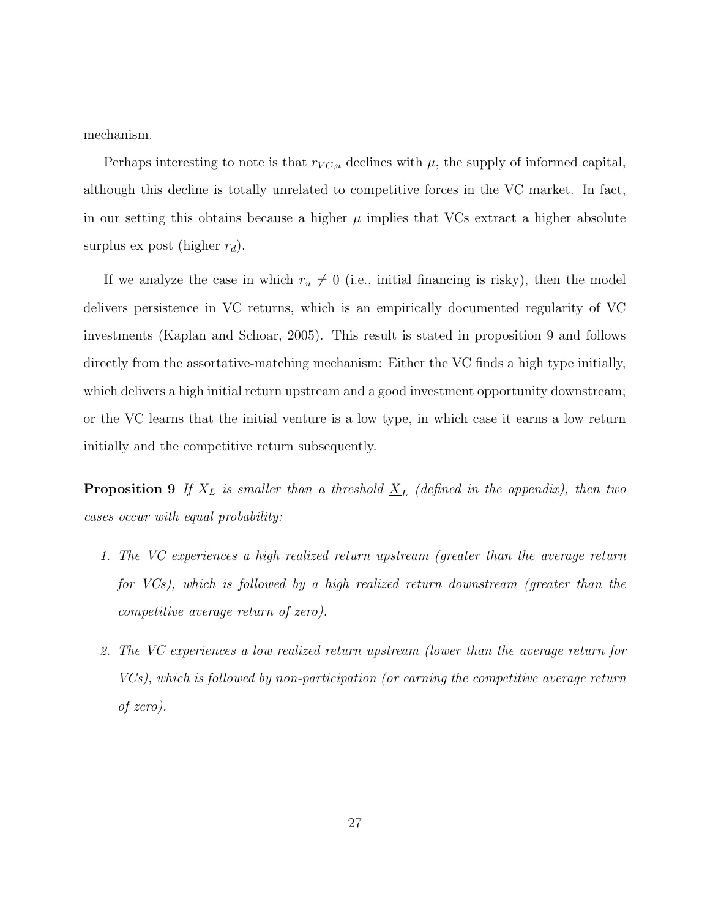mechanism.

Perhaps interesting to note is that  $r_{VC,u}$  declines with  $\mu$ , the supply of informed capital, although this decline is totally unrelated to competitive forces in the VC market. In fact, in our setting this obtains because a higher  $\mu$  implies that VCs extract a higher absolute surplus ex post (higher  $r_d$ ).

If we analyze the case in which  $r_u \neq 0$  (i.e., initial financing is risky), then the model delivers persistence in VC returns, which is an empirically documented regularity of VC investments (Kaplan and Schoar, 2005). This result is stated in proposition 9 and follows directly from the assortative-matching mechanism: Either the VC finds a high type initially, which delivers a high initial return upstream and a good investment opportunity downstream; or the VC learns that the initial venture is a low type, in which case it earns a low return initially and the competitive return subsequently.

**Proposition 9** If  $X_L$  is smaller than a threshold  $\underline{X}_L$  (defined in the appendix), then two cases occur with equal probability:

- 1. The VC experiences a high realized return upstream (greater than the average return for VCs), which is followed by a high realized return downstream (greater than the competitive average return of zero).
- 2. The VC experiences a low realized return upstream (lower than the average return for VCs), which is followed by non-participation (or earning the competitive average return of zero).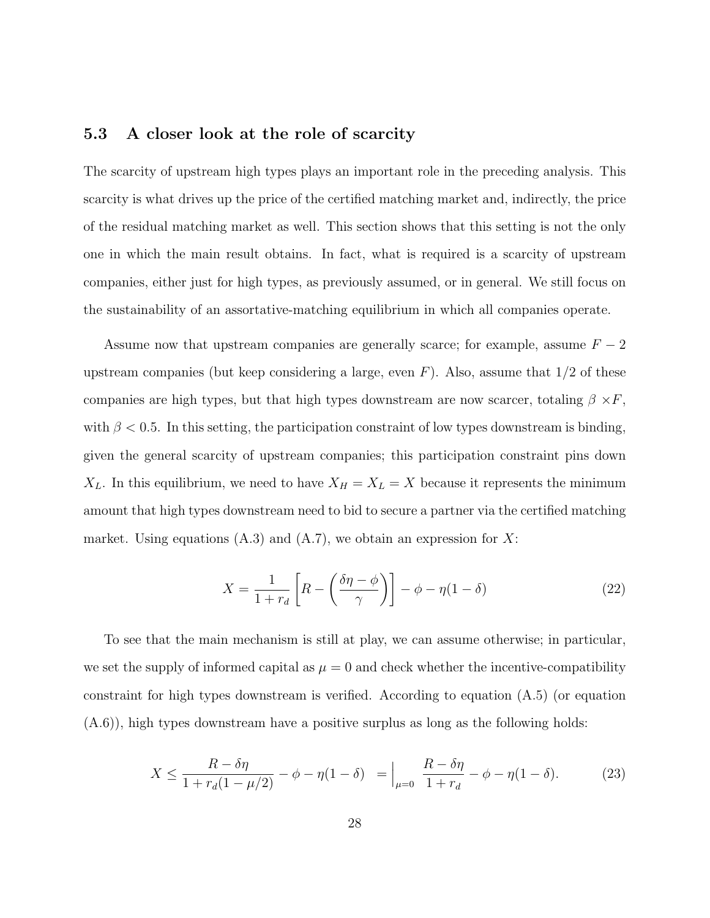#### 5.3 A closer look at the role of scarcity

The scarcity of upstream high types plays an important role in the preceding analysis. This scarcity is what drives up the price of the certified matching market and, indirectly, the price of the residual matching market as well. This section shows that this setting is not the only one in which the main result obtains. In fact, what is required is a scarcity of upstream companies, either just for high types, as previously assumed, or in general. We still focus on the sustainability of an assortative-matching equilibrium in which all companies operate.

Assume now that upstream companies are generally scarce; for example, assume  $F - 2$ upstream companies (but keep considering a large, even  $F$ ). Also, assume that  $1/2$  of these companies are high types, but that high types downstream are now scarcer, totaling  $\beta \times F$ , with  $\beta$  < 0.5. In this setting, the participation constraint of low types downstream is binding, given the general scarcity of upstream companies; this participation constraint pins down  $X_L$ . In this equilibrium, we need to have  $X_H = X_L = X$  because it represents the minimum amount that high types downstream need to bid to secure a partner via the certified matching market. Using equations  $(A.3)$  and  $(A.7)$ , we obtain an expression for X:

$$
X = \frac{1}{1+r_d} \left[ R - \left( \frac{\delta \eta - \phi}{\gamma} \right) \right] - \phi - \eta (1-\delta) \tag{22}
$$

To see that the main mechanism is still at play, we can assume otherwise; in particular, we set the supply of informed capital as  $\mu = 0$  and check whether the incentive-compatibility constraint for high types downstream is verified. According to equation (A.5) (or equation (A.6)), high types downstream have a positive surplus as long as the following holds:

$$
X \le \frac{R - \delta \eta}{1 + r_d(1 - \mu/2)} - \phi - \eta(1 - \delta) = \Big|_{\mu=0} \frac{R - \delta \eta}{1 + r_d} - \phi - \eta(1 - \delta). \tag{23}
$$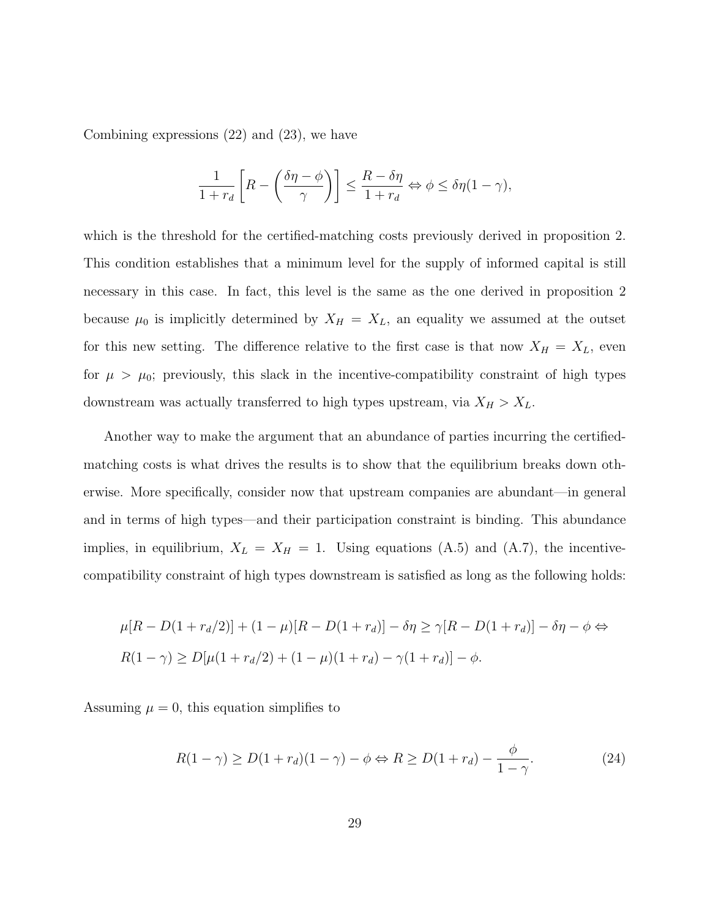Combining expressions (22) and (23), we have

$$
\frac{1}{1+r_d} \left[ R - \left( \frac{\delta \eta - \phi}{\gamma} \right) \right] \le \frac{R - \delta \eta}{1+r_d} \Leftrightarrow \phi \le \delta \eta (1-\gamma),
$$

which is the threshold for the certified-matching costs previously derived in proposition 2. This condition establishes that a minimum level for the supply of informed capital is still necessary in this case. In fact, this level is the same as the one derived in proposition 2 because  $\mu_0$  is implicitly determined by  $X_H = X_L$ , an equality we assumed at the outset for this new setting. The difference relative to the first case is that now  $X_H = X_L$ , even for  $\mu > \mu_0$ ; previously, this slack in the incentive-compatibility constraint of high types downstream was actually transferred to high types upstream, via  $X_H > X_L$ .

Another way to make the argument that an abundance of parties incurring the certifiedmatching costs is what drives the results is to show that the equilibrium breaks down otherwise. More specifically, consider now that upstream companies are abundant—in general and in terms of high types—and their participation constraint is binding. This abundance implies, in equilibrium,  $X_L = X_H = 1$ . Using equations (A.5) and (A.7), the incentivecompatibility constraint of high types downstream is satisfied as long as the following holds:

$$
\mu[R - D(1 + r_d/2)] + (1 - \mu)[R - D(1 + r_d)] - \delta\eta \ge \gamma[R - D(1 + r_d)] - \delta\eta - \phi \Leftrightarrow
$$
  

$$
R(1 - \gamma) \ge D[\mu(1 + r_d/2) + (1 - \mu)(1 + r_d) - \gamma(1 + r_d)] - \phi.
$$

Assuming  $\mu = 0$ , this equation simplifies to

$$
R(1 - \gamma) \ge D(1 + r_d)(1 - \gamma) - \phi \Leftrightarrow R \ge D(1 + r_d) - \frac{\phi}{1 - \gamma}.\tag{24}
$$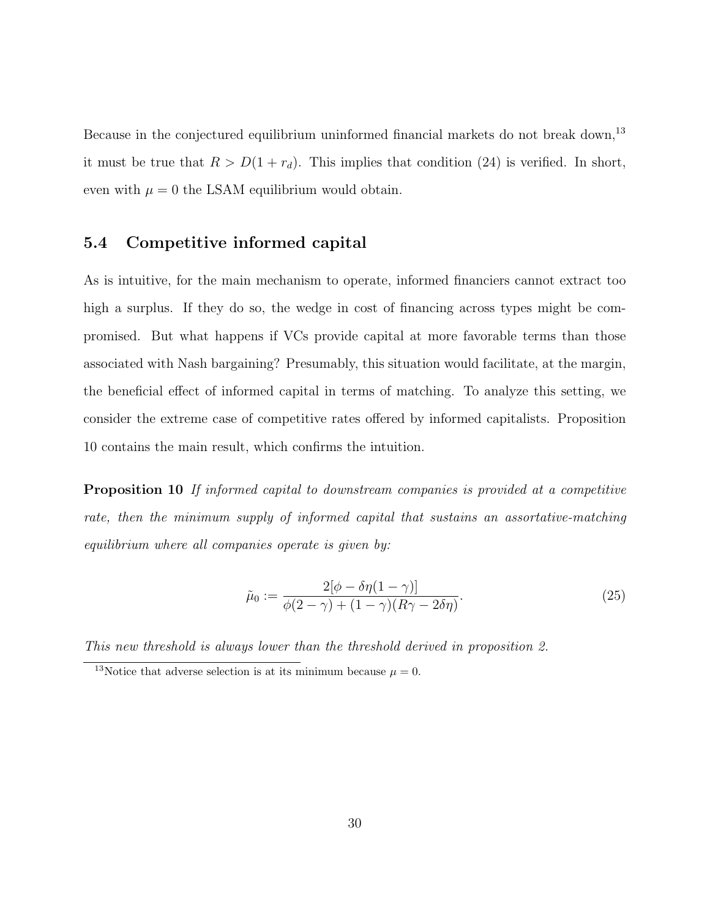Because in the conjectured equilibrium uninformed financial markets do not break down,<sup>13</sup> it must be true that  $R > D(1 + r_d)$ . This implies that condition (24) is verified. In short, even with  $\mu = 0$  the LSAM equilibrium would obtain.

#### 5.4 Competitive informed capital

As is intuitive, for the main mechanism to operate, informed financiers cannot extract too high a surplus. If they do so, the wedge in cost of financing across types might be compromised. But what happens if VCs provide capital at more favorable terms than those associated with Nash bargaining? Presumably, this situation would facilitate, at the margin, the beneficial effect of informed capital in terms of matching. To analyze this setting, we consider the extreme case of competitive rates offered by informed capitalists. Proposition 10 contains the main result, which confirms the intuition.

Proposition 10 If informed capital to downstream companies is provided at a competitive rate, then the minimum supply of informed capital that sustains an assortative-matching equilibrium where all companies operate is given by:

$$
\tilde{\mu}_0 := \frac{2[\phi - \delta \eta (1 - \gamma)]}{\phi(2 - \gamma) + (1 - \gamma)(R\gamma - 2\delta \eta)}.\tag{25}
$$

This new threshold is always lower than the threshold derived in proposition 2.

<sup>&</sup>lt;sup>13</sup>Notice that adverse selection is at its minimum because  $\mu = 0$ .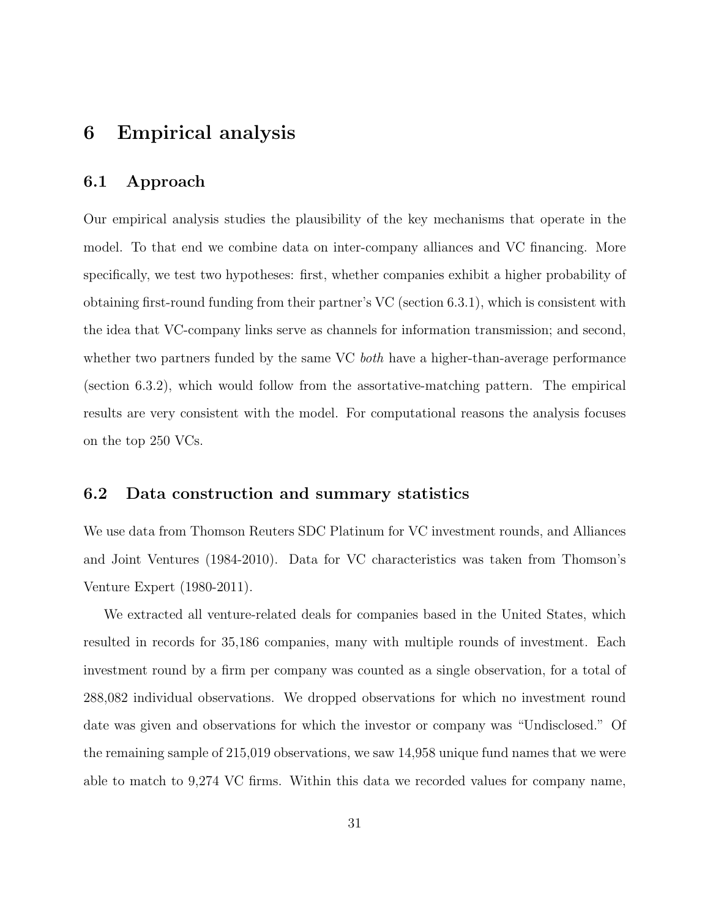### 6 Empirical analysis

#### 6.1 Approach

Our empirical analysis studies the plausibility of the key mechanisms that operate in the model. To that end we combine data on inter-company alliances and VC financing. More specifically, we test two hypotheses: first, whether companies exhibit a higher probability of obtaining first-round funding from their partner's VC (section 6.3.1), which is consistent with the idea that VC-company links serve as channels for information transmission; and second, whether two partners funded by the same VC *both* have a higher-than-average performance (section 6.3.2), which would follow from the assortative-matching pattern. The empirical results are very consistent with the model. For computational reasons the analysis focuses on the top 250 VCs.

#### 6.2 Data construction and summary statistics

We use data from Thomson Reuters SDC Platinum for VC investment rounds, and Alliances and Joint Ventures (1984-2010). Data for VC characteristics was taken from Thomson's Venture Expert (1980-2011).

We extracted all venture-related deals for companies based in the United States, which resulted in records for 35,186 companies, many with multiple rounds of investment. Each investment round by a firm per company was counted as a single observation, for a total of 288,082 individual observations. We dropped observations for which no investment round date was given and observations for which the investor or company was "Undisclosed." Of the remaining sample of 215,019 observations, we saw 14,958 unique fund names that we were able to match to 9,274 VC firms. Within this data we recorded values for company name,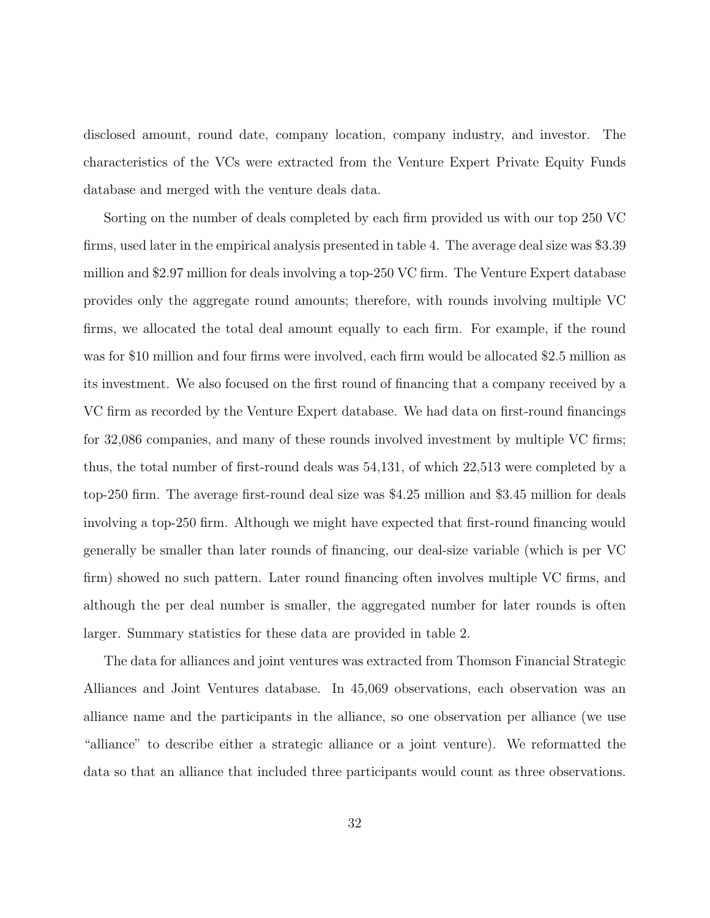disclosed amount, round date, company location, company industry, and investor. The characteristics of the VCs were extracted from the Venture Expert Private Equity Funds database and merged with the venture deals data.

Sorting on the number of deals completed by each firm provided us with our top 250 VC firms, used later in the empirical analysis presented in table 4. The average deal size was \$3.39 million and \$2.97 million for deals involving a top-250 VC firm. The Venture Expert database provides only the aggregate round amounts; therefore, with rounds involving multiple VC firms, we allocated the total deal amount equally to each firm. For example, if the round was for \$10 million and four firms were involved, each firm would be allocated \$2.5 million as its investment. We also focused on the first round of financing that a company received by a VC firm as recorded by the Venture Expert database. We had data on first-round financings for 32,086 companies, and many of these rounds involved investment by multiple VC firms; thus, the total number of first-round deals was 54,131, of which 22,513 were completed by a top-250 firm. The average first-round deal size was \$4.25 million and \$3.45 million for deals involving a top-250 firm. Although we might have expected that first-round financing would generally be smaller than later rounds of financing, our deal-size variable (which is per VC firm) showed no such pattern. Later round financing often involves multiple VC firms, and although the per deal number is smaller, the aggregated number for later rounds is often larger. Summary statistics for these data are provided in table 2.

The data for alliances and joint ventures was extracted from Thomson Financial Strategic Alliances and Joint Ventures database. In 45,069 observations, each observation was an alliance name and the participants in the alliance, so one observation per alliance (we use "alliance" to describe either a strategic alliance or a joint venture). We reformatted the data so that an alliance that included three participants would count as three observations.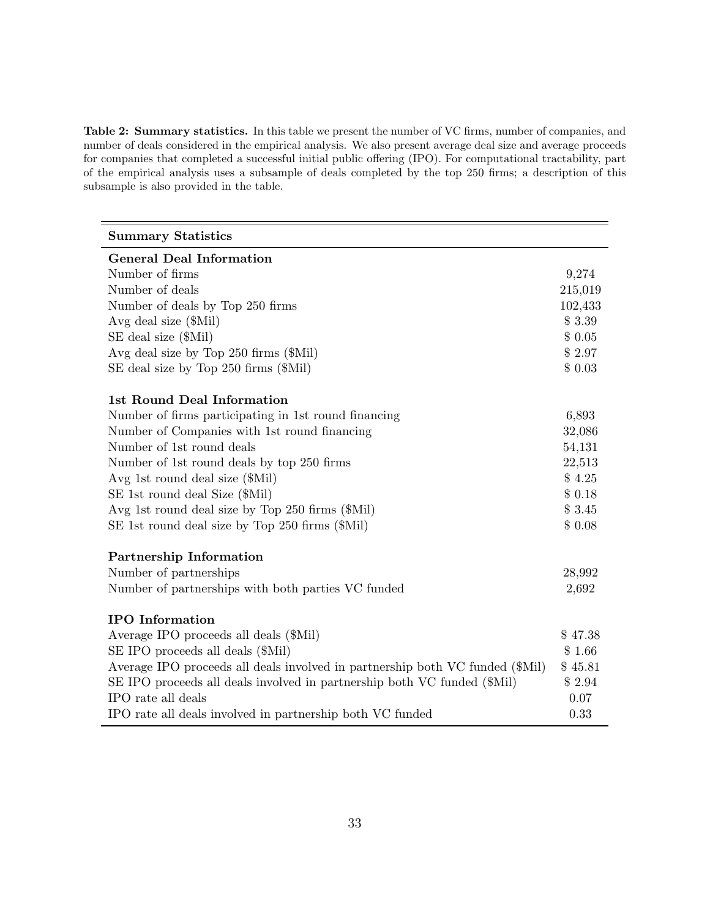Table 2: Summary statistics. In this table we present the number of VC firms, number of companies, and number of deals considered in the empirical analysis. We also present average deal size and average proceeds for companies that completed a successful initial public offering (IPO). For computational tractability, part of the empirical analysis uses a subsample of deals completed by the top 250 firms; a description of this subsample is also provided in the table.

| <b>Summary Statistics</b>                                                     |         |
|-------------------------------------------------------------------------------|---------|
| <b>General Deal Information</b>                                               |         |
| Number of firms                                                               | 9,274   |
| Number of deals                                                               | 215,019 |
| Number of deals by Top 250 firms                                              | 102,433 |
| Avg deal size (\$Mil)                                                         | \$3.39  |
| SE deal size (\$Mil)                                                          | \$0.05  |
| Avg deal size by Top 250 firms (\$Mil)                                        | \$2.97  |
| SE deal size by Top 250 firms (\$Mil)                                         | \$0.03  |
| 1st Round Deal Information                                                    |         |
| Number of firms participating in 1st round financing                          | 6,893   |
| Number of Companies with 1st round financing                                  | 32,086  |
| Number of 1st round deals                                                     | 54,131  |
| Number of 1st round deals by top 250 firms                                    | 22,513  |
| Avg 1st round deal size (\$Mil)                                               | \$4.25  |
| SE 1st round deal Size (\$Mil)                                                | \$0.18  |
| Avg 1st round deal size by Top 250 firms (\$Mil)                              | \$3.45  |
| SE 1st round deal size by Top 250 firms (\$Mil)                               | \$0.08  |
| Partnership Information                                                       |         |
| Number of partnerships                                                        | 28,992  |
| Number of partnerships with both parties VC funded                            | 2,692   |
| <b>IPO</b> Information                                                        |         |
| Average IPO proceeds all deals (\$Mil)                                        | \$47.38 |
| SE IPO proceeds all deals (\$Mil)                                             | \$1.66  |
| Average IPO proceeds all deals involved in partnership both VC funded (\$Mil) | \$45.81 |
| SE IPO proceeds all deals involved in partnership both VC funded (\$Mil)      | \$2.94  |
| IPO rate all deals                                                            | 0.07    |
| IPO rate all deals involved in partnership both VC funded                     | 0.33    |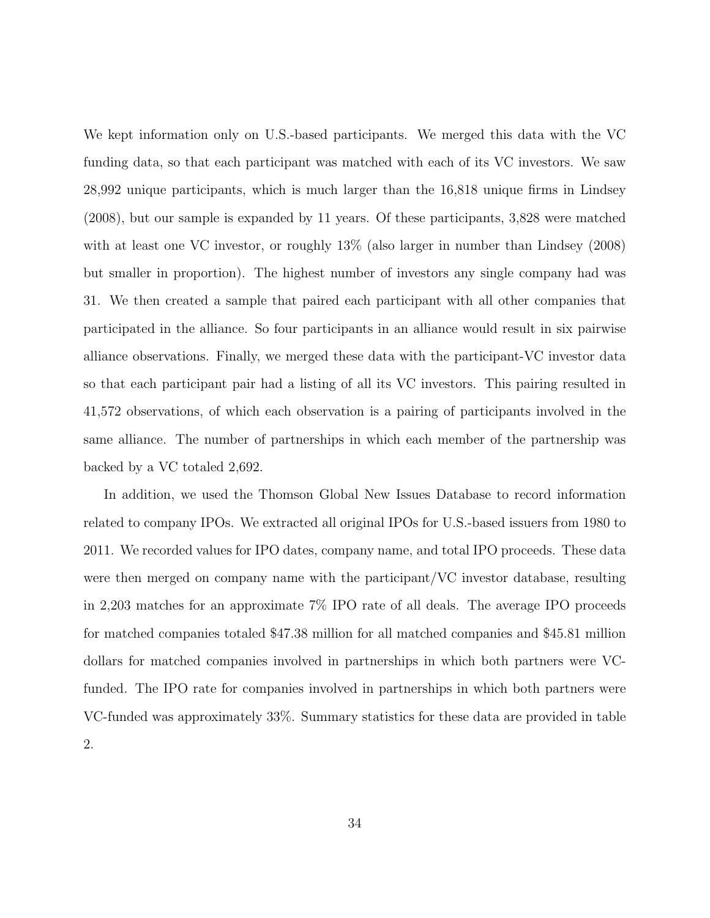We kept information only on U.S.-based participants. We merged this data with the VC funding data, so that each participant was matched with each of its VC investors. We saw 28,992 unique participants, which is much larger than the 16,818 unique firms in Lindsey (2008), but our sample is expanded by 11 years. Of these participants, 3,828 were matched with at least one VC investor, or roughly  $13\%$  (also larger in number than Lindsey (2008) but smaller in proportion). The highest number of investors any single company had was 31. We then created a sample that paired each participant with all other companies that participated in the alliance. So four participants in an alliance would result in six pairwise alliance observations. Finally, we merged these data with the participant-VC investor data so that each participant pair had a listing of all its VC investors. This pairing resulted in 41,572 observations, of which each observation is a pairing of participants involved in the same alliance. The number of partnerships in which each member of the partnership was backed by a VC totaled 2,692.

In addition, we used the Thomson Global New Issues Database to record information related to company IPOs. We extracted all original IPOs for U.S.-based issuers from 1980 to 2011. We recorded values for IPO dates, company name, and total IPO proceeds. These data were then merged on company name with the participant/VC investor database, resulting in 2,203 matches for an approximate 7% IPO rate of all deals. The average IPO proceeds for matched companies totaled \$47.38 million for all matched companies and \$45.81 million dollars for matched companies involved in partnerships in which both partners were VCfunded. The IPO rate for companies involved in partnerships in which both partners were VC-funded was approximately 33%. Summary statistics for these data are provided in table 2.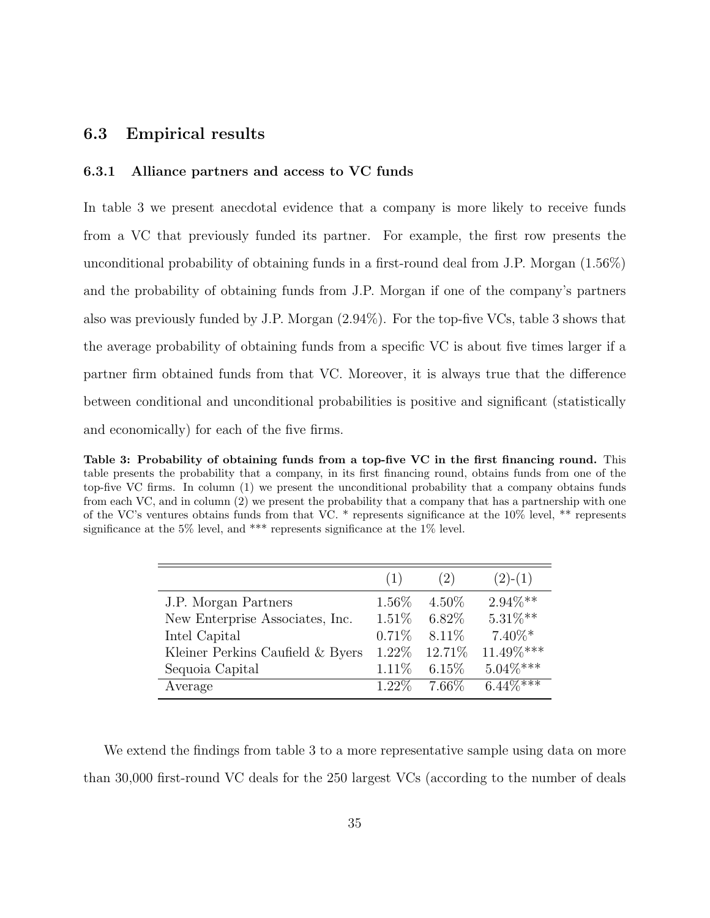#### 6.3 Empirical results

#### 6.3.1 Alliance partners and access to VC funds

In table 3 we present anecdotal evidence that a company is more likely to receive funds from a VC that previously funded its partner. For example, the first row presents the unconditional probability of obtaining funds in a first-round deal from J.P. Morgan (1.56%) and the probability of obtaining funds from J.P. Morgan if one of the company's partners also was previously funded by J.P. Morgan (2.94%). For the top-five VCs, table 3 shows that the average probability of obtaining funds from a specific VC is about five times larger if a partner firm obtained funds from that VC. Moreover, it is always true that the difference between conditional and unconditional probabilities is positive and significant (statistically and economically) for each of the five firms.

Table 3: Probability of obtaining funds from a top-five VC in the first financing round. This table presents the probability that a company, in its first financing round, obtains funds from one of the top-five VC firms. In column (1) we present the unconditional probability that a company obtains funds from each VC, and in column (2) we present the probability that a company that has a partnership with one of the VC's ventures obtains funds from that VC. \* represents significance at the 10% level, \*\* represents significance at the  $5\%$  level, and \*\*\* represents significance at the  $1\%$  level.

|                                  | (1)      | (2)      | $(2)-(1)$   |
|----------------------------------|----------|----------|-------------|
| J.P. Morgan Partners             | 1.56\%   | $4.50\%$ | $2.94\%**$  |
| New Enterprise Associates, Inc.  | 1.51%    | $6.82\%$ | $5.31\%**$  |
| Intel Capital                    | 0.71%    | 8.11\%   | $7.40\%*$   |
| Kleiner Perkins Caufield & Byers | 1.22\%   | 12.71%   | 11.49%***   |
| Sequoia Capital                  | $1.11\%$ | 6.15%    | $5.04\%***$ |
| Average                          | $1.22\%$ | 7.66\%   | $6.44\%***$ |

We extend the findings from table 3 to a more representative sample using data on more than 30,000 first-round VC deals for the 250 largest VCs (according to the number of deals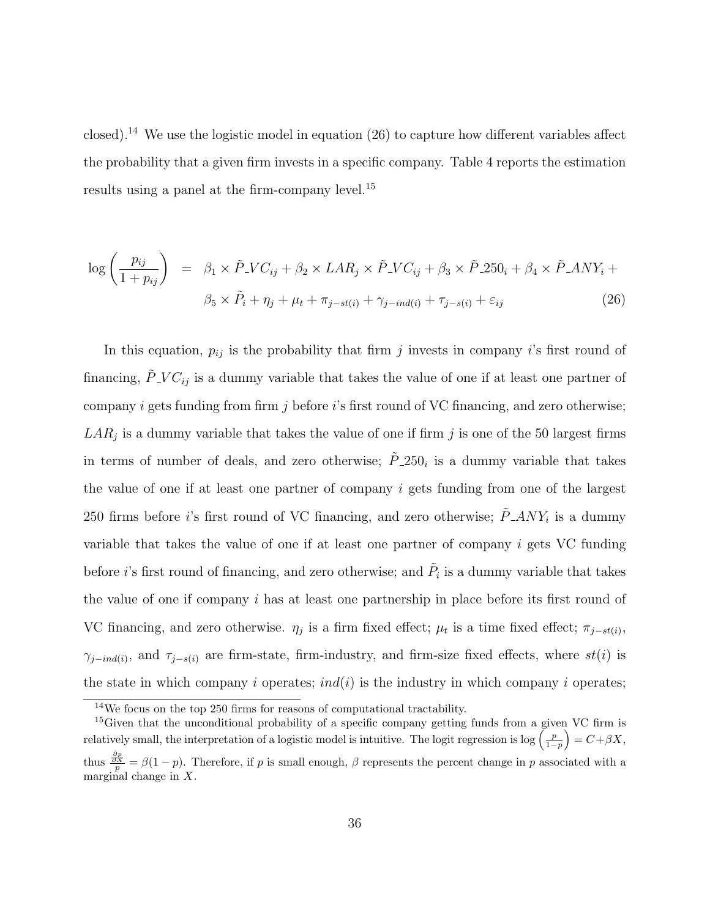closed).<sup>14</sup> We use the logistic model in equation  $(26)$  to capture how different variables affect the probability that a given firm invests in a specific company. Table 4 reports the estimation results using a panel at the firm-company level.<sup>15</sup>

$$
\log\left(\frac{p_{ij}}{1+p_{ij}}\right) = \beta_1 \times \tilde{P}_-VC_{ij} + \beta_2 \times LAR_j \times \tilde{P}_-VC_{ij} + \beta_3 \times \tilde{P}_-250_i + \beta_4 \times \tilde{P}_-ANY_i + \beta_5 \times \tilde{P}_i + \eta_j + \mu_t + \pi_{j-st(i)} + \gamma_{j-ind(i)} + \tau_{j-s(i)} + \varepsilon_{ij}
$$
\n(26)

In this equation,  $p_{ij}$  is the probability that firm j invests in company i's first round of financing,  $\ddot{P}$ -V $C_{ij}$  is a dummy variable that takes the value of one if at least one partner of company i gets funding from firm j before i's first round of VC financing, and zero otherwise;  $LAR_j$  is a dummy variable that takes the value of one if firm j is one of the 50 largest firms in terms of number of deals, and zero otherwise;  $\tilde{P}_1 250_i$  is a dummy variable that takes the value of one if at least one partner of company i gets funding from one of the largest 250 firms before *i*'s first round of VC financing, and zero otherwise;  $\tilde{P} \text{ } ANY_i$  is a dummy variable that takes the value of one if at least one partner of company  $i$  gets VC funding before *i*'s first round of financing, and zero otherwise; and  $\tilde{P}_i$  is a dummy variable that takes the value of one if company  $i$  has at least one partnership in place before its first round of VC financing, and zero otherwise.  $\eta_j$  is a firm fixed effect;  $\mu_t$  is a time fixed effect;  $\pi_{j-st(i)}$ ,  $\gamma_{j-ind(i)}$ , and  $\tau_{j-s(i)}$  are firm-state, firm-industry, and firm-size fixed effects, where  $st(i)$  is the state in which company i operates;  $ind(i)$  is the industry in which company i operates;

<sup>14</sup>We focus on the top 250 firms for reasons of computational tractability.

<sup>&</sup>lt;sup>15</sup>Given that the unconditional probability of a specific company getting funds from a given VC firm is relatively small, the interpretation of a logistic model is intuitive. The logit regression is log  $\left(\frac{p}{1-p}\right) = C + \beta X$ , thus  $\frac{\frac{\partial p}{\partial X}}{p} = \beta(1-p)$ . Therefore, if p is small enough,  $\beta$  represents the percent change in p associated with a marginal change in  $X$ .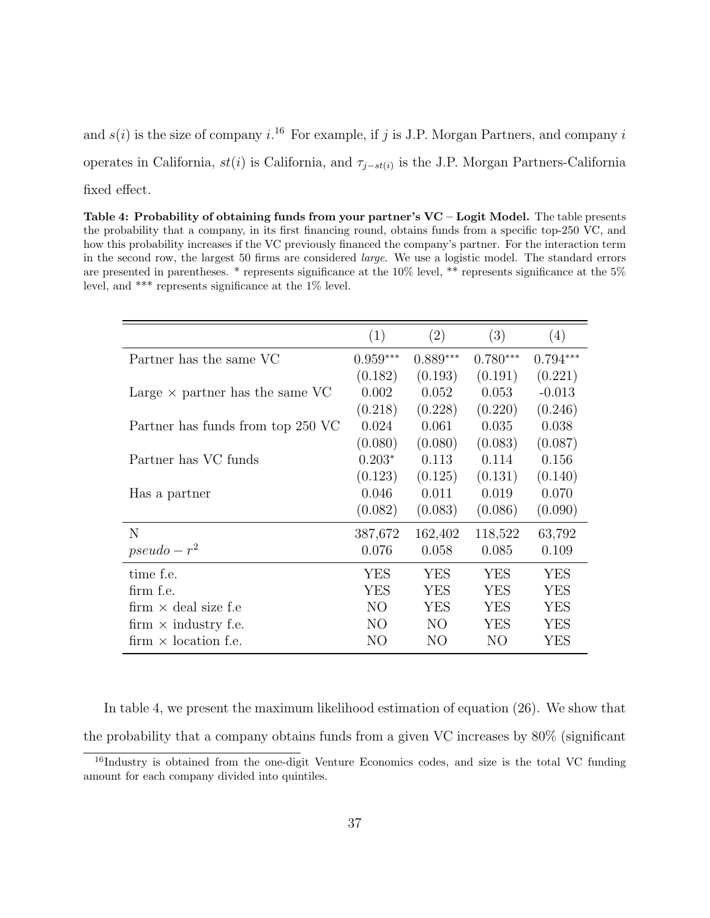and  $s(i)$  is the size of company i.<sup>16</sup> For example, if j is J.P. Morgan Partners, and company i operates in California,  $st(i)$  is California, and  $\tau_{j-st(i)}$  is the J.P. Morgan Partners-California fixed effect.

Table 4: Probability of obtaining funds from your partner's  $VC - Logistic Model$ . The table presents the probability that a company, in its first financing round, obtains funds from a specific top-250 VC, and how this probability increases if the VC previously financed the company's partner. For the interaction term in the second row, the largest 50 firms are considered large. We use a logistic model. The standard errors are presented in parentheses. \* represents significance at the 10% level, \*\* represents significance at the 5% level, and \*\*\* represents significance at the 1% level.

|                                        | (1)            | (2)        | (3)        | (4)        |
|----------------------------------------|----------------|------------|------------|------------|
| Partner has the same VC                | $0.959***$     | $0.889***$ | $0.780***$ | $0.794***$ |
|                                        | (0.182)        | (0.193)    | (0.191)    | (0.221)    |
| Large $\times$ partner has the same VC | 0.002          | 0.052      | 0.053      | $-0.013$   |
|                                        | (0.218)        | (0.228)    | (0.220)    | (0.246)    |
| Partner has funds from top 250 VC      | 0.024          | 0.061      | 0.035      | 0.038      |
|                                        | (0.080)        | (0.080)    | (0.083)    | (0.087)    |
| Partner has VC funds                   | $0.203*$       | 0.113      | 0.114      | 0.156      |
|                                        | (0.123)        | (0.125)    | (0.131)    | (0.140)    |
| Has a partner                          | 0.046          | 0.011      | 0.019      | 0.070      |
|                                        | (0.082)        | (0.083)    | (0.086)    | (0.090)    |
| N                                      | 387,672        | 162,402    | 118,522    | 63,792     |
| $pseudo - r^2$                         | 0.076          | 0.058      | 0.085      | 0.109      |
| time f.e.                              | YES            | <b>YES</b> | <b>YES</b> | YES        |
| firm f.e.                              | <b>YES</b>     | <b>YES</b> | <b>YES</b> | <b>YES</b> |
| firm $\times$ deal size f.e            | N <sub>O</sub> | <b>YES</b> | <b>YES</b> | <b>YES</b> |
| firm $\times$ industry f.e.            | NO.            | NO.        | YES        | YES        |
| firm $\times$ location f.e.            | NO             | NO         | NO         | YES        |

In table 4, we present the maximum likelihood estimation of equation (26). We show that the probability that a company obtains funds from a given VC increases by 80% (significant

<sup>&</sup>lt;sup>16</sup>Industry is obtained from the one-digit Venture Economics codes, and size is the total VC funding amount for each company divided into quintiles.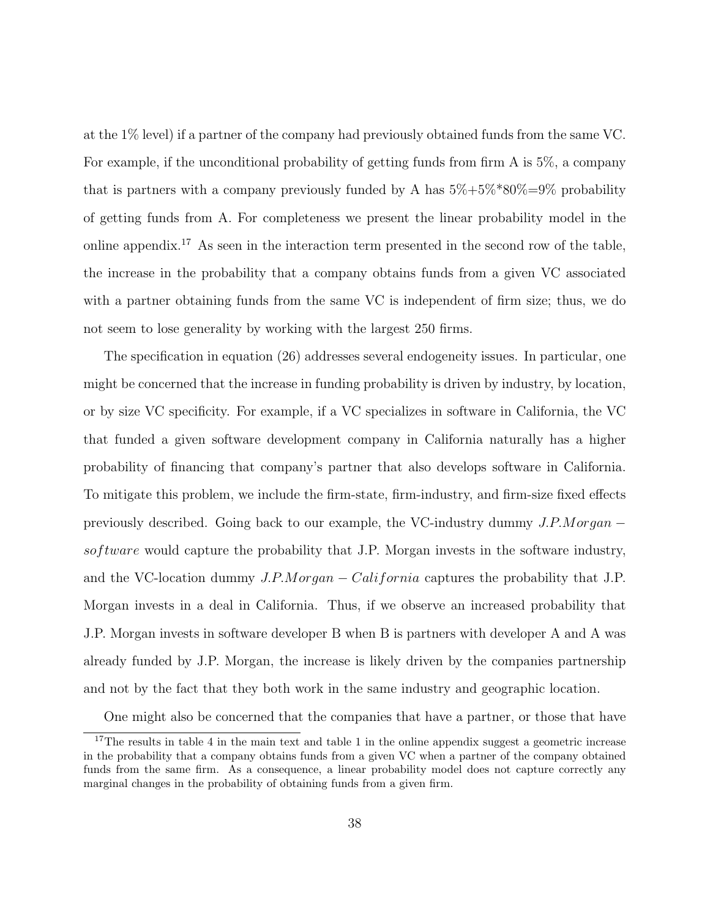at the 1% level) if a partner of the company had previously obtained funds from the same VC. For example, if the unconditional probability of getting funds from firm A is 5%, a company that is partners with a company previously funded by A has  $5\% + 5\% * 80\% = 9\%$  probability of getting funds from A. For completeness we present the linear probability model in the online appendix.<sup>17</sup> As seen in the interaction term presented in the second row of the table, the increase in the probability that a company obtains funds from a given VC associated with a partner obtaining funds from the same VC is independent of firm size; thus, we do not seem to lose generality by working with the largest 250 firms.

The specification in equation (26) addresses several endogeneity issues. In particular, one might be concerned that the increase in funding probability is driven by industry, by location, or by size VC specificity. For example, if a VC specializes in software in California, the VC that funded a given software development company in California naturally has a higher probability of financing that company's partner that also develops software in California. To mitigate this problem, we include the firm-state, firm-industry, and firm-size fixed effects previously described. Going back to our example, the VC-industry dummy  $J.P.Morgan$ sof tware would capture the probability that J.P. Morgan invests in the software industry, and the VC-location dummy  $J.P.Morgan - California$  captures the probability that J.P. Morgan invests in a deal in California. Thus, if we observe an increased probability that J.P. Morgan invests in software developer B when B is partners with developer A and A was already funded by J.P. Morgan, the increase is likely driven by the companies partnership and not by the fact that they both work in the same industry and geographic location.

One might also be concerned that the companies that have a partner, or those that have

<sup>&</sup>lt;sup>17</sup>The results in table 4 in the main text and table 1 in the online appendix suggest a geometric increase in the probability that a company obtains funds from a given VC when a partner of the company obtained funds from the same firm. As a consequence, a linear probability model does not capture correctly any marginal changes in the probability of obtaining funds from a given firm.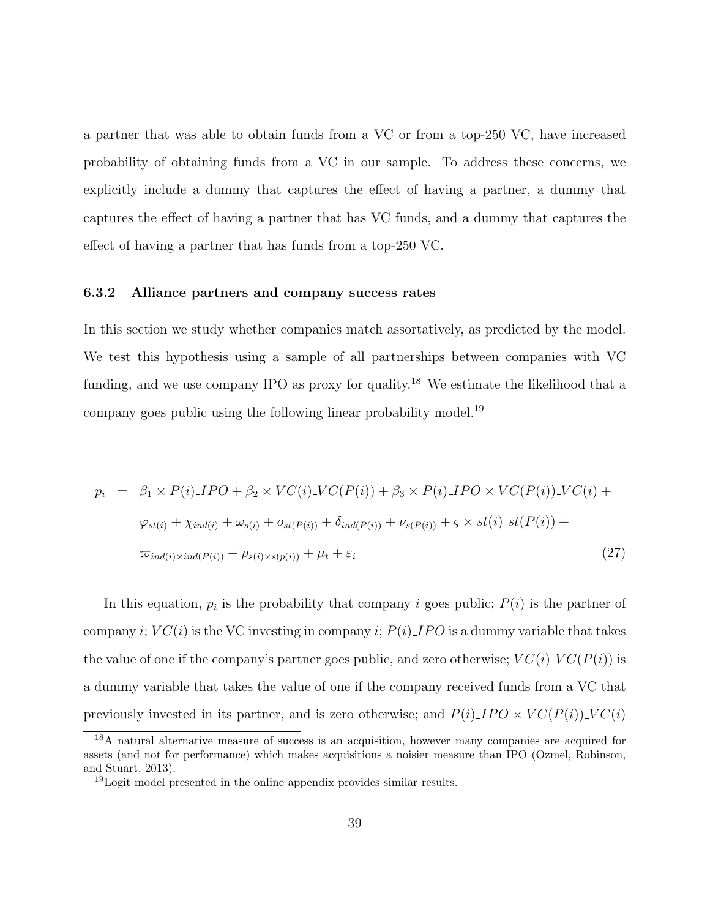a partner that was able to obtain funds from a VC or from a top-250 VC, have increased probability of obtaining funds from a VC in our sample. To address these concerns, we explicitly include a dummy that captures the effect of having a partner, a dummy that captures the effect of having a partner that has VC funds, and a dummy that captures the effect of having a partner that has funds from a top-250 VC.

#### 6.3.2 Alliance partners and company success rates

In this section we study whether companies match assortatively, as predicted by the model. We test this hypothesis using a sample of all partnerships between companies with VC funding, and we use company IPO as proxy for quality.<sup>18</sup> We estimate the likelihood that a company goes public using the following linear probability model.<sup>19</sup>

$$
p_i = \beta_1 \times P(i) \cdot \text{JPO} + \beta_2 \times \text{VC}(i) \cdot \text{VC}(P(i)) + \beta_3 \times P(i) \cdot \text{JPO} \times \text{VC}(P(i)) \cdot \text{VC}(i) +
$$
\n
$$
\varphi_{st(i)} + \chi_{ind(i)} + \omega_{s(i)} + o_{st(P(i))} + \delta_{ind(P(i))} + \nu_{s(P(i))} + \varsigma \times st(i) \cdot st(P(i)) +
$$
\n
$$
\varpi_{ind(i) \times ind(P(i))} + \rho_{s(i) \times s(p(i))} + \mu_t + \varepsilon_i
$$
\n(27)

In this equation,  $p_i$  is the probability that company i goes public;  $P(i)$  is the partner of company i;  $VC(i)$  is the VC investing in company i;  $P(i)$  IPO is a dummy variable that takes the value of one if the company's partner goes public, and zero otherwise;  $VC(i)$ ,  $VC(P(i))$  is a dummy variable that takes the value of one if the company received funds from a VC that previously invested in its partner, and is zero otherwise; and  $P(i) \perp PO \times VC(P(i)) \perp VC(i)$ 

<sup>18</sup>A natural alternative measure of success is an acquisition, however many companies are acquired for assets (and not for performance) which makes acquisitions a noisier measure than IPO (Ozmel, Robinson, and Stuart, 2013).

<sup>&</sup>lt;sup>19</sup>Logit model presented in the online appendix provides similar results.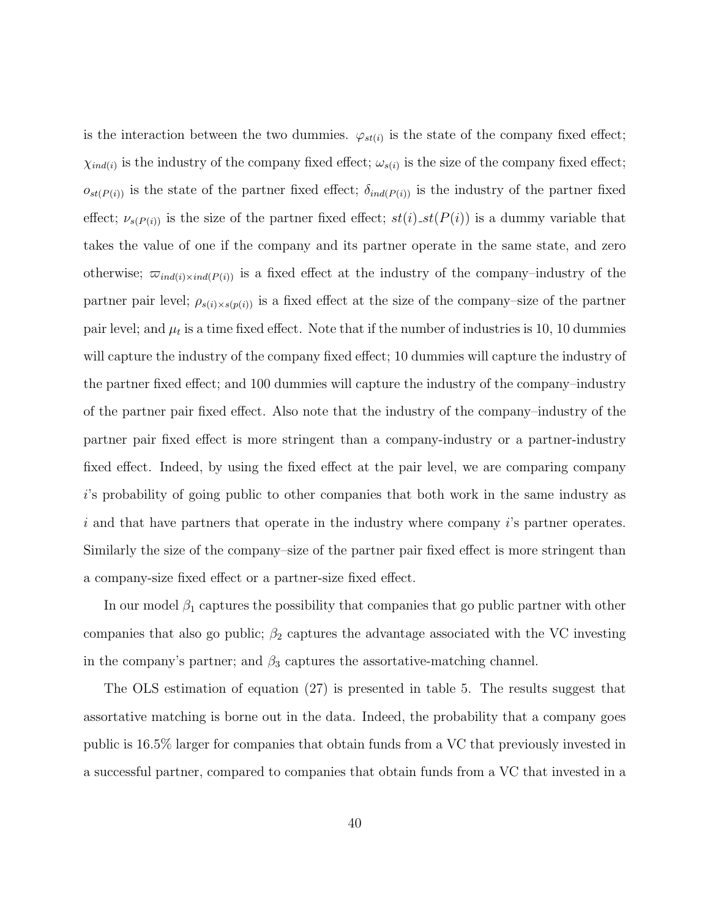is the interaction between the two dummies.  $\varphi_{st(i)}$  is the state of the company fixed effect;  $\chi_{ind(i)}$  is the industry of the company fixed effect;  $\omega_{s(i)}$  is the size of the company fixed effect;  $o_{st(P(i))}$  is the state of the partner fixed effect;  $\delta_{ind(P(i))}$  is the industry of the partner fixed effect;  $\nu_{s(P(i))}$  is the size of the partner fixed effect;  $st(i)$   $st(P(i))$  is a dummy variable that takes the value of one if the company and its partner operate in the same state, and zero otherwise;  $\varpi_{ind(i)\times ind(P(i))}$  is a fixed effect at the industry of the company–industry of the partner pair level;  $\rho_{s(i)\times s(p(i))}$  is a fixed effect at the size of the company–size of the partner pair level; and  $\mu_t$  is a time fixed effect. Note that if the number of industries is 10, 10 dummies will capture the industry of the company fixed effect; 10 dummies will capture the industry of the partner fixed effect; and 100 dummies will capture the industry of the company–industry of the partner pair fixed effect. Also note that the industry of the company–industry of the partner pair fixed effect is more stringent than a company-industry or a partner-industry fixed effect. Indeed, by using the fixed effect at the pair level, we are comparing company i's probability of going public to other companies that both work in the same industry as i and that have partners that operate in the industry where company i's partner operates. Similarly the size of the company–size of the partner pair fixed effect is more stringent than a company-size fixed effect or a partner-size fixed effect.

In our model  $\beta_1$  captures the possibility that companies that go public partner with other companies that also go public;  $\beta_2$  captures the advantage associated with the VC investing in the company's partner; and  $\beta_3$  captures the assortative-matching channel.

The OLS estimation of equation (27) is presented in table 5. The results suggest that assortative matching is borne out in the data. Indeed, the probability that a company goes public is 16.5% larger for companies that obtain funds from a VC that previously invested in a successful partner, compared to companies that obtain funds from a VC that invested in a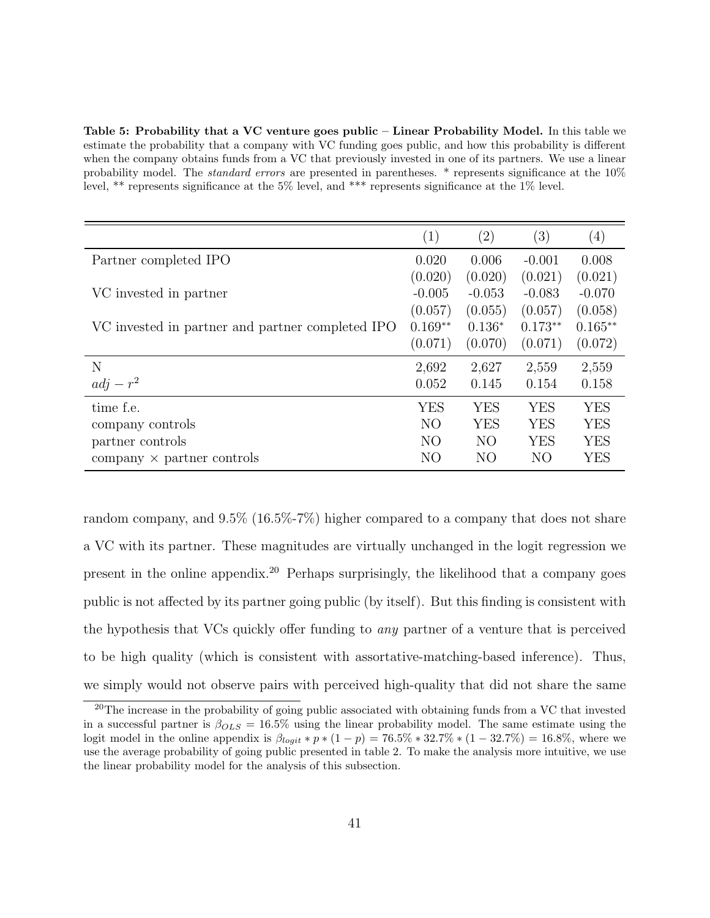Table 5: Probability that a VC venture goes public – Linear Probability Model. In this table we estimate the probability that a company with VC funding goes public, and how this probability is different when the company obtains funds from a VC that previously invested in one of its partners. We use a linear probability model. The *standard errors* are presented in parentheses. \* represents significance at the 10% level, \*\* represents significance at the 5% level, and \*\*\* represents significance at the 1% level.

|                                                       | $\left( 1\right)$ | $\left( 2\right)$ | $\left(3\right)$ | $\left( 4\right)$ |
|-------------------------------------------------------|-------------------|-------------------|------------------|-------------------|
| Partner completed IPO                                 | 0.020             | 0.006             | $-0.001$         | 0.008             |
|                                                       | (0.020)           | (0.020)           | (0.021)          | (0.021)           |
| VC invested in partner                                | $-0.005$          | $-0.053$          | $-0.083$         | $-0.070$          |
|                                                       | (0.057)           | (0.055)           | (0.057)          | (0.058)           |
| VC invested in partner and partner completed IPO      | $0.169**$         | $0.136*$          | $0.173**$        | $0.165**$         |
|                                                       | (0.071)           | (0.070)           | (0.071)          | (0.072)           |
| N                                                     | 2,692             | 2,627             | 2,559            | 2,559             |
| $adj - r^2$                                           | 0.052             | 0.145             | 0.154            | 0.158             |
| time f.e.                                             | <b>YES</b>        | <b>YES</b>        | YES              | <b>YES</b>        |
| company controls                                      | N <sub>O</sub>    | <b>YES</b>        | YES              | <b>YES</b>        |
| partner controls                                      | N <sub>O</sub>    | N <sub>O</sub>    | YES              | <b>YES</b>        |
| $\mathop{\mathrm{company}}$ $\times$ partner controls | NO                | N <sub>O</sub>    | NO               | YES               |

random company, and 9.5% (16.5%-7%) higher compared to a company that does not share a VC with its partner. These magnitudes are virtually unchanged in the logit regression we present in the online appendix.<sup>20</sup> Perhaps surprisingly, the likelihood that a company goes public is not affected by its partner going public (by itself). But this finding is consistent with the hypothesis that VCs quickly offer funding to any partner of a venture that is perceived to be high quality (which is consistent with assortative-matching-based inference). Thus, we simply would not observe pairs with perceived high-quality that did not share the same

<sup>&</sup>lt;sup>20</sup>The increase in the probability of going public associated with obtaining funds from a VC that invested in a successful partner is  $\beta_{OLS} = 16.5\%$  using the linear probability model. The same estimate using the logit model in the online appendix is  $\beta_{\text{logit}} * p * (1-p) = 76.5\% * 32.7\% * (1-32.7\%) = 16.8\%$ , where we use the average probability of going public presented in table 2. To make the analysis more intuitive, we use the linear probability model for the analysis of this subsection.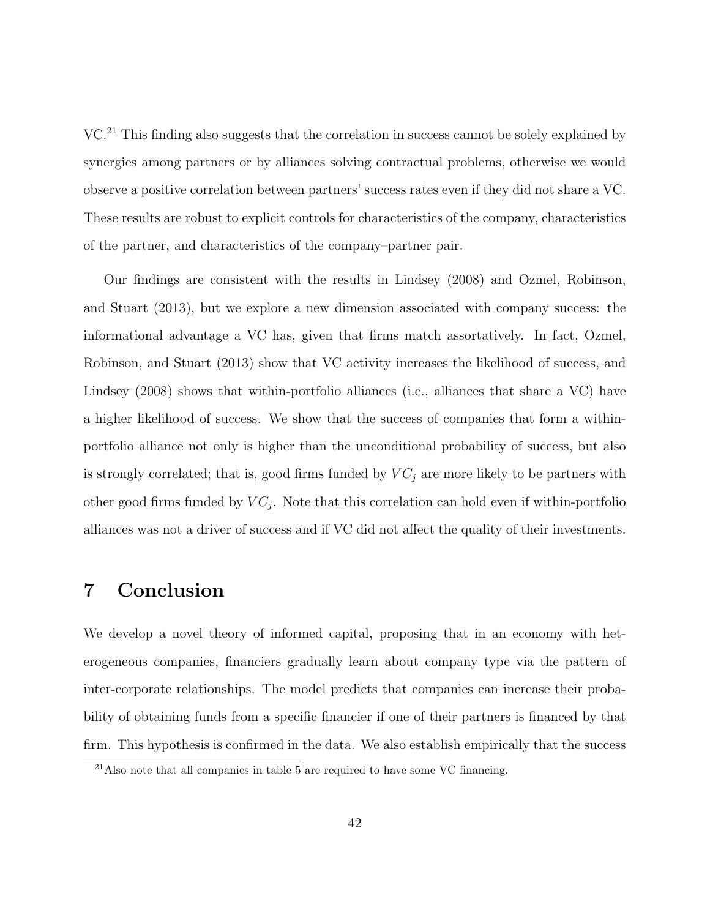VC.<sup>21</sup> This finding also suggests that the correlation in success cannot be solely explained by synergies among partners or by alliances solving contractual problems, otherwise we would observe a positive correlation between partners' success rates even if they did not share a VC. These results are robust to explicit controls for characteristics of the company, characteristics of the partner, and characteristics of the company–partner pair.

Our findings are consistent with the results in Lindsey (2008) and Ozmel, Robinson, and Stuart (2013), but we explore a new dimension associated with company success: the informational advantage a VC has, given that firms match assortatively. In fact, Ozmel, Robinson, and Stuart (2013) show that VC activity increases the likelihood of success, and Lindsey (2008) shows that within-portfolio alliances (i.e., alliances that share a VC) have a higher likelihood of success. We show that the success of companies that form a withinportfolio alliance not only is higher than the unconditional probability of success, but also is strongly correlated; that is, good firms funded by  $VC_j$  are more likely to be partners with other good firms funded by  $VC_j$ . Note that this correlation can hold even if within-portfolio alliances was not a driver of success and if VC did not affect the quality of their investments.

## 7 Conclusion

We develop a novel theory of informed capital, proposing that in an economy with heterogeneous companies, financiers gradually learn about company type via the pattern of inter-corporate relationships. The model predicts that companies can increase their probability of obtaining funds from a specific financier if one of their partners is financed by that firm. This hypothesis is confirmed in the data. We also establish empirically that the success

 $^{21}$ Also note that all companies in table 5 are required to have some VC financing.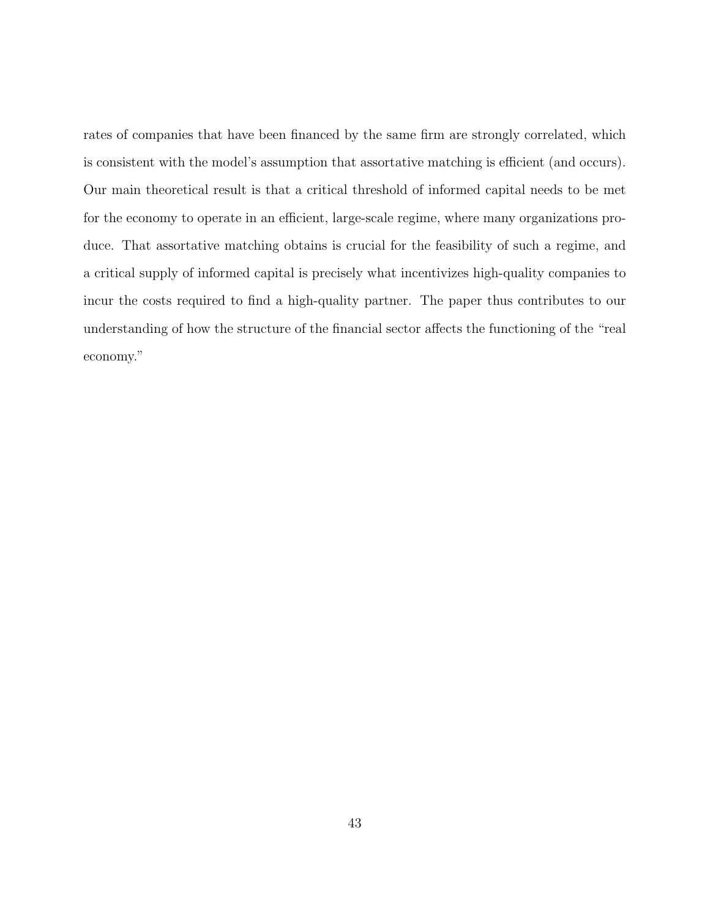rates of companies that have been financed by the same firm are strongly correlated, which is consistent with the model's assumption that assortative matching is efficient (and occurs). Our main theoretical result is that a critical threshold of informed capital needs to be met for the economy to operate in an efficient, large-scale regime, where many organizations produce. That assortative matching obtains is crucial for the feasibility of such a regime, and a critical supply of informed capital is precisely what incentivizes high-quality companies to incur the costs required to find a high-quality partner. The paper thus contributes to our understanding of how the structure of the financial sector affects the functioning of the "real economy."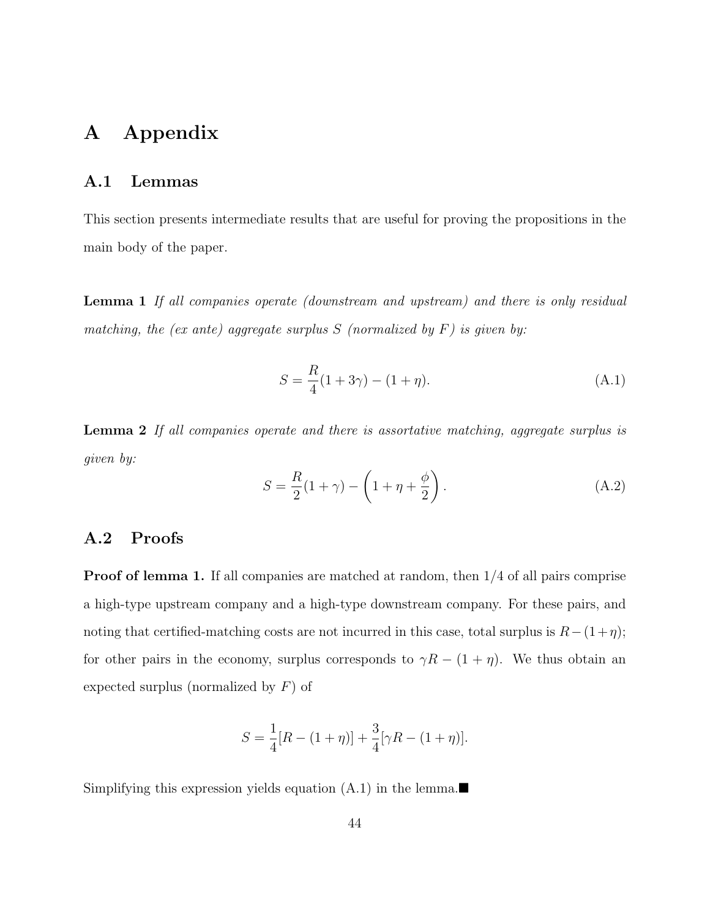## A Appendix

#### A.1 Lemmas

This section presents intermediate results that are useful for proving the propositions in the main body of the paper.

**Lemma 1** If all companies operate (downstream and upstream) and there is only residual matching, the  $(ex \ ante)$  aggregate surplus  $S$  (normalized by  $F)$  is given by:

$$
S = \frac{R}{4}(1+3\gamma) - (1+\eta). \tag{A.1}
$$

Lemma 2 If all companies operate and there is assortative matching, aggregate surplus is given by:

$$
S = \frac{R}{2}(1+\gamma) - \left(1 + \eta + \frac{\phi}{2}\right).
$$
 (A.2)

#### A.2 Proofs

Proof of lemma 1. If all companies are matched at random, then 1/4 of all pairs comprise a high-type upstream company and a high-type downstream company. For these pairs, and noting that certified-matching costs are not incurred in this case, total surplus is  $R-(1+\eta)$ ; for other pairs in the economy, surplus corresponds to  $\gamma R - (1 + \eta)$ . We thus obtain an expected surplus (normalized by  $F$ ) of

$$
S = \frac{1}{4}[R - (1+\eta)] + \frac{3}{4}[\gamma R - (1+\eta)].
$$

Simplifying this expression yields equation  $(A.1)$  in the lemma.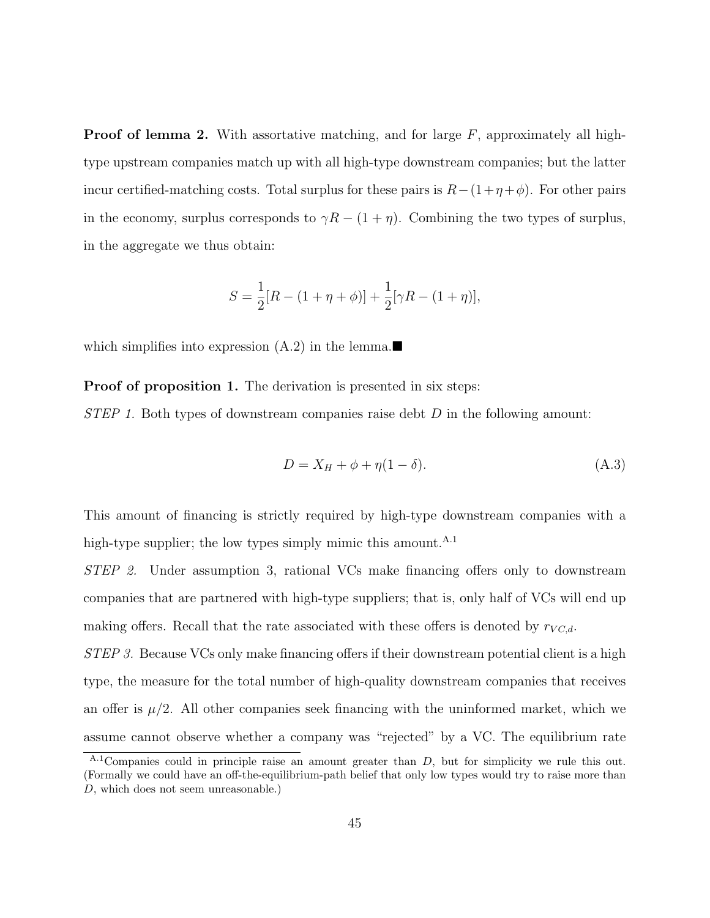**Proof of lemma 2.** With assortative matching, and for large  $F$ , approximately all hightype upstream companies match up with all high-type downstream companies; but the latter incur certified-matching costs. Total surplus for these pairs is  $R-(1+\eta+\phi)$ . For other pairs in the economy, surplus corresponds to  $\gamma R - (1 + \eta)$ . Combining the two types of surplus, in the aggregate we thus obtain:

$$
S = \frac{1}{2}[R - (1 + \eta + \phi)] + \frac{1}{2}[\gamma R - (1 + \eta)],
$$

which simplifies into expression  $(A.2)$  in the lemma.

Proof of proposition 1. The derivation is presented in six steps:

 $STEP 1. Both types of downstream companies raise debt D in the following amount:$ 

$$
D = X_H + \phi + \eta (1 - \delta). \tag{A.3}
$$

This amount of financing is strictly required by high-type downstream companies with a high-type supplier; the low types simply mimic this amount.  $A.1$ 

STEP 2. Under assumption 3, rational VCs make financing offers only to downstream companies that are partnered with high-type suppliers; that is, only half of VCs will end up making offers. Recall that the rate associated with these offers is denoted by  $r_{VC,d}$ .

STEP 3. Because VCs only make financing offers if their downstream potential client is a high type, the measure for the total number of high-quality downstream companies that receives an offer is  $\mu/2$ . All other companies seek financing with the uninformed market, which we assume cannot observe whether a company was "rejected" by a VC. The equilibrium rate

 $A<sup>A.1</sup>$ Companies could in principle raise an amount greater than D, but for simplicity we rule this out. (Formally we could have an off-the-equilibrium-path belief that only low types would try to raise more than D, which does not seem unreasonable.)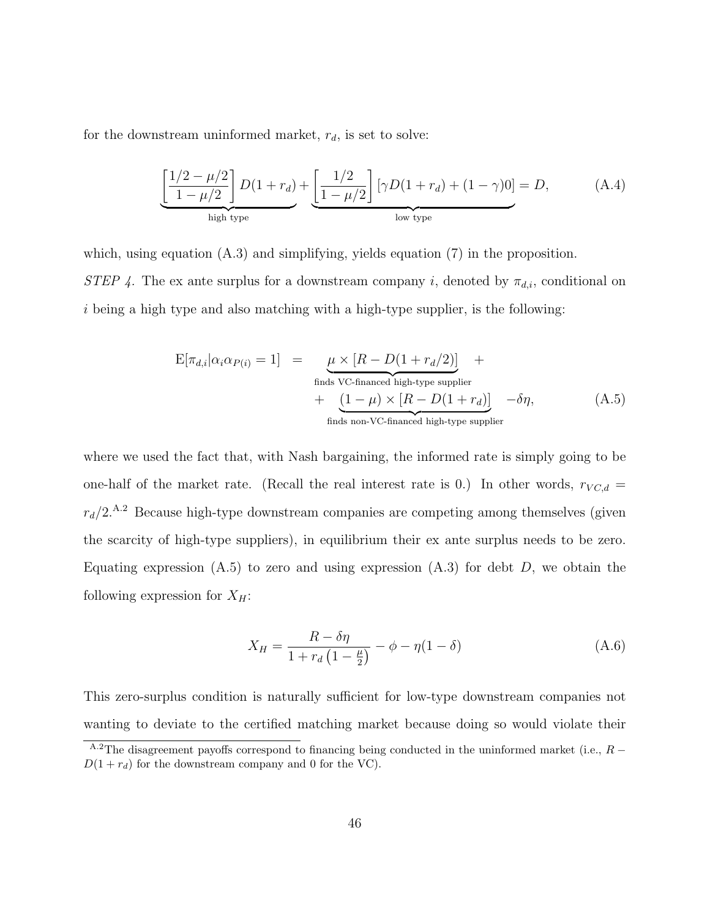for the downstream uninformed market,  $r_d$ , is set to solve:

$$
\underbrace{\left[\frac{1/2-\mu/2}{1-\mu/2}\right]D(1+r_d)}_{\text{high type}} + \underbrace{\left[\frac{1/2}{1-\mu/2}\right] [\gamma D(1+r_d) + (1-\gamma)0]}_{\text{low type}} = D,\tag{A.4}
$$

which, using equation  $(A.3)$  and simplifying, yields equation  $(7)$  in the proposition. STEP 4. The ex ante surplus for a downstream company i, denoted by  $\pi_{d,i}$ , conditional on  $i$  being a high type and also matching with a high-type supplier, is the following:

$$
E[\pi_{d,i} | \alpha_i \alpha_{P(i)} = 1] = \underbrace{\mu \times [R - D(1 + r_d/2)]}_{\text{finds VC-financed high-type supplier}} + \underbrace{(1 - \mu) \times [R - D(1 + r_d)]}_{\text{finds non-VC-financed high-type supplier}} - \delta \eta,
$$
\n(A.5)

where we used the fact that, with Nash bargaining, the informed rate is simply going to be one-half of the market rate. (Recall the real interest rate is 0.) In other words,  $r_{VC,d}$  =  $r_d/2$ <sup>A.2</sup> Because high-type downstream companies are competing among themselves (given the scarcity of high-type suppliers), in equilibrium their ex ante surplus needs to be zero. Equating expression  $(A.5)$  to zero and using expression  $(A.3)$  for debt D, we obtain the following expression for  $X_H$ :

$$
X_H = \frac{R - \delta \eta}{1 + r_d \left(1 - \frac{\mu}{2}\right)} - \phi - \eta (1 - \delta) \tag{A.6}
$$

This zero-surplus condition is naturally sufficient for low-type downstream companies not wanting to deviate to the certified matching market because doing so would violate their

 $A.2$ The disagreement payoffs correspond to financing being conducted in the uninformed market (i.e.,  $R D(1 + r_d)$  for the downstream company and 0 for the VC).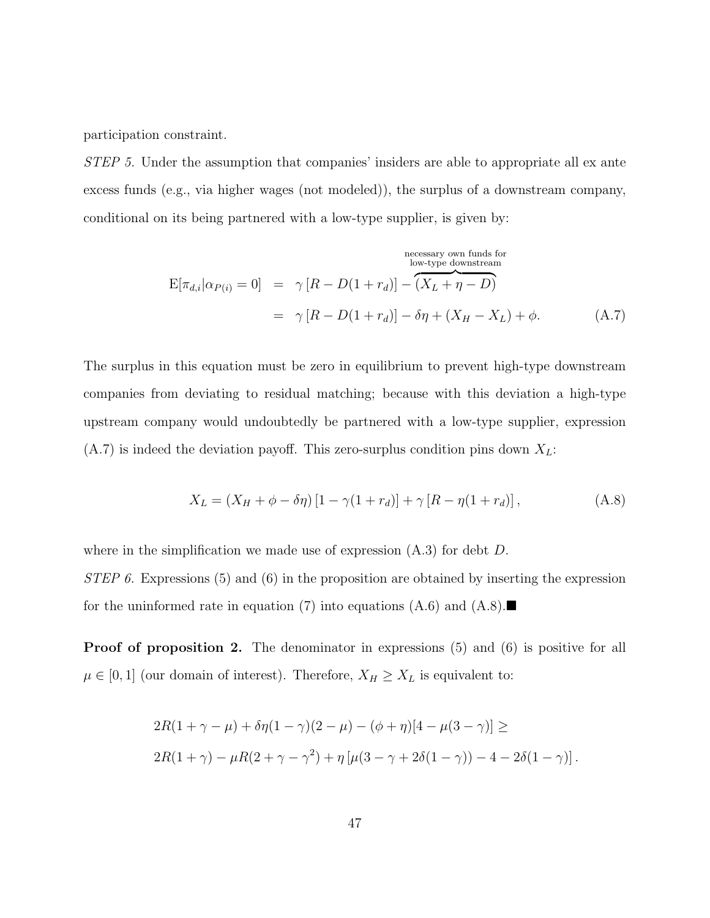participation constraint.

STEP 5. Under the assumption that companies' insiders are able to appropriate all ex ante excess funds (e.g., via higher wages (not modeled)), the surplus of a downstream company, conditional on its being partnered with a low-type supplier, is given by:

$$
\text{E}[\pi_{d,i}|\alpha_{P(i)}=0] = \gamma [R - D(1+r_d)] - (X_L + \eta - D)
$$
\n
$$
= \gamma [R - D(1+r_d)] - \delta\eta + (X_H - X_L) + \phi. \tag{A.7}
$$

The surplus in this equation must be zero in equilibrium to prevent high-type downstream companies from deviating to residual matching; because with this deviation a high-type upstream company would undoubtedly be partnered with a low-type supplier, expression  $(A.7)$  is indeed the deviation payoff. This zero-surplus condition pins down  $X_L$ :

$$
X_L = (X_H + \phi - \delta \eta) [1 - \gamma (1 + r_d)] + \gamma [R - \eta (1 + r_d)],
$$
 (A.8)

where in the simplification we made use of expression  $(A.3)$  for debt  $D$ .

STEP 6. Expressions (5) and (6) in the proposition are obtained by inserting the expression for the uninformed rate in equation (7) into equations  $(A.6)$  and  $(A.8)$ .

**Proof of proposition 2.** The denominator in expressions  $(5)$  and  $(6)$  is positive for all  $\mu \in [0, 1]$  (our domain of interest). Therefore,  $X_H \geq X_L$  is equivalent to:

$$
2R(1 + \gamma - \mu) + \delta \eta (1 - \gamma)(2 - \mu) - (\phi + \eta)[4 - \mu(3 - \gamma)] \ge
$$
  

$$
2R(1 + \gamma) - \mu R(2 + \gamma - \gamma^2) + \eta [\mu(3 - \gamma + 2\delta(1 - \gamma)) - 4 - 2\delta(1 - \gamma)].
$$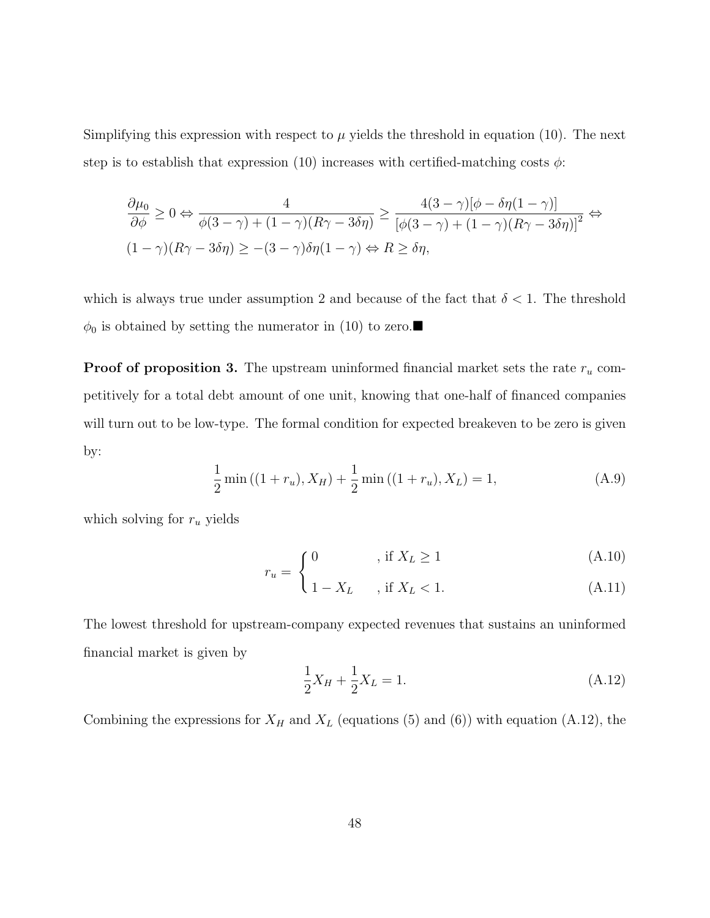Simplifying this expression with respect to  $\mu$  yields the threshold in equation (10). The next step is to establish that expression (10) increases with certified-matching costs  $\phi$ :

$$
\frac{\partial \mu_0}{\partial \phi} \ge 0 \Leftrightarrow \frac{4}{\phi(3-\gamma) + (1-\gamma)(R\gamma - 3\delta\eta)} \ge \frac{4(3-\gamma)[\phi - \delta\eta(1-\gamma)]}{[\phi(3-\gamma) + (1-\gamma)(R\gamma - 3\delta\eta)]^2} \Leftrightarrow
$$
  

$$
(1-\gamma)(R\gamma - 3\delta\eta) \ge -(3-\gamma)\delta\eta(1-\gamma) \Leftrightarrow R \ge \delta\eta,
$$

which is always true under assumption 2 and because of the fact that  $\delta < 1$ . The threshold  $\phi_0$  is obtained by setting the numerator in (10) to zero.

**Proof of proposition 3.** The upstream uninformed financial market sets the rate  $r_u$  competitively for a total debt amount of one unit, knowing that one-half of financed companies will turn out to be low-type. The formal condition for expected breakeven to be zero is given by:

$$
\frac{1}{2}\min((1+r_u), X_H) + \frac{1}{2}\min((1+r_u), X_L) = 1,
$$
\n(A.9)

which solving for  $r_u$  yields

$$
\int 0, \quad \text{if } X_L \ge 1 \tag{A.10}
$$

$$
r_u = \begin{cases} 1 - X_L, & \text{if } X_L < 1. \end{cases} \tag{A.11}
$$

The lowest threshold for upstream-company expected revenues that sustains an uninformed financial market is given by

$$
\frac{1}{2}X_H + \frac{1}{2}X_L = 1.
$$
\n(A.12)

Combining the expressions for  $X_H$  and  $X_L$  (equations (5) and (6)) with equation (A.12), the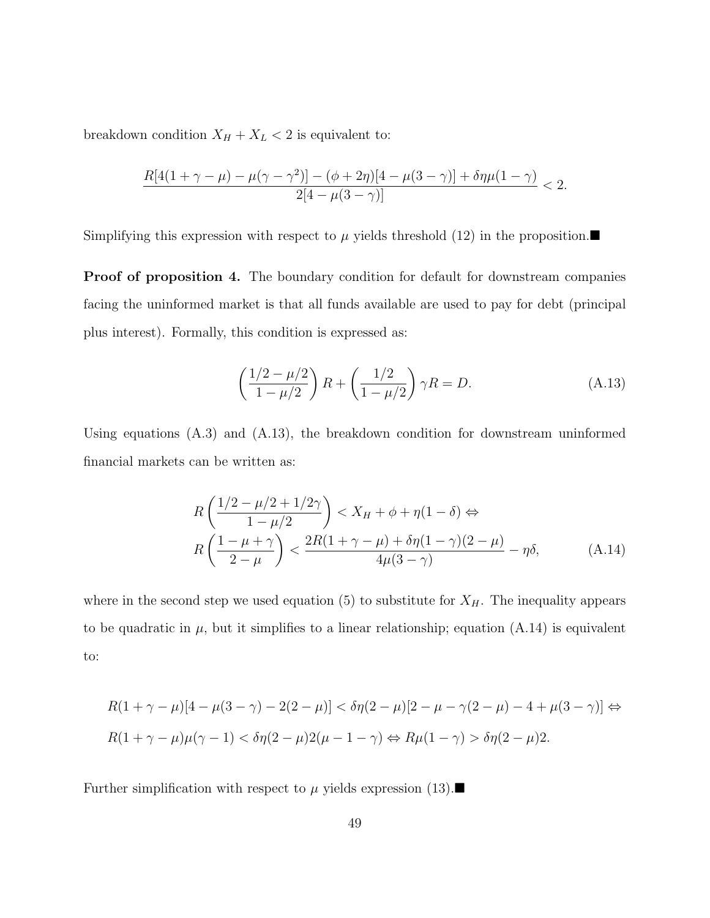breakdown condition  $X_H + X_L < 2$  is equivalent to:

$$
\frac{R[4(1+\gamma-\mu)-\mu(\gamma-\gamma^2)]-(\phi+2\eta)[4-\mu(3-\gamma)]+\delta\eta\mu(1-\gamma)}{2[4-\mu(3-\gamma)]}<2.
$$

Simplifying this expression with respect to  $\mu$  yields threshold (12) in the proposition.

**Proof of proposition 4.** The boundary condition for default for downstream companies facing the uninformed market is that all funds available are used to pay for debt (principal plus interest). Formally, this condition is expressed as:

$$
\left(\frac{1/2 - \mu/2}{1 - \mu/2}\right) R + \left(\frac{1/2}{1 - \mu/2}\right) \gamma R = D.
$$
 (A.13)

Using equations (A.3) and (A.13), the breakdown condition for downstream uninformed financial markets can be written as:

$$
R\left(\frac{1/2 - \mu/2 + 1/2\gamma}{1 - \mu/2}\right) < X_H + \phi + \eta(1 - \delta) \Leftrightarrow
$$
\n
$$
R\left(\frac{1 - \mu + \gamma}{2 - \mu}\right) < \frac{2R(1 + \gamma - \mu) + \delta\eta(1 - \gamma)(2 - \mu)}{4\mu(3 - \gamma)} - \eta\delta,\tag{A.14}
$$

where in the second step we used equation (5) to substitute for  $X_H$ . The inequality appears to be quadratic in  $\mu$ , but it simplifies to a linear relationship; equation (A.14) is equivalent to:

$$
R(1+\gamma-\mu)[4-\mu(3-\gamma)-2(2-\mu)] < \delta\eta(2-\mu)[2-\mu-\gamma(2-\mu)-4+\mu(3-\gamma)] \Leftrightarrow
$$
  

$$
R(1+\gamma-\mu)\mu(\gamma-1) < \delta\eta(2-\mu)2(\mu-1-\gamma) \Leftrightarrow R\mu(1-\gamma) > \delta\eta(2-\mu)2.
$$

Further simplification with respect to  $\mu$  yields expression (13).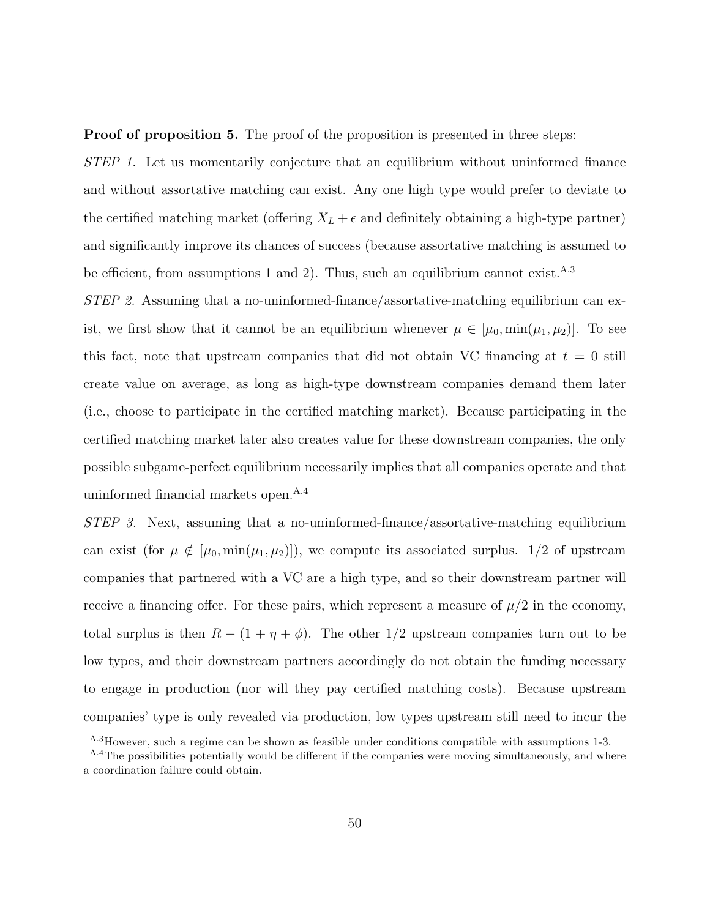**Proof of proposition 5.** The proof of the proposition is presented in three steps:

STEP 1. Let us momentarily conjecture that an equilibrium without uninformed finance and without assortative matching can exist. Any one high type would prefer to deviate to the certified matching market (offering  $X_L + \epsilon$  and definitely obtaining a high-type partner) and significantly improve its chances of success (because assortative matching is assumed to be efficient, from assumptions 1 and 2). Thus, such an equilibrium cannot exist.<sup>A.3</sup>

STEP 2. Assuming that a no-uninformed-finance/assortative-matching equilibrium can exist, we first show that it cannot be an equilibrium whenever  $\mu \in [\mu_0, \min(\mu_1, \mu_2)]$ . To see this fact, note that upstream companies that did not obtain VC financing at  $t = 0$  still create value on average, as long as high-type downstream companies demand them later (i.e., choose to participate in the certified matching market). Because participating in the certified matching market later also creates value for these downstream companies, the only possible subgame-perfect equilibrium necessarily implies that all companies operate and that uninformed financial markets open.<sup>A.4</sup>

STEP 3. Next, assuming that a no-uninformed-finance/assortative-matching equilibrium can exist (for  $\mu \notin [\mu_0, \min(\mu_1, \mu_2)]$ ), we compute its associated surplus. 1/2 of upstream companies that partnered with a VC are a high type, and so their downstream partner will receive a financing offer. For these pairs, which represent a measure of  $\mu/2$  in the economy, total surplus is then  $R - (1 + \eta + \phi)$ . The other 1/2 upstream companies turn out to be low types, and their downstream partners accordingly do not obtain the funding necessary to engage in production (nor will they pay certified matching costs). Because upstream companies' type is only revealed via production, low types upstream still need to incur the

A.3However, such a regime can be shown as feasible under conditions compatible with assumptions 1-3.

<sup>&</sup>lt;sup>A.4</sup>The possibilities potentially would be different if the companies were moving simultaneously, and where a coordination failure could obtain.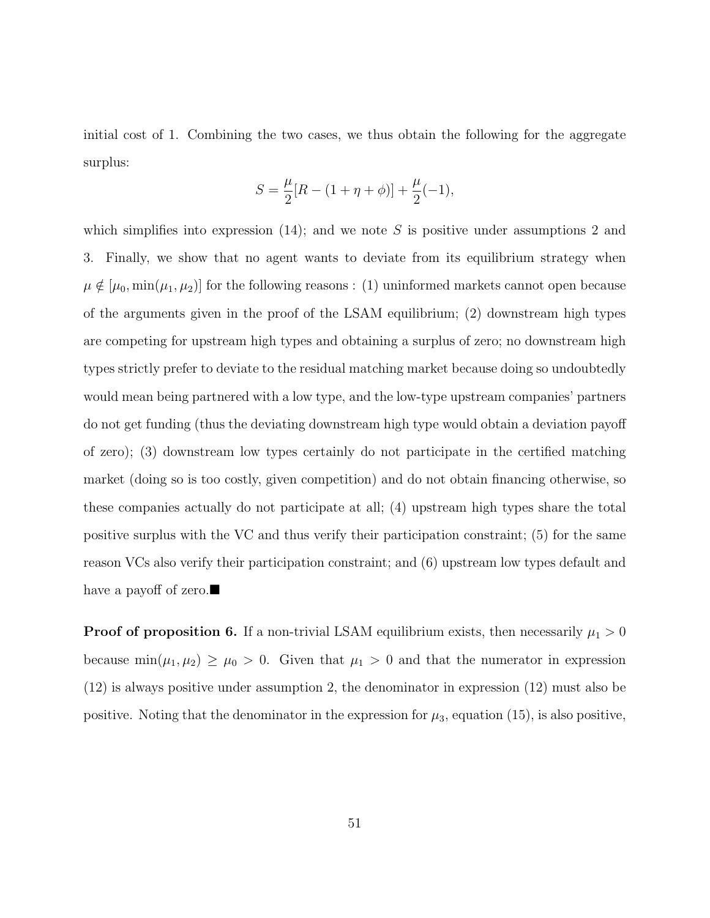initial cost of 1. Combining the two cases, we thus obtain the following for the aggregate surplus:

$$
S = \frac{\mu}{2}[R - (1 + \eta + \phi)] + \frac{\mu}{2}(-1),
$$

which simplifies into expression  $(14)$ ; and we note S is positive under assumptions 2 and 3. Finally, we show that no agent wants to deviate from its equilibrium strategy when  $\mu \notin [\mu_0, \min(\mu_1, \mu_2)]$  for the following reasons : (1) uninformed markets cannot open because of the arguments given in the proof of the LSAM equilibrium; (2) downstream high types are competing for upstream high types and obtaining a surplus of zero; no downstream high types strictly prefer to deviate to the residual matching market because doing so undoubtedly would mean being partnered with a low type, and the low-type upstream companies' partners do not get funding (thus the deviating downstream high type would obtain a deviation payoff of zero); (3) downstream low types certainly do not participate in the certified matching market (doing so is too costly, given competition) and do not obtain financing otherwise, so these companies actually do not participate at all; (4) upstream high types share the total positive surplus with the VC and thus verify their participation constraint; (5) for the same reason VCs also verify their participation constraint; and (6) upstream low types default and have a payoff of zero.

**Proof of proposition 6.** If a non-trivial LSAM equilibrium exists, then necessarily  $\mu_1 > 0$ because  $min(\mu_1, \mu_2) \ge \mu_0 > 0$ . Given that  $\mu_1 > 0$  and that the numerator in expression (12) is always positive under assumption 2, the denominator in expression (12) must also be positive. Noting that the denominator in the expression for  $\mu_3$ , equation (15), is also positive,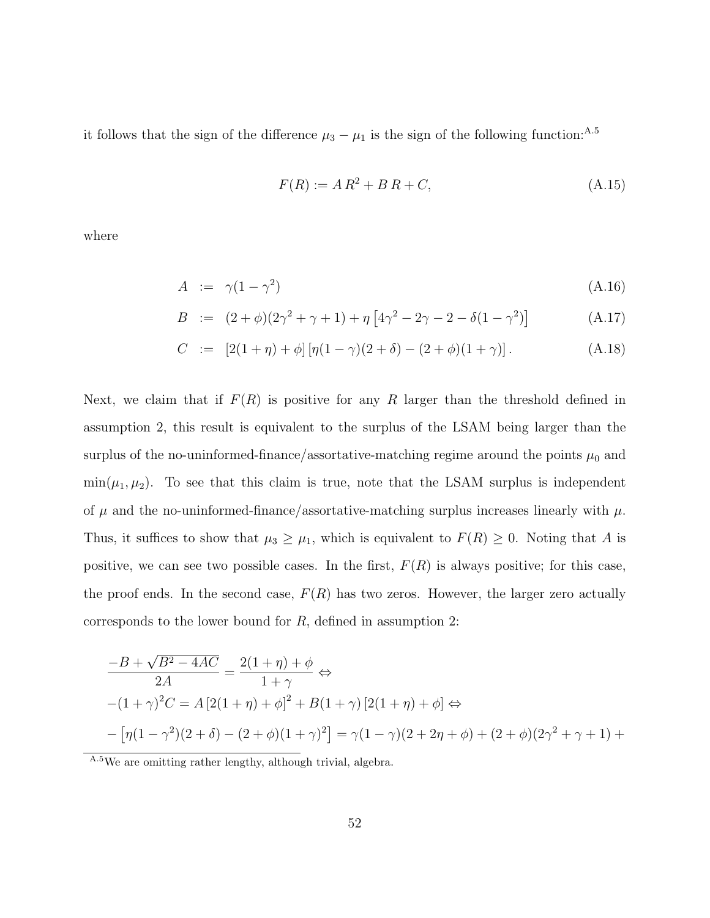it follows that the sign of the difference  $\mu_3 - \mu_1$  is the sign of the following function:<sup>A.5</sup>

$$
F(R) := AR^2 + BR + C,
$$
 (A.15)

where

$$
A := \gamma (1 - \gamma^2) \tag{A.16}
$$

$$
B := (2 + \phi)(2\gamma^{2} + \gamma + 1) + \eta [4\gamma^{2} - 2\gamma - 2 - \delta(1 - \gamma^{2})]
$$
 (A.17)

$$
C := [2(1+\eta) + \phi] [\eta(1-\gamma)(2+\delta) - (2+\phi)(1+\gamma)]. \tag{A.18}
$$

Next, we claim that if  $F(R)$  is positive for any R larger than the threshold defined in assumption 2, this result is equivalent to the surplus of the LSAM being larger than the surplus of the no-uninformed-finance/assortative-matching regime around the points  $\mu_0$  and  $\min(\mu_1, \mu_2)$ . To see that this claim is true, note that the LSAM surplus is independent of  $\mu$  and the no-uninformed-finance/assortative-matching surplus increases linearly with  $\mu$ . Thus, it suffices to show that  $\mu_3 \geq \mu_1$ , which is equivalent to  $F(R) \geq 0$ . Noting that A is positive, we can see two possible cases. In the first,  $F(R)$  is always positive; for this case, the proof ends. In the second case,  $F(R)$  has two zeros. However, the larger zero actually corresponds to the lower bound for  $R$ , defined in assumption 2:

$$
\frac{-B + \sqrt{B^2 - 4AC}}{2A} = \frac{2(1+\eta) + \phi}{1+\gamma} \Leftrightarrow
$$
  
-(1+\gamma)^2C = A[2(1+\eta) + \phi]^2 + B(1+\gamma)[2(1+\eta) + \phi] \Leftrightarrow  
-(\eta(1-\gamma^2)(2+\delta) - (2+\phi)(1+\gamma)^2] = \gamma(1-\gamma)(2+2\eta+\phi) + (2+\phi)(2\gamma^2+\gamma+1) +

A.5We are omitting rather lengthy, although trivial, algebra.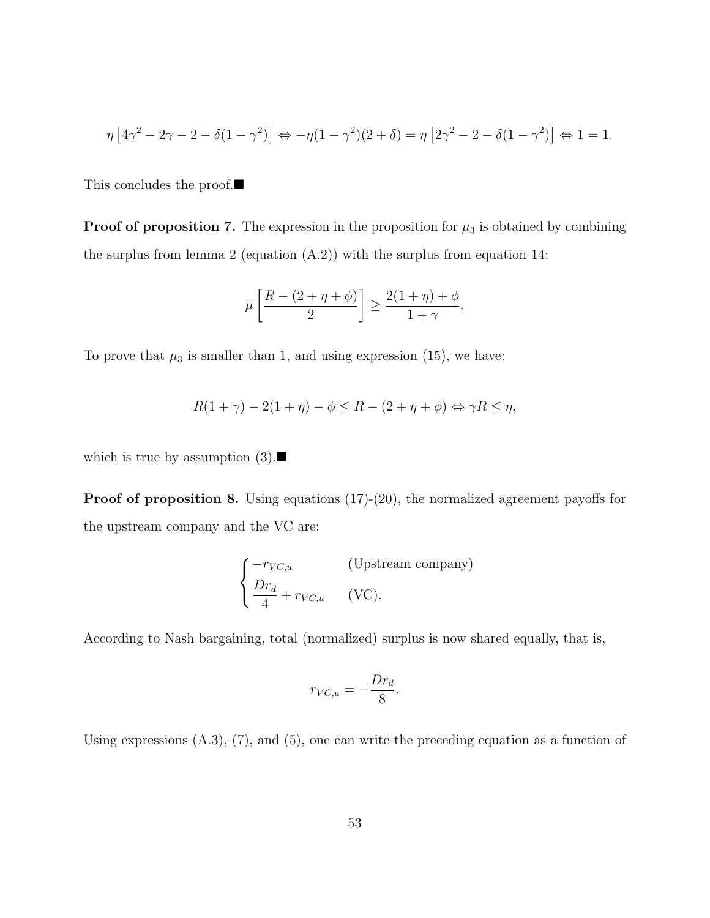$$
\eta \left[4\gamma^2 - 2\gamma - 2 - \delta(1 - \gamma^2)\right] \Leftrightarrow -\eta(1 - \gamma^2)(2 + \delta) = \eta \left[2\gamma^2 - 2 - \delta(1 - \gamma^2)\right] \Leftrightarrow 1 = 1.
$$

This concludes the proof.

**Proof of proposition 7.** The expression in the proposition for  $\mu_3$  is obtained by combining the surplus from lemma 2 (equation (A.2)) with the surplus from equation 14:

$$
\mu\left[\frac{R-(2+\eta+\phi)}{2}\right] \ge \frac{2(1+\eta)+\phi}{1+\gamma}.
$$

To prove that  $\mu_3$  is smaller than 1, and using expression (15), we have:

$$
R(1+\gamma) - 2(1+\eta) - \phi \le R - (2+\eta+\phi) \Leftrightarrow \gamma R \le \eta,
$$

which is true by assumption  $(3)$ .

**Proof of proposition 8.** Using equations  $(17)-(20)$ , the normalized agreement payoffs for the upstream company and the VC are:

$$
\begin{cases}\n-r_{VC,u} & \text{(Upstream company)} \\
\frac{Dr_d}{4} + r_{VC,u} & \text{(VC)}.\n\end{cases}
$$

According to Nash bargaining, total (normalized) surplus is now shared equally, that is,

$$
r_{VC,u} = -\frac{Dr_d}{8}.
$$

Using expressions  $(A.3)$ ,  $(7)$ , and  $(5)$ , one can write the preceding equation as a function of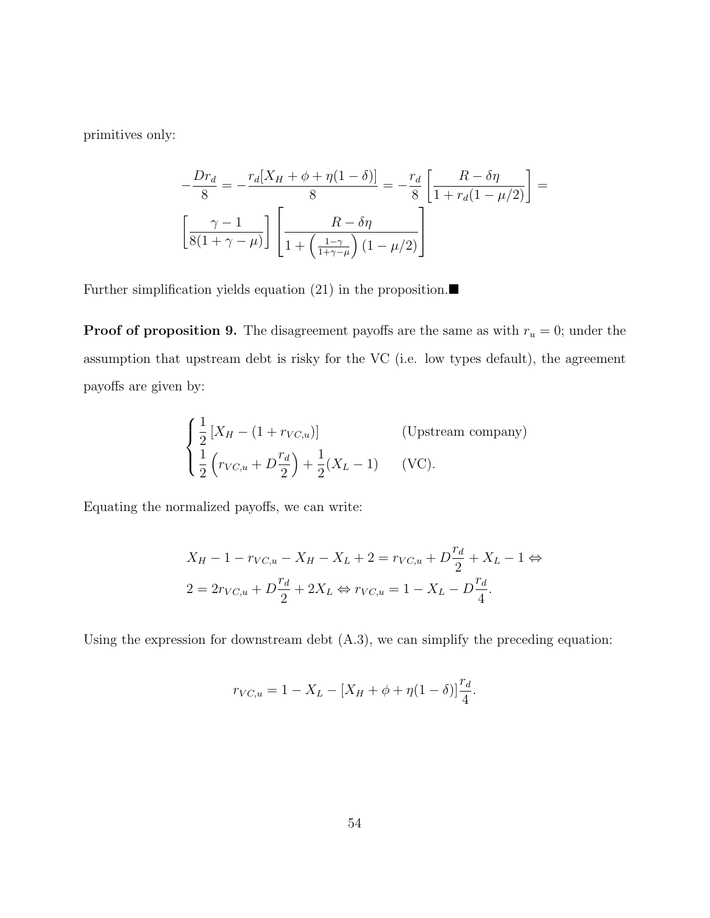primitives only:

$$
-\frac{Dr_d}{8} = -\frac{r_d[X_H + \phi + \eta(1-\delta)]}{8} = -\frac{r_d}{8} \left[ \frac{R - \delta\eta}{1 + r_d(1-\mu/2)} \right] =
$$

$$
\left[ \frac{\gamma - 1}{8(1 + \gamma - \mu)} \right] \left[ \frac{R - \delta\eta}{1 + \left( \frac{1-\gamma}{1+\gamma - \mu} \right)(1-\mu/2)} \right]
$$

Further simplification yields equation (21) in the proposition. $\blacksquare$ 

**Proof of proposition 9.** The disagreement payoffs are the same as with  $r_u = 0$ ; under the assumption that upstream debt is risky for the VC (i.e. low types default), the agreement payoffs are given by:

$$
\begin{cases}\n\frac{1}{2}\left[X_H - (1 + r_{VC,u})\right] & \text{(Upstream company)} \\
\frac{1}{2}\left(r_{VC,u} + D\frac{r_d}{2}\right) + \frac{1}{2}(X_L - 1) & \text{(VC)}.\n\end{cases}
$$

Equating the normalized payoffs, we can write:

$$
X_H - 1 - r_{VC,u} - X_H - X_L + 2 = r_{VC,u} + D\frac{r_d}{2} + X_L - 1 \Leftrightarrow
$$
  

$$
2 = 2r_{VC,u} + D\frac{r_d}{2} + 2X_L \Leftrightarrow r_{VC,u} = 1 - X_L - D\frac{r_d}{4}.
$$

<sub>r</sub>

Using the expression for downstream debt (A.3), we can simplify the preceding equation:

$$
r_{VC,u} = 1 - X_L - [X_H + \phi + \eta(1 - \delta)]\frac{r_d}{4}.
$$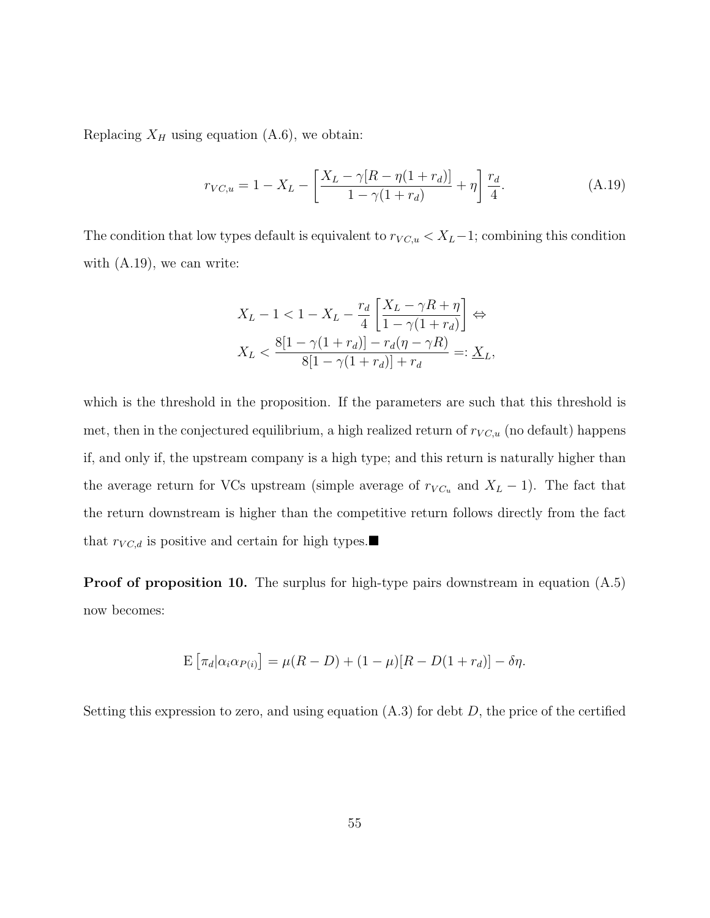Replacing  $X_H$  using equation (A.6), we obtain:

$$
r_{VC,u} = 1 - X_L - \left[ \frac{X_L - \gamma [R - \eta (1 + r_d)]}{1 - \gamma (1 + r_d)} + \eta \right] \frac{r_d}{4}.
$$
 (A.19)

The condition that low types default is equivalent to  $r_{VC,u} < X_L-1$ ; combining this condition with  $(A.19)$ , we can write:

$$
X_L - 1 < 1 - X_L - \frac{r_d}{4} \left[ \frac{X_L - \gamma R + \eta}{1 - \gamma (1 + r_d)} \right] \Leftrightarrow
$$
\n
$$
X_L < \frac{8[1 - \gamma (1 + r_d)] - r_d (\eta - \gamma R)}{8[1 - \gamma (1 + r_d)] + r_d} =: \underline{X}_L,
$$

which is the threshold in the proposition. If the parameters are such that this threshold is met, then in the conjectured equilibrium, a high realized return of  $r_{VC,u}$  (no default) happens if, and only if, the upstream company is a high type; and this return is naturally higher than the average return for VCs upstream (simple average of  $r_{VC_u}$  and  $X_L - 1$ ). The fact that the return downstream is higher than the competitive return follows directly from the fact that  $r_{VC,d}$  is positive and certain for high types.

Proof of proposition 10. The surplus for high-type pairs downstream in equation  $(A.5)$ now becomes:

$$
\mathbb{E}\left[\pi_d|\alpha_i\alpha_{P(i)}\right] = \mu(R - D) + (1 - \mu)[R - D(1 + r_d)] - \delta\eta.
$$

Setting this expression to zero, and using equation  $(A.3)$  for debt D, the price of the certified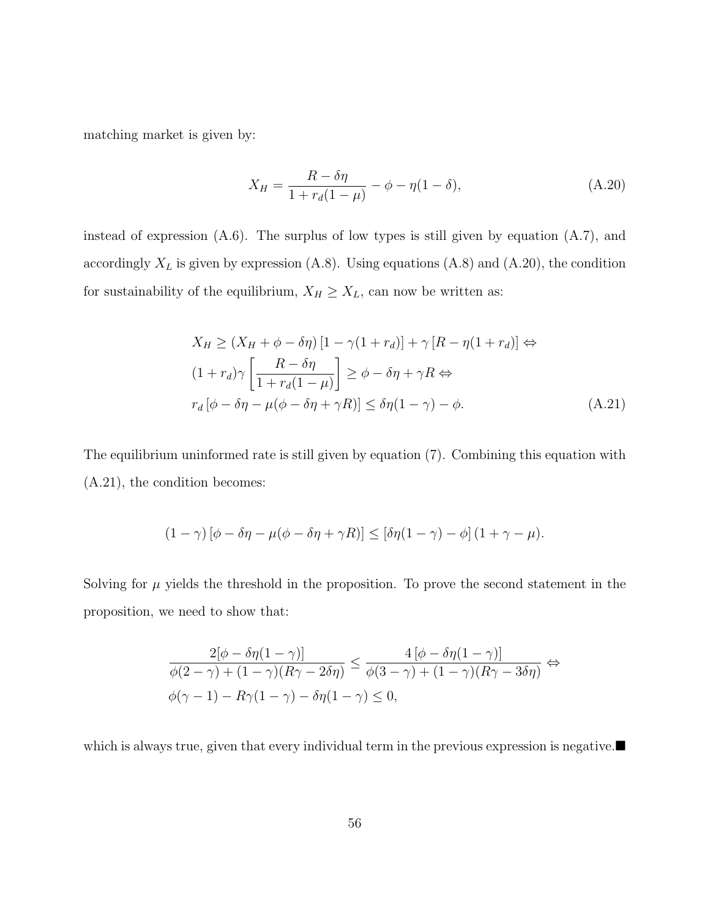matching market is given by:

$$
X_H = \frac{R - \delta \eta}{1 + r_d(1 - \mu)} - \phi - \eta(1 - \delta),
$$
\n(A.20)

instead of expression (A.6). The surplus of low types is still given by equation (A.7), and accordingly  $X_L$  is given by expression (A.8). Using equations (A.8) and (A.20), the condition for sustainability of the equilibrium,  $X_H \geq X_L$ , can now be written as:

$$
X_H \ge (X_H + \phi - \delta \eta) [1 - \gamma (1 + r_d)] + \gamma [R - \eta (1 + r_d)] \Leftrightarrow
$$
  
\n
$$
(1 + r_d)\gamma \left[ \frac{R - \delta \eta}{1 + r_d (1 - \mu)} \right] \ge \phi - \delta \eta + \gamma R \Leftrightarrow
$$
  
\n
$$
r_d [\phi - \delta \eta - \mu (\phi - \delta \eta + \gamma R)] \le \delta \eta (1 - \gamma) - \phi.
$$
 (A.21)

The equilibrium uninformed rate is still given by equation (7). Combining this equation with (A.21), the condition becomes:

$$
(1 - \gamma) [\phi - \delta \eta - \mu (\phi - \delta \eta + \gamma R)] \leq [\delta \eta (1 - \gamma) - \phi] (1 + \gamma - \mu).
$$

Solving for  $\mu$  yields the threshold in the proposition. To prove the second statement in the proposition, we need to show that:

$$
\frac{2[\phi - \delta \eta (1 - \gamma)]}{\phi(2 - \gamma) + (1 - \gamma)(R\gamma - 2\delta \eta)} \le \frac{4[\phi - \delta \eta (1 - \gamma)]}{\phi(3 - \gamma) + (1 - \gamma)(R\gamma - 3\delta \eta)} \Leftrightarrow
$$
  

$$
\phi(\gamma - 1) - R\gamma (1 - \gamma) - \delta \eta (1 - \gamma) \le 0,
$$

which is always true, given that every individual term in the previous expression is negative.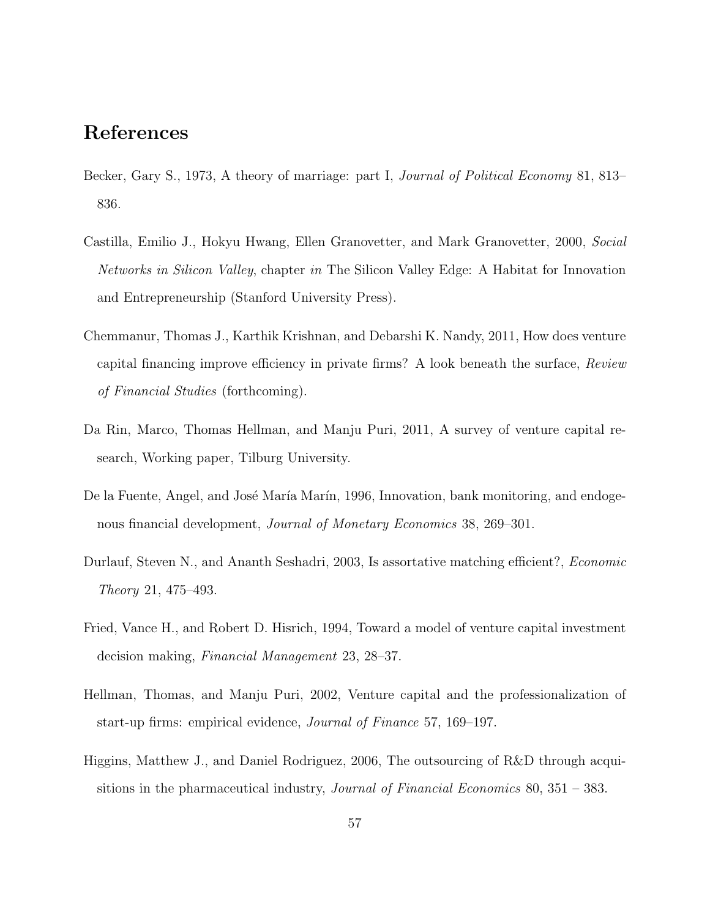### References

- Becker, Gary S., 1973, A theory of marriage: part I, *Journal of Political Economy* 81, 813– 836.
- Castilla, Emilio J., Hokyu Hwang, Ellen Granovetter, and Mark Granovetter, 2000, Social Networks in Silicon Valley, chapter in The Silicon Valley Edge: A Habitat for Innovation and Entrepreneurship (Stanford University Press).
- Chemmanur, Thomas J., Karthik Krishnan, and Debarshi K. Nandy, 2011, How does venture capital financing improve efficiency in private firms? A look beneath the surface, Review of Financial Studies (forthcoming).
- Da Rin, Marco, Thomas Hellman, and Manju Puri, 2011, A survey of venture capital research, Working paper, Tilburg University.
- De la Fuente, Angel, and José María Marín, 1996, Innovation, bank monitoring, and endogenous financial development, Journal of Monetary Economics 38, 269–301.
- Durlauf, Steven N., and Ananth Seshadri, 2003, Is assortative matching efficient?, Economic Theory 21, 475–493.
- Fried, Vance H., and Robert D. Hisrich, 1994, Toward a model of venture capital investment decision making, Financial Management 23, 28–37.
- Hellman, Thomas, and Manju Puri, 2002, Venture capital and the professionalization of start-up firms: empirical evidence, Journal of Finance 57, 169–197.
- Higgins, Matthew J., and Daniel Rodriguez, 2006, The outsourcing of R&D through acquisitions in the pharmaceutical industry, *Journal of Financial Economics* 80,  $351 - 383$ .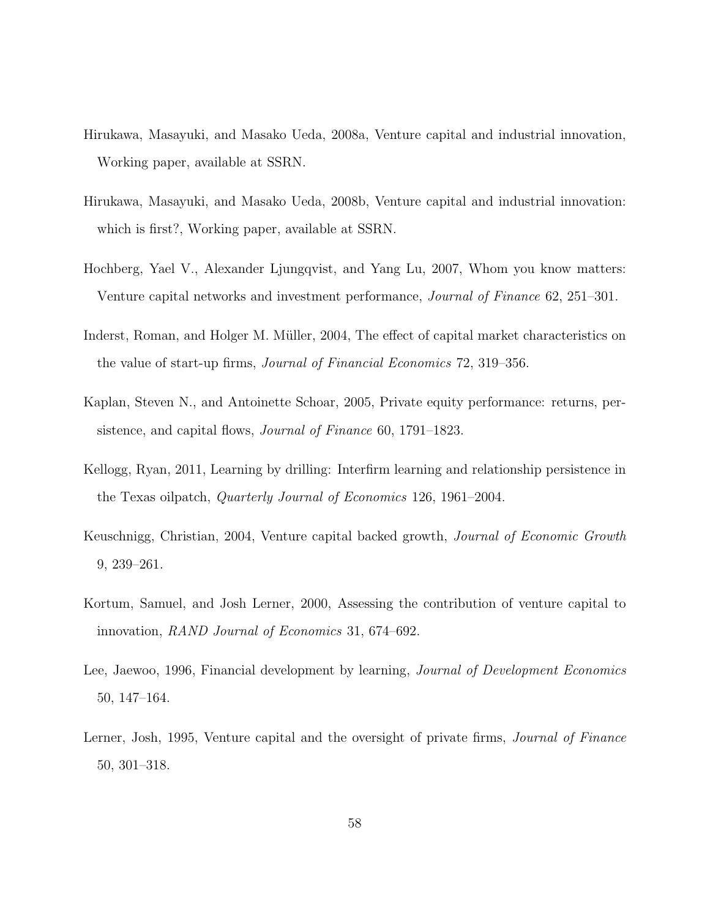- Hirukawa, Masayuki, and Masako Ueda, 2008a, Venture capital and industrial innovation, Working paper, available at SSRN.
- Hirukawa, Masayuki, and Masako Ueda, 2008b, Venture capital and industrial innovation: which is first?, Working paper, available at SSRN.
- Hochberg, Yael V., Alexander Ljungqvist, and Yang Lu, 2007, Whom you know matters: Venture capital networks and investment performance, Journal of Finance 62, 251–301.
- Inderst, Roman, and Holger M. Müller, 2004, The effect of capital market characteristics on the value of start-up firms, Journal of Financial Economics 72, 319–356.
- Kaplan, Steven N., and Antoinette Schoar, 2005, Private equity performance: returns, persistence, and capital flows, Journal of Finance 60, 1791–1823.
- Kellogg, Ryan, 2011, Learning by drilling: Interfirm learning and relationship persistence in the Texas oilpatch, Quarterly Journal of Economics 126, 1961–2004.
- Keuschnigg, Christian, 2004, Venture capital backed growth, Journal of Economic Growth 9, 239–261.
- Kortum, Samuel, and Josh Lerner, 2000, Assessing the contribution of venture capital to innovation, RAND Journal of Economics 31, 674–692.
- Lee, Jaewoo, 1996, Financial development by learning, *Journal of Development Economics* 50, 147–164.
- Lerner, Josh, 1995, Venture capital and the oversight of private firms, *Journal of Finance* 50, 301–318.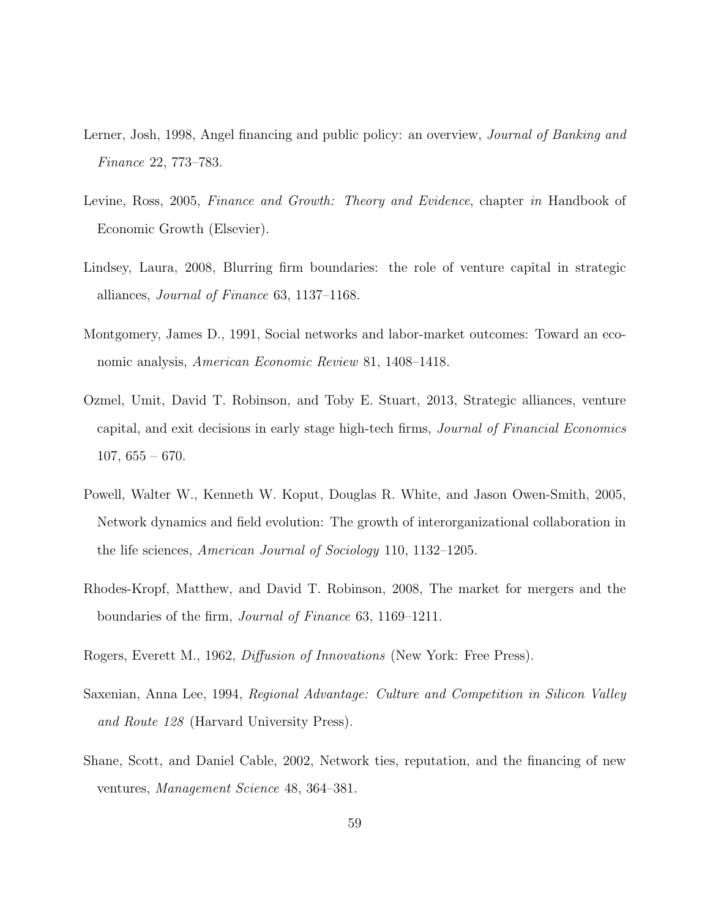- Lerner, Josh, 1998, Angel financing and public policy: an overview, Journal of Banking and Finance 22, 773–783.
- Levine, Ross, 2005, Finance and Growth: Theory and Evidence, chapter in Handbook of Economic Growth (Elsevier).
- Lindsey, Laura, 2008, Blurring firm boundaries: the role of venture capital in strategic alliances, Journal of Finance 63, 1137–1168.
- Montgomery, James D., 1991, Social networks and labor-market outcomes: Toward an economic analysis, American Economic Review 81, 1408–1418.
- Ozmel, Umit, David T. Robinson, and Toby E. Stuart, 2013, Strategic alliances, venture capital, and exit decisions in early stage high-tech firms, Journal of Financial Economics  $107, 655 - 670.$
- Powell, Walter W., Kenneth W. Koput, Douglas R. White, and Jason Owen-Smith, 2005, Network dynamics and field evolution: The growth of interorganizational collaboration in the life sciences, American Journal of Sociology 110, 1132–1205.
- Rhodes-Kropf, Matthew, and David T. Robinson, 2008, The market for mergers and the boundaries of the firm, Journal of Finance 63, 1169–1211.
- Rogers, Everett M., 1962, Diffusion of Innovations (New York: Free Press).
- Saxenian, Anna Lee, 1994, Regional Advantage: Culture and Competition in Silicon Valley and Route 128 (Harvard University Press).
- Shane, Scott, and Daniel Cable, 2002, Network ties, reputation, and the financing of new ventures, Management Science 48, 364–381.